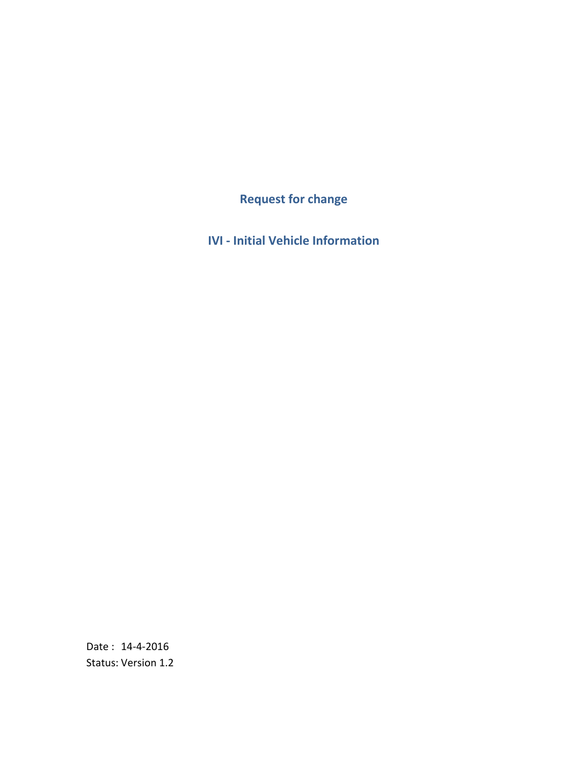**Request for change**

**IVI - Initial Vehicle Information**

Date : 14-4-2016 Status: Version 1.2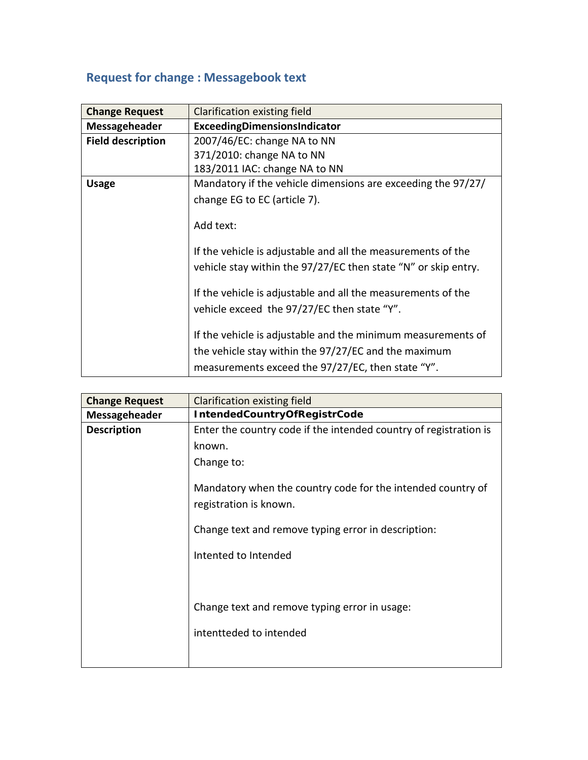### **Request for change : Messagebook text**

| <b>Change Request</b>    | Clarification existing field                                                                                                   |
|--------------------------|--------------------------------------------------------------------------------------------------------------------------------|
| Messageheader            | ExceedingDimensionsIndicator                                                                                                   |
| <b>Field description</b> | 2007/46/EC: change NA to NN                                                                                                    |
|                          | 371/2010: change NA to NN                                                                                                      |
|                          | 183/2011 IAC: change NA to NN                                                                                                  |
| <b>Usage</b>             | Mandatory if the vehicle dimensions are exceeding the 97/27/                                                                   |
|                          | change EG to EC (article 7).                                                                                                   |
|                          |                                                                                                                                |
|                          | Add text:                                                                                                                      |
|                          | If the vehicle is adjustable and all the measurements of the<br>vehicle stay within the 97/27/EC then state "N" or skip entry. |
|                          |                                                                                                                                |
|                          | If the vehicle is adjustable and all the measurements of the                                                                   |
|                          | vehicle exceed the 97/27/EC then state "Y".                                                                                    |
|                          | If the vehicle is adjustable and the minimum measurements of                                                                   |
|                          | the vehicle stay within the 97/27/EC and the maximum                                                                           |
|                          | measurements exceed the 97/27/EC, then state "Y".                                                                              |

| <b>Change Request</b> | Clarification existing field                                                          |
|-----------------------|---------------------------------------------------------------------------------------|
| Messageheader         | <b>IntendedCountryOfRegistrCode</b>                                                   |
| <b>Description</b>    | Enter the country code if the intended country of registration is                     |
|                       | known.                                                                                |
|                       | Change to:                                                                            |
|                       | Mandatory when the country code for the intended country of<br>registration is known. |
|                       | Change text and remove typing error in description:                                   |
|                       | Intented to Intended                                                                  |
|                       |                                                                                       |
|                       | Change text and remove typing error in usage:                                         |
|                       | intentteded to intended                                                               |
|                       |                                                                                       |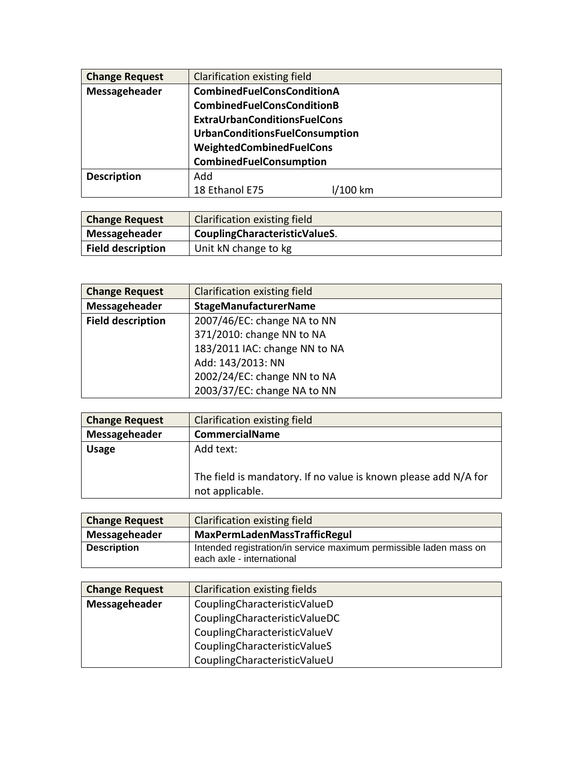| <b>Change Request</b> | Clarification existing field          |       |  |
|-----------------------|---------------------------------------|-------|--|
| Messageheader         | <b>CombinedFuelConsConditionA</b>     |       |  |
|                       | <b>CombinedFuelConsConditionB</b>     |       |  |
|                       | <b>ExtraUrbanConditionsFuelCons</b>   |       |  |
|                       | <b>UrbanConditionsFuelConsumption</b> |       |  |
|                       | WeightedCombinedFuelCons              |       |  |
|                       | <b>CombinedFuelConsumption</b>        |       |  |
| <b>Description</b>    | Add                                   |       |  |
|                       | 18 Ethanol E75                        | 00 km |  |

| <b>Change Request</b>    | Clarification existing field  |
|--------------------------|-------------------------------|
| Messageheader            | CouplingCharacteristicValueS. |
| <b>Field description</b> | Unit kN change to kg          |

| <b>Change Request</b>    | Clarification existing field  |
|--------------------------|-------------------------------|
| Messageheader            | <b>StageManufacturerName</b>  |
| <b>Field description</b> | 2007/46/EC: change NA to NN   |
|                          | 371/2010: change NN to NA     |
|                          | 183/2011 IAC: change NN to NA |
|                          | Add: 143/2013: NN             |
|                          | 2002/24/EC: change NN to NA   |
|                          | 2003/37/EC: change NA to NN   |

| <b>Change Request</b> | Clarification existing field                                                       |
|-----------------------|------------------------------------------------------------------------------------|
| Messageheader         | <b>CommercialName</b>                                                              |
| <b>Usage</b>          | Add text:                                                                          |
|                       | The field is mandatory. If no value is known please add N/A for<br>not applicable. |

| <b>Change Request</b> | Clarification existing field                                                                    |
|-----------------------|-------------------------------------------------------------------------------------------------|
| Messageheader         | MaxPermLadenMassTrafficRegul                                                                    |
| <b>Description</b>    | Intended registration/in service maximum permissible laden mass on<br>each axle - international |

| <b>Change Request</b> | Clarification existing fields |
|-----------------------|-------------------------------|
| Messageheader         | CouplingCharacteristicValueD  |
|                       | CouplingCharacteristicValueDC |
|                       | CouplingCharacteristicValueV  |
|                       | CouplingCharacteristicValueS  |
|                       | CouplingCharacteristicValueU  |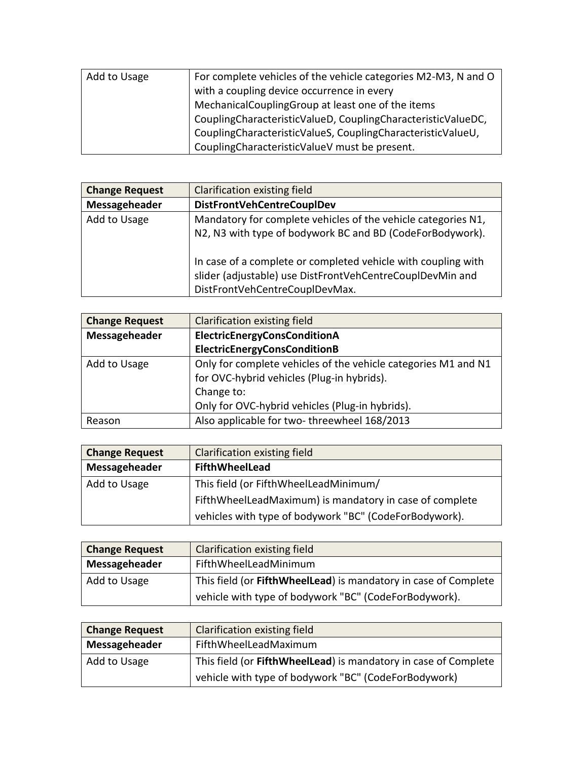| Add to Usage | For complete vehicles of the vehicle categories M2-M3, N and O |
|--------------|----------------------------------------------------------------|
|              | with a coupling device occurrence in every                     |
|              | MechanicalCouplingGroup at least one of the items              |
|              | CouplingCharacteristicValueD, CouplingCharacteristicValueDC,   |
|              | CouplingCharacteristicValueS, CouplingCharacteristicValueU,    |
|              | CouplingCharacteristicValueV must be present.                  |

| <b>Change Request</b> | Clarification existing field                                                                                                                                 |
|-----------------------|--------------------------------------------------------------------------------------------------------------------------------------------------------------|
| Messageheader         | <b>DistFrontVehCentreCouplDev</b>                                                                                                                            |
| Add to Usage          | Mandatory for complete vehicles of the vehicle categories N1,                                                                                                |
|                       | N2, N3 with type of bodywork BC and BD (CodeForBodywork).                                                                                                    |
|                       | In case of a complete or completed vehicle with coupling with<br>slider (adjustable) use DistFrontVehCentreCouplDevMin and<br>DistFrontVehCentreCouplDevMax. |

| <b>Change Request</b> | Clarification existing field                                   |  |
|-----------------------|----------------------------------------------------------------|--|
| Messageheader         | ElectricEnergyConsConditionA                                   |  |
|                       | ElectricEnergyConsConditionB                                   |  |
| Add to Usage          | Only for complete vehicles of the vehicle categories M1 and N1 |  |
|                       | for OVC-hybrid vehicles (Plug-in hybrids).                     |  |
|                       | Change to:                                                     |  |
|                       | Only for OVC-hybrid vehicles (Plug-in hybrids).                |  |
| Reason                | Also applicable for two-threewheel 168/2013                    |  |

| <b>Change Request</b> | Clarification existing field                            |
|-----------------------|---------------------------------------------------------|
| Messageheader         | <b>FifthWheelLead</b>                                   |
| Add to Usage          | This field (or FifthWheelLeadMinimum/                   |
|                       | FifthWheelLeadMaximum) is mandatory in case of complete |
|                       | vehicles with type of bodywork "BC" (CodeForBodywork).  |

| <b>Change Request</b> | <b>Clarification existing field</b>                             |
|-----------------------|-----------------------------------------------------------------|
| Messageheader         | FifthWheelLeadMinimum                                           |
| Add to Usage          | This field (or FifthWheelLead) is mandatory in case of Complete |
|                       | vehicle with type of bodywork "BC" (CodeForBodywork).           |

| <b>Change Request</b> | Clarification existing field                                    |
|-----------------------|-----------------------------------------------------------------|
| Messageheader         | FifthWheelLeadMaximum                                           |
| Add to Usage          | This field (or FifthWheelLead) is mandatory in case of Complete |
|                       | vehicle with type of bodywork "BC" (CodeForBodywork)            |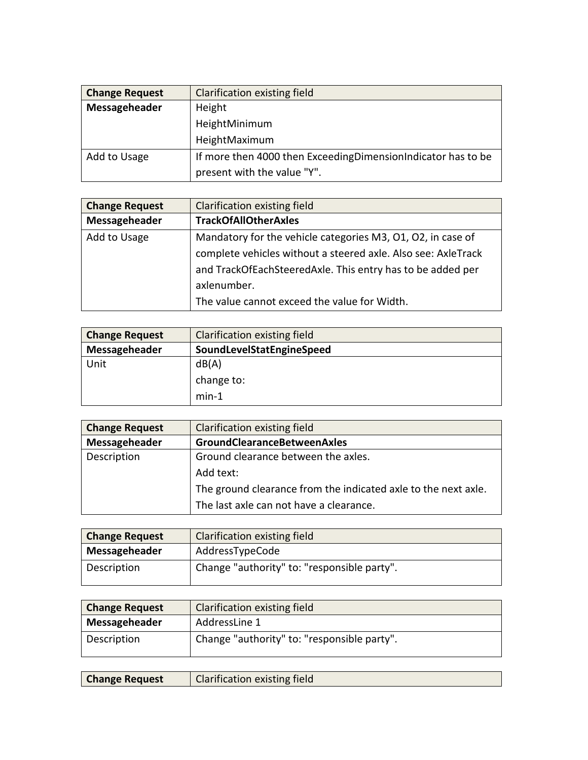| <b>Change Request</b> | Clarification existing field                                   |
|-----------------------|----------------------------------------------------------------|
| Messageheader         | Height                                                         |
|                       | HeightMinimum                                                  |
|                       | HeightMaximum                                                  |
| Add to Usage          | If more then 4000 then Exceeding Dimension Indicator has to be |
|                       | present with the value "Y".                                    |

| <b>Change Request</b> | Clarification existing field                                  |
|-----------------------|---------------------------------------------------------------|
| Messageheader         | <b>TrackOfAllOtherAxles</b>                                   |
| Add to Usage          | Mandatory for the vehicle categories M3, 01, 02, in case of   |
|                       | complete vehicles without a steered axle. Also see: AxleTrack |
|                       | and TrackOfEachSteeredAxle. This entry has to be added per    |
|                       | axlenumber.                                                   |
|                       | The value cannot exceed the value for Width.                  |

| <b>Change Request</b> | Clarification existing field |
|-----------------------|------------------------------|
| Messageheader         | SoundLevelStatEngineSpeed    |
| Unit                  | dB(A)                        |
|                       | change to:                   |
|                       | $min-1$                      |

| <b>Change Request</b> | Clarification existing field                                   |
|-----------------------|----------------------------------------------------------------|
| Messageheader         | <b>GroundClearanceBetweenAxles</b>                             |
| Description           | Ground clearance between the axles.                            |
|                       | Add text:                                                      |
|                       | The ground clearance from the indicated axle to the next axle. |
|                       | The last axle can not have a clearance.                        |

| <b>Change Request</b> | <b>Clarification existing field</b>         |
|-----------------------|---------------------------------------------|
| Messageheader         | AddressTypeCode                             |
| Description           | Change "authority" to: "responsible party". |

| <b>Change Request</b> | <b>Clarification existing field</b>         |
|-----------------------|---------------------------------------------|
| Messageheader         | AddressLine 1                               |
| Description           | Change "authority" to: "responsible party". |

| <b>Change Request</b> | Clarification existing field |
|-----------------------|------------------------------|
|                       |                              |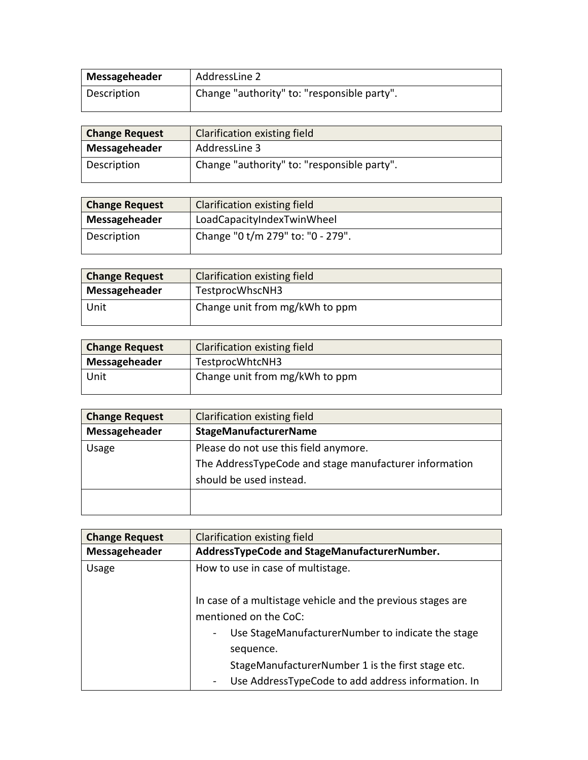| Messageheader | AddressLine 2                               |
|---------------|---------------------------------------------|
| Description   | Change "authority" to: "responsible party". |

| <b>Change Request</b> | Clarification existing field                |
|-----------------------|---------------------------------------------|
| Messageheader         | AddressLine 3                               |
| Description           | Change "authority" to: "responsible party". |

| <b>Change Request</b> | <b>Clarification existing field</b> |
|-----------------------|-------------------------------------|
| Messageheader         | LoadCapacityIndexTwinWheel          |
| Description           | Change "0 t/m 279" to: "0 - 279".   |

| <b>Change Request</b> | <b>Clarification existing field</b> |
|-----------------------|-------------------------------------|
| Messageheader         | TestprocWhscNH3                     |
| Unit                  | Change unit from mg/kWh to ppm      |

| <b>Change Request</b> | Clarification existing field   |
|-----------------------|--------------------------------|
| Messageheader         | TestprocWhtcNH3                |
| Unit                  | Change unit from mg/kWh to ppm |

| <b>Change Request</b> | Clarification existing field                           |
|-----------------------|--------------------------------------------------------|
| Messageheader         | <b>StageManufacturerName</b>                           |
| Usage                 | Please do not use this field anymore.                  |
|                       | The AddressTypeCode and stage manufacturer information |
|                       | should be used instead.                                |
|                       |                                                        |
|                       |                                                        |

 $\mathsf{l}$ 

| <b>Change Request</b> | <b>Clarification existing field</b>                                                                                                                                                                         |
|-----------------------|-------------------------------------------------------------------------------------------------------------------------------------------------------------------------------------------------------------|
| Messageheader         | AddressTypeCode and StageManufacturerNumber.                                                                                                                                                                |
| Usage                 | How to use in case of multistage.                                                                                                                                                                           |
|                       | In case of a multistage vehicle and the previous stages are<br>mentioned on the CoC:<br>Use StageManufacturerNumber to indicate the stage<br>sequence.<br>StageManufacturerNumber 1 is the first stage etc. |
|                       | Use AddressTypeCode to add address information. In                                                                                                                                                          |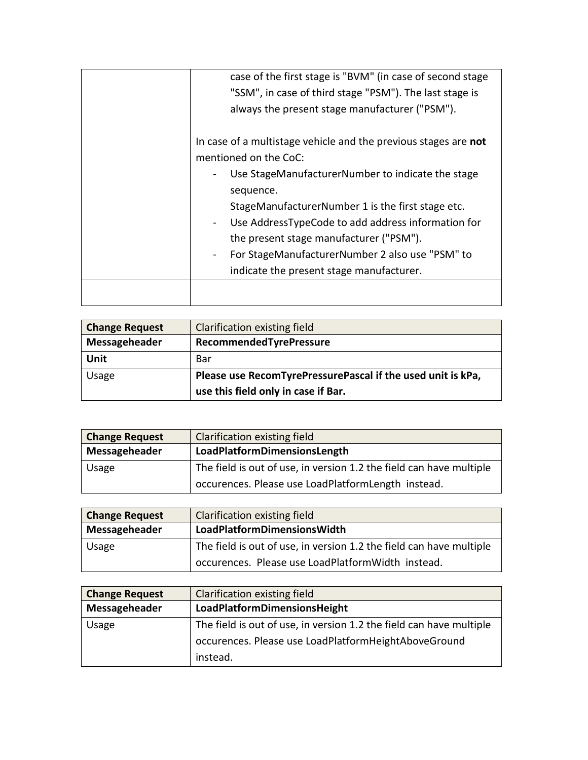| case of the first stage is "BVM" (in case of second stage                                               |
|---------------------------------------------------------------------------------------------------------|
| "SSM", in case of third stage "PSM"). The last stage is                                                 |
| always the present stage manufacturer ("PSM").                                                          |
| In case of a multistage vehicle and the previous stages are not<br>mentioned on the CoC:                |
| Use StageManufacturerNumber to indicate the stage<br>sequence.                                          |
| StageManufacturerNumber 1 is the first stage etc.<br>Use AddressTypeCode to add address information for |
| the present stage manufacturer ("PSM").<br>For StageManufacturerNumber 2 also use "PSM" to              |
| indicate the present stage manufacturer.                                                                |
|                                                                                                         |

| <b>Change Request</b> | <b>Clarification existing field</b>                         |
|-----------------------|-------------------------------------------------------------|
| Messageheader         | RecommendedTyrePressure                                     |
| Unit                  | Bar                                                         |
| Usage                 | Please use RecomTyrePressurePascal if the used unit is kPa, |
|                       | use this field only in case if Bar.                         |

| <b>Change Request</b> | Clarification existing field                                        |
|-----------------------|---------------------------------------------------------------------|
| Messageheader         | LoadPlatformDimensionsLength                                        |
| Usage                 | The field is out of use, in version 1.2 the field can have multiple |
|                       | occurences. Please use LoadPlatformLength instead.                  |

| <b>Change Request</b> | Clarification existing field                                        |
|-----------------------|---------------------------------------------------------------------|
| Messageheader         | LoadPlatformDimensionsWidth                                         |
| Usage                 | The field is out of use, in version 1.2 the field can have multiple |
|                       | occurences. Please use LoadPlatformWidth instead.                   |

| <b>Change Request</b> | Clarification existing field                                        |
|-----------------------|---------------------------------------------------------------------|
| Messageheader         | LoadPlatformDimensionsHeight                                        |
| Usage                 | The field is out of use, in version 1.2 the field can have multiple |
|                       | occurences. Please use LoadPlatformHeightAboveGround                |
|                       | instead.                                                            |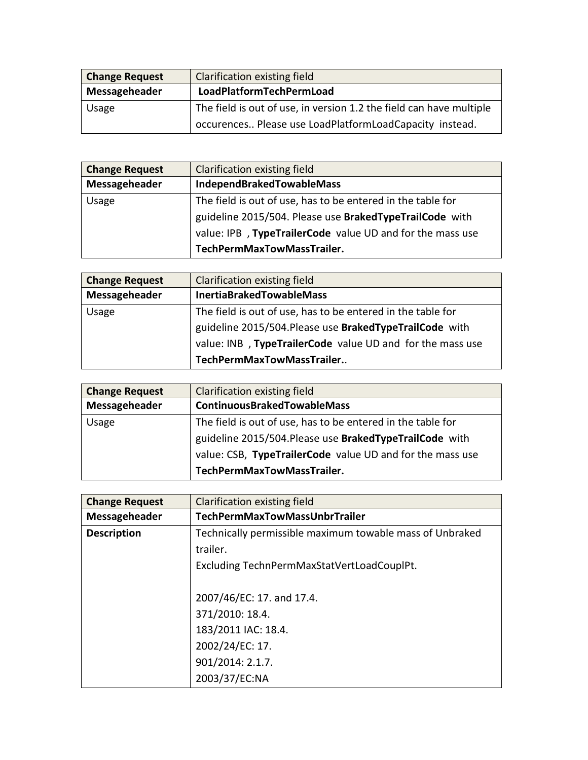| <b>Change Request</b> | Clarification existing field                                        |
|-----------------------|---------------------------------------------------------------------|
| Messageheader         | LoadPlatformTechPermLoad                                            |
| Usage                 | The field is out of use, in version 1.2 the field can have multiple |
|                       | occurences Please use LoadPlatformLoadCapacity instead.             |

| <b>Change Request</b> | Clarification existing field                                |
|-----------------------|-------------------------------------------------------------|
| Messageheader         | IndependBrakedTowableMass                                   |
| Usage                 | The field is out of use, has to be entered in the table for |
|                       | guideline 2015/504. Please use BrakedTypeTrailCode with     |
|                       | value: IPB, TypeTrailerCode value UD and for the mass use   |
|                       | TechPermMaxTowMassTrailer.                                  |

| <b>Change Request</b> | Clarification existing field                                |
|-----------------------|-------------------------------------------------------------|
| Messageheader         | <b>InertiaBrakedTowableMass</b>                             |
| Usage                 | The field is out of use, has to be entered in the table for |
|                       | guideline 2015/504. Please use BrakedTypeTrailCode with     |
|                       | value: INB, TypeTrailerCode value UD and for the mass use   |
|                       | TechPermMaxTowMassTrailer                                   |

| <b>Change Request</b> | Clarification existing field                                |
|-----------------------|-------------------------------------------------------------|
| Messageheader         | <b>ContinuousBrakedTowableMass</b>                          |
| Usage                 | The field is out of use, has to be entered in the table for |
|                       | guideline 2015/504. Please use BrakedTypeTrailCode with     |
|                       | value: CSB, TypeTrailerCode value UD and for the mass use   |
|                       | TechPermMaxTowMassTrailer.                                  |

| <b>Change Request</b> | Clarification existing field                             |
|-----------------------|----------------------------------------------------------|
| Messageheader         | TechPermMaxTowMassUnbrTrailer                            |
| <b>Description</b>    | Technically permissible maximum towable mass of Unbraked |
|                       | trailer.                                                 |
|                       | Excluding TechnPermMaxStatVertLoadCouplPt.               |
|                       |                                                          |
|                       | 2007/46/EC: 17. and 17.4.                                |
|                       | 371/2010: 18.4.                                          |
|                       | 183/2011 IAC: 18.4.                                      |
|                       | 2002/24/EC: 17.                                          |
|                       | 901/2014: 2.1.7.                                         |
|                       | 2003/37/EC:NA                                            |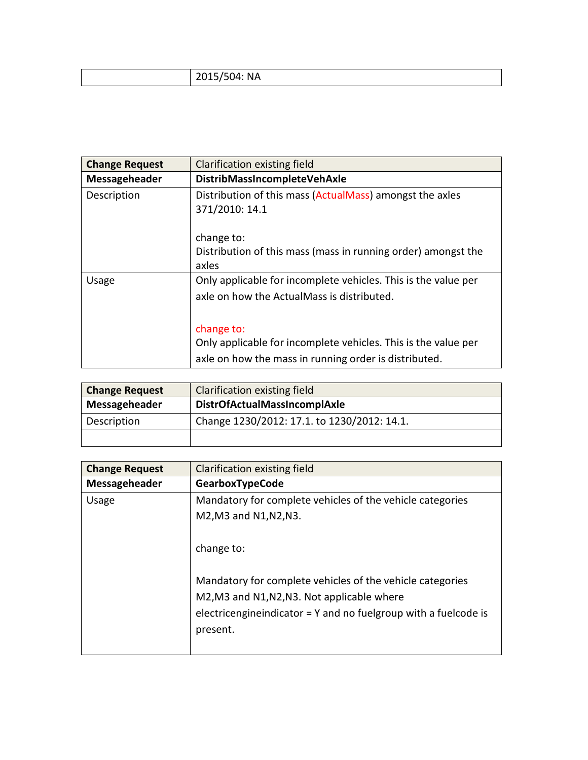| 2015/504: NA |
|--------------|
|--------------|

| <b>Change Request</b> | Clarification existing field                                                                                                          |
|-----------------------|---------------------------------------------------------------------------------------------------------------------------------------|
| Messageheader         | DistribMassIncompleteVehAxle                                                                                                          |
| Description           | Distribution of this mass (ActualMass) amongst the axles<br>371/2010: 14.1                                                            |
|                       | change to:<br>Distribution of this mass (mass in running order) amongst the<br>axles                                                  |
| Usage                 | Only applicable for incomplete vehicles. This is the value per<br>axle on how the ActualMass is distributed.                          |
|                       | change to:<br>Only applicable for incomplete vehicles. This is the value per<br>axle on how the mass in running order is distributed. |

| <b>Change Request</b> | Clarification existing field                |
|-----------------------|---------------------------------------------|
| Messageheader         | <b>DistrOfActualMassIncomplAxle</b>         |
| Description           | Change 1230/2012: 17.1. to 1230/2012: 14.1. |
|                       |                                             |

| <b>Change Request</b> | Clarification existing field                                       |
|-----------------------|--------------------------------------------------------------------|
| Messageheader         | <b>GearboxTypeCode</b>                                             |
| Usage                 | Mandatory for complete vehicles of the vehicle categories          |
|                       | M2, M3 and N1, N2, N3.                                             |
|                       |                                                                    |
|                       | change to:                                                         |
|                       |                                                                    |
|                       | Mandatory for complete vehicles of the vehicle categories          |
|                       | M2, M3 and N1, N2, N3. Not applicable where                        |
|                       | electricengine indicator = $Y$ and no fuelgroup with a fuelcode is |
|                       | present.                                                           |
|                       |                                                                    |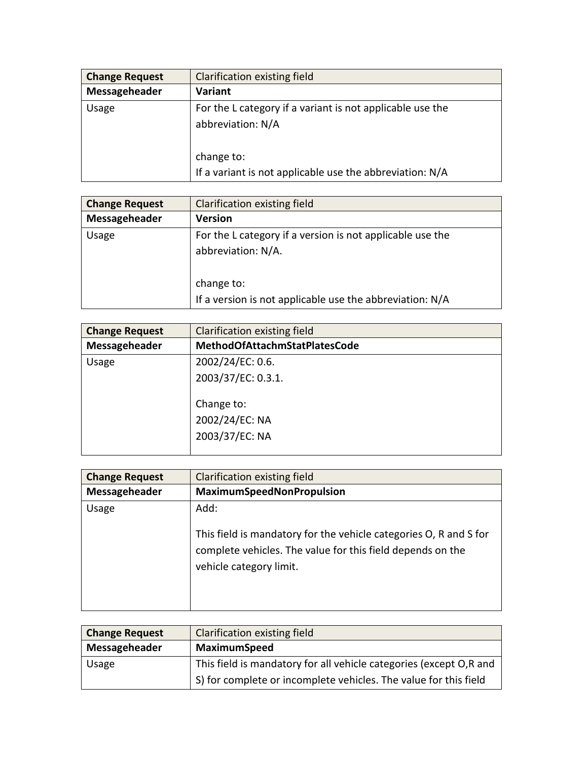| <b>Change Request</b> | Clarification existing field                                                                 |
|-----------------------|----------------------------------------------------------------------------------------------|
| Messageheader         | Variant                                                                                      |
| Usage                 | For the L category if a variant is not applicable use the<br>abbreviation: N/A<br>change to: |
|                       | If a variant is not applicable use the abbreviation: N/A                                     |

| <b>Change Request</b> | Clarification existing field                                                    |
|-----------------------|---------------------------------------------------------------------------------|
| Messageheader         | <b>Version</b>                                                                  |
| Usage                 | For the L category if a version is not applicable use the<br>abbreviation: N/A. |
|                       | change to:<br>If a version is not applicable use the abbreviation: N/A          |

| <b>Change Request</b> | Clarification existing field         |
|-----------------------|--------------------------------------|
| Messageheader         | <b>MethodOfAttachmStatPlatesCode</b> |
| Usage                 | 2002/24/EC: 0.6.                     |
|                       | 2003/37/EC: 0.3.1.                   |
|                       | Change to:                           |
|                       | 2002/24/EC: NA                       |
|                       | 2003/37/EC: NA                       |
|                       |                                      |

| <b>Change Request</b> | Clarification existing field                                                                                                            |
|-----------------------|-----------------------------------------------------------------------------------------------------------------------------------------|
| Messageheader         | MaximumSpeedNonPropulsion                                                                                                               |
| Usage                 | Add:<br>This field is mandatory for the vehicle categories O, R and S for<br>complete vehicles. The value for this field depends on the |
|                       | vehicle category limit.                                                                                                                 |

| <b>Change Request</b> | <b>Clarification existing field</b>                                |
|-----------------------|--------------------------------------------------------------------|
| Messageheader         | <b>MaximumSpeed</b>                                                |
| Usage                 | This field is mandatory for all vehicle categories (except O,R and |
|                       | S) for complete or incomplete vehicles. The value for this field   |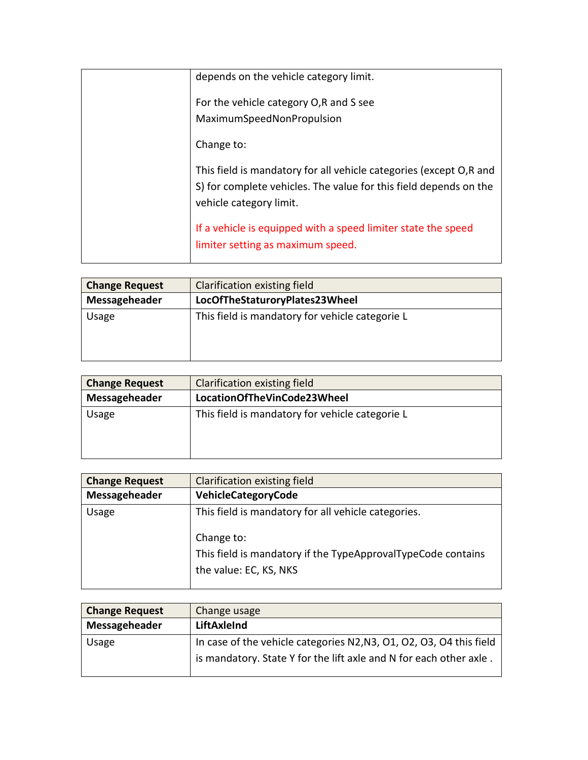| depends on the vehicle category limit.                                                                                                                             |
|--------------------------------------------------------------------------------------------------------------------------------------------------------------------|
| For the vehicle category O,R and S see<br>MaximumSpeedNonPropulsion                                                                                                |
| Change to:                                                                                                                                                         |
| This field is mandatory for all vehicle categories (except O,R and<br>S) for complete vehicles. The value for this field depends on the<br>vehicle category limit. |
| If a vehicle is equipped with a speed limiter state the speed<br>limiter setting as maximum speed.                                                                 |

| <b>Change Request</b> | Clarification existing field                    |  |
|-----------------------|-------------------------------------------------|--|
| Messageheader         | LocOfTheStaturoryPlates23Wheel                  |  |
| Usage                 | This field is mandatory for vehicle categorie L |  |

| <b>Change Request</b> | Clarification existing field                    |  |
|-----------------------|-------------------------------------------------|--|
| Messageheader         | LocationOfTheVinCode23Wheel                     |  |
| Usage                 | This field is mandatory for vehicle categorie L |  |

| <b>Change Request</b> | Clarification existing field                                                                                                                                |  |
|-----------------------|-------------------------------------------------------------------------------------------------------------------------------------------------------------|--|
| Messageheader         | VehicleCategoryCode                                                                                                                                         |  |
| Usage                 | This field is mandatory for all vehicle categories.<br>Change to:<br>This field is mandatory if the TypeApprovalTypeCode contains<br>the value: EC, KS, NKS |  |

| <b>Change Request</b> | Change usage                                                        |  |
|-----------------------|---------------------------------------------------------------------|--|
| Messageheader         | LiftAxleInd                                                         |  |
| Usage                 | In case of the vehicle categories N2, N3, O1, O2, O3, O4 this field |  |
|                       | is mandatory. State Y for the lift axle and N for each other axle.  |  |
|                       |                                                                     |  |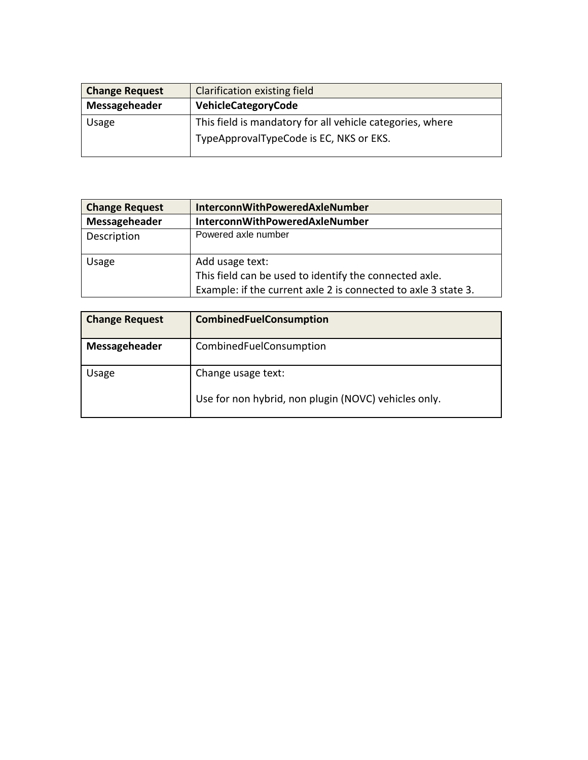| <b>Change Request</b> | Clarification existing field                              |  |  |
|-----------------------|-----------------------------------------------------------|--|--|
| Messageheader         | VehicleCategoryCode                                       |  |  |
| Usage                 | This field is mandatory for all vehicle categories, where |  |  |
|                       | TypeApprovalTypeCode is EC, NKS or EKS.                   |  |  |
|                       |                                                           |  |  |

| <b>Change Request</b> | InterconnWithPoweredAxleNumber                                                                                                              |  |
|-----------------------|---------------------------------------------------------------------------------------------------------------------------------------------|--|
| Messageheader         | InterconnWithPoweredAxleNumber                                                                                                              |  |
| Description           | Powered axle number                                                                                                                         |  |
| Usage                 | Add usage text:<br>This field can be used to identify the connected axle.<br>Example: if the current axle 2 is connected to axle 3 state 3. |  |

| <b>Change Request</b> | <b>CombinedFuelConsumption</b>                       |  |
|-----------------------|------------------------------------------------------|--|
| Messageheader         | CombinedFuelConsumption                              |  |
| Usage                 | Change usage text:                                   |  |
|                       | Use for non hybrid, non plugin (NOVC) vehicles only. |  |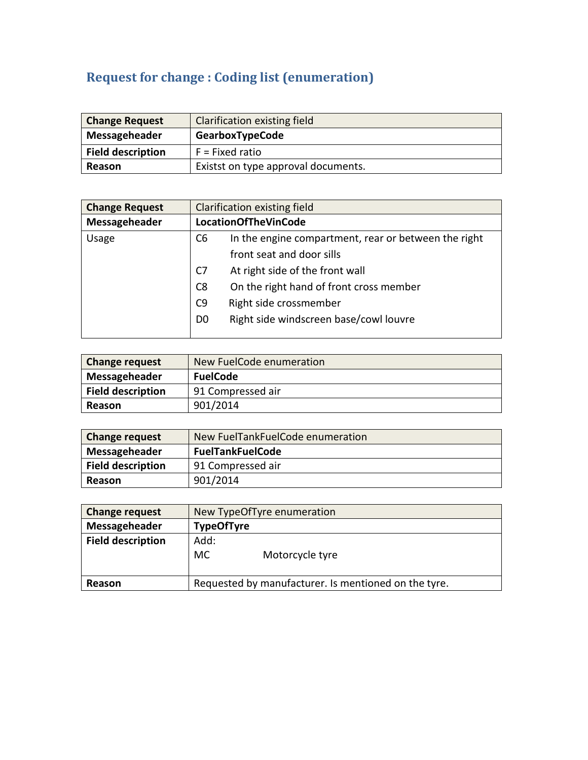# **Request for change : Coding list (enumeration)**

| <b>Change Request</b>    | <b>Clarification existing field</b> |  |
|--------------------------|-------------------------------------|--|
| Messageheader            | <b>GearboxTypeCode</b>              |  |
| <b>Field description</b> | $F =$ Fixed ratio                   |  |
| Reason                   | Existst on type approval documents. |  |

| <b>Change Request</b> |                | Clarification existing field                         |  |
|-----------------------|----------------|------------------------------------------------------|--|
| Messageheader         |                | <b>LocationOfTheVinCode</b>                          |  |
| Usage                 | C <sub>6</sub> | In the engine compartment, rear or between the right |  |
|                       |                | front seat and door sills                            |  |
|                       | C <sub>7</sub> | At right side of the front wall                      |  |
|                       | C <sub>8</sub> | On the right hand of front cross member              |  |
|                       | C <sub>9</sub> | Right side crossmember                               |  |
|                       | D <sub>0</sub> | Right side windscreen base/cowl louvre               |  |
|                       |                |                                                      |  |

| <b>Change request</b>    | New FuelCode enumeration |  |
|--------------------------|--------------------------|--|
| Messageheader            | <b>FuelCode</b>          |  |
| <b>Field description</b> | 91 Compressed air        |  |
| Reason                   | 901/2014                 |  |

| <b>Change request</b>    | New FuelTankFuelCode enumeration |  |  |
|--------------------------|----------------------------------|--|--|
| Messageheader            | <b>FuelTankFuelCode</b>          |  |  |
| <b>Field description</b> | 91 Compressed air                |  |  |
| Reason                   | 901/2014                         |  |  |

| <b>Change request</b>    | New TypeOfTyre enumeration                           |  |  |
|--------------------------|------------------------------------------------------|--|--|
| Messageheader            | <b>TypeOfTyre</b>                                    |  |  |
| <b>Field description</b> | Add:<br>МC<br>Motorcycle tyre                        |  |  |
| Reason                   | Requested by manufacturer. Is mentioned on the tyre. |  |  |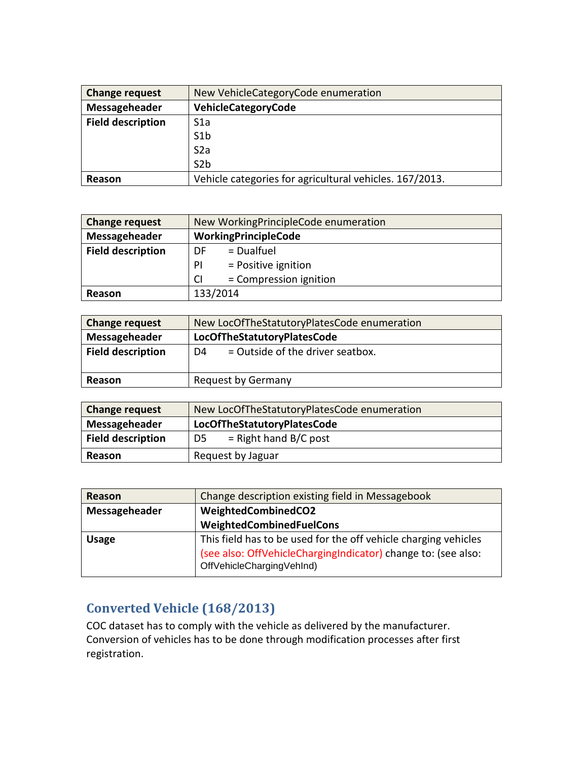| <b>Change request</b>    | New VehicleCategoryCode enumeration                     |
|--------------------------|---------------------------------------------------------|
| Messageheader            | <b>VehicleCategoryCode</b>                              |
| <b>Field description</b> | S <sub>1</sub> a                                        |
|                          | S1b                                                     |
|                          | S <sub>2</sub> a                                        |
|                          | S <sub>2b</sub>                                         |
| Reason                   | Vehicle categories for agricultural vehicles. 167/2013. |

| <b>Change request</b>    | New WorkingPrincipleCode enumeration |
|--------------------------|--------------------------------------|
| Messageheader            | WorkingPrincipleCode                 |
| <b>Field description</b> | $=$ Dualfuel<br>DF                   |
|                          | $=$ Positive ignition<br>PI          |
|                          | = Compression ignition<br><b>CI</b>  |
| <b>Reason</b>            | 133/2014                             |

| <b>Change request</b>    | New LocOfTheStatutoryPlatesCode enumeration |
|--------------------------|---------------------------------------------|
| Messageheader            | LocOfTheStatutoryPlatesCode                 |
| <b>Field description</b> | $=$ Outside of the driver seatbox.<br>D4    |
| Reason                   | <b>Request by Germany</b>                   |

| <b>Change request</b>    | New LocOfTheStatutoryPlatesCode enumeration |
|--------------------------|---------------------------------------------|
| Messageheader            | LocOfTheStatutoryPlatesCode                 |
| <b>Field description</b> | $=$ Right hand B/C post<br>D5.              |
| Reason                   | Request by Jaguar                           |

| Reason        | Change description existing field in Messagebook                                                                                                              |
|---------------|---------------------------------------------------------------------------------------------------------------------------------------------------------------|
| Messageheader | WeightedCombinedCO2                                                                                                                                           |
|               | WeightedCombinedFuelCons                                                                                                                                      |
| <b>Usage</b>  | This field has to be used for the off vehicle charging vehicles<br>(see also: OffVehicleChargingIndicator) change to: (see also:<br>OffVehicleChargingVehInd) |

#### **Converted Vehicle (168/2013)**

COC dataset has to comply with the vehicle as delivered by the manufacturer. Conversion of vehicles has to be done through modification processes after first registration.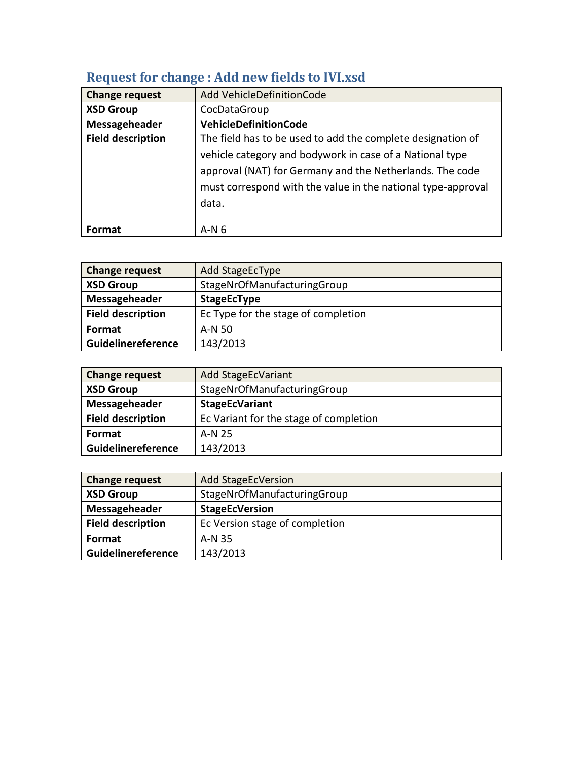| <b>Change request</b>    | Add VehicleDefinitionCode                                    |
|--------------------------|--------------------------------------------------------------|
| <b>XSD Group</b>         | CocDataGroup                                                 |
| Messageheader            | <b>VehicleDefinitionCode</b>                                 |
| <b>Field description</b> | The field has to be used to add the complete designation of  |
|                          | vehicle category and bodywork in case of a National type     |
|                          | approval (NAT) for Germany and the Netherlands. The code     |
|                          | must correspond with the value in the national type-approval |
|                          | data.                                                        |
|                          |                                                              |
| Format                   | $A-N6$                                                       |

## **Request for change : Add new fields to IVI.xsd**

| <b>Change request</b>    | Add StageEcType                     |
|--------------------------|-------------------------------------|
| <b>XSD Group</b>         | StageNrOfManufacturingGroup         |
| Messageheader            | <b>StageEcType</b>                  |
| <b>Field description</b> | Ec Type for the stage of completion |
| Format                   | A-N 50                              |
| Guidelinereference       | 143/2013                            |

| <b>Change request</b>    | <b>Add StageEcVariant</b>              |
|--------------------------|----------------------------------------|
| <b>XSD Group</b>         | StageNrOfManufacturingGroup            |
| Messageheader            | <b>StageEcVariant</b>                  |
| <b>Field description</b> | Ec Variant for the stage of completion |
| Format                   | A-N 25                                 |
| Guidelinereference       | 143/2013                               |

| <b>Change request</b>    | <b>Add StageEcVersion</b>      |
|--------------------------|--------------------------------|
| <b>XSD Group</b>         | StageNrOfManufacturingGroup    |
| Messageheader            | <b>StageEcVersion</b>          |
| <b>Field description</b> | Ec Version stage of completion |
| <b>Format</b>            | A-N 35                         |
| Guidelinereference       | 143/2013                       |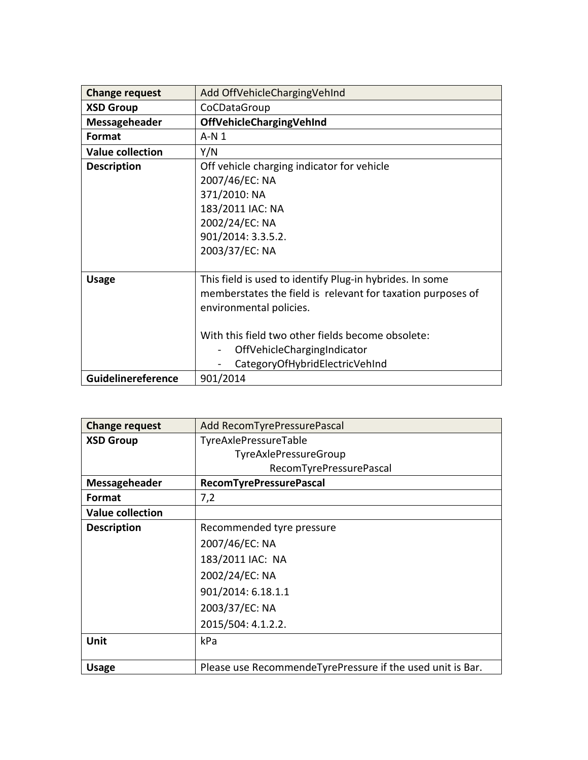| <b>Change request</b>   | Add OffVehicleChargingVehInd                                                                                                                       |
|-------------------------|----------------------------------------------------------------------------------------------------------------------------------------------------|
| <b>XSD Group</b>        | CoCDataGroup                                                                                                                                       |
| <b>Messageheader</b>    | OffVehicleChargingVehInd                                                                                                                           |
| Format                  | $A-N1$                                                                                                                                             |
| <b>Value collection</b> | Y/N                                                                                                                                                |
| <b>Description</b>      | Off vehicle charging indicator for vehicle<br>2007/46/EC: NA<br>371/2010: NA<br>183/2011 IAC: NA<br>2002/24/EC: NA<br>901/2014: 3.3.5.2.           |
|                         | 2003/37/EC: NA                                                                                                                                     |
| <b>Usage</b>            | This field is used to identify Plug-in hybrides. In some<br>memberstates the field is relevant for taxation purposes of<br>environmental policies. |
|                         | With this field two other fields become obsolete:<br>OffVehicleChargingIndicator<br>CategoryOfHybridElectricVehInd                                 |
| Guidelinereference      | 901/2014                                                                                                                                           |

| <b>Change request</b>   | Add RecomTyrePressurePascal                                |
|-------------------------|------------------------------------------------------------|
| <b>XSD Group</b>        | TyreAxlePressureTable                                      |
|                         | TyreAxlePressureGroup                                      |
|                         | RecomTyrePressurePascal                                    |
| Messageheader           | <b>RecomTyrePressurePascal</b>                             |
| Format                  | 7,2                                                        |
| <b>Value collection</b> |                                                            |
| <b>Description</b>      | Recommended tyre pressure                                  |
|                         | 2007/46/EC: NA                                             |
|                         | 183/2011 IAC: NA                                           |
|                         | 2002/24/EC: NA                                             |
|                         | 901/2014: 6.18.1.1                                         |
|                         | 2003/37/EC: NA                                             |
|                         | 2015/504: 4.1.2.2.                                         |
| <b>Unit</b>             | kPa                                                        |
| <b>Usage</b>            | Please use RecommendeTyrePressure if the used unit is Bar. |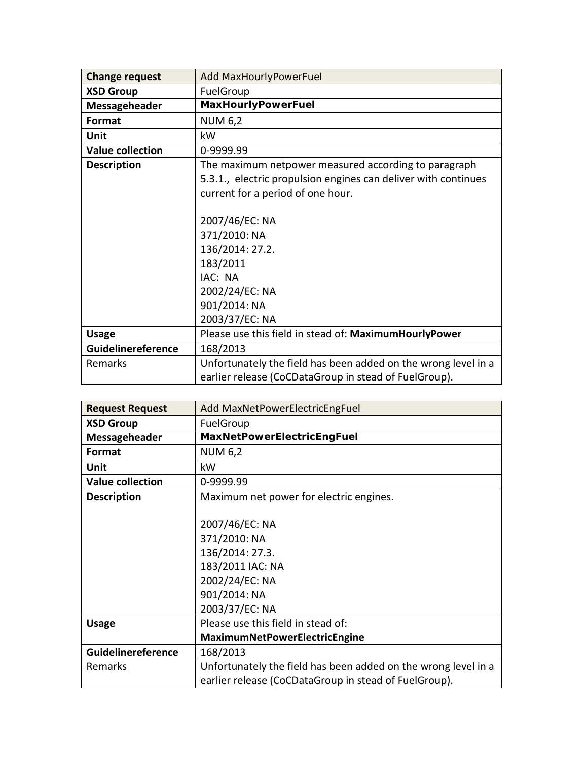| <b>Change request</b>   | Add MaxHourlyPowerFuel                                                                                                                                                                                                                                    |
|-------------------------|-----------------------------------------------------------------------------------------------------------------------------------------------------------------------------------------------------------------------------------------------------------|
| <b>XSD Group</b>        | FuelGroup                                                                                                                                                                                                                                                 |
| Messageheader           | MaxHourlyPowerFuel                                                                                                                                                                                                                                        |
| Format                  | <b>NUM 6,2</b>                                                                                                                                                                                                                                            |
| Unit                    | kW                                                                                                                                                                                                                                                        |
| <b>Value collection</b> | 0-9999.99                                                                                                                                                                                                                                                 |
| <b>Description</b>      | The maximum netpower measured according to paragraph<br>5.3.1., electric propulsion engines can deliver with continues<br>current for a period of one hour.<br>2007/46/EC: NA<br>371/2010: NA<br>136/2014: 27.2.<br>183/2011<br>IAC: NA<br>2002/24/EC: NA |
|                         | 901/2014: NA<br>2003/37/EC: NA                                                                                                                                                                                                                            |
| <b>Usage</b>            | Please use this field in stead of: MaximumHourlyPower                                                                                                                                                                                                     |
| Guidelinereference      | 168/2013                                                                                                                                                                                                                                                  |
| Remarks                 | Unfortunately the field has been added on the wrong level in a<br>earlier release (CoCDataGroup in stead of FuelGroup).                                                                                                                                   |

| <b>Request Request</b>  | Add MaxNetPowerElectricEngFuel                                 |
|-------------------------|----------------------------------------------------------------|
| <b>XSD Group</b>        | FuelGroup                                                      |
| Messageheader           | MaxNetPowerElectricEngFuel                                     |
| Format                  | <b>NUM 6,2</b>                                                 |
| Unit                    | kW                                                             |
| <b>Value collection</b> | 0-9999.99                                                      |
| <b>Description</b>      | Maximum net power for electric engines.                        |
|                         |                                                                |
|                         | 2007/46/EC: NA                                                 |
|                         | 371/2010: NA                                                   |
|                         | 136/2014: 27.3.                                                |
|                         | 183/2011 IAC: NA                                               |
|                         | 2002/24/EC: NA                                                 |
|                         | 901/2014: NA                                                   |
|                         | 2003/37/EC: NA                                                 |
| <b>Usage</b>            | Please use this field in stead of:                             |
|                         | MaximumNetPowerElectricEngine                                  |
| Guidelinereference      | 168/2013                                                       |
| Remarks                 | Unfortunately the field has been added on the wrong level in a |
|                         | earlier release (CoCDataGroup in stead of FuelGroup).          |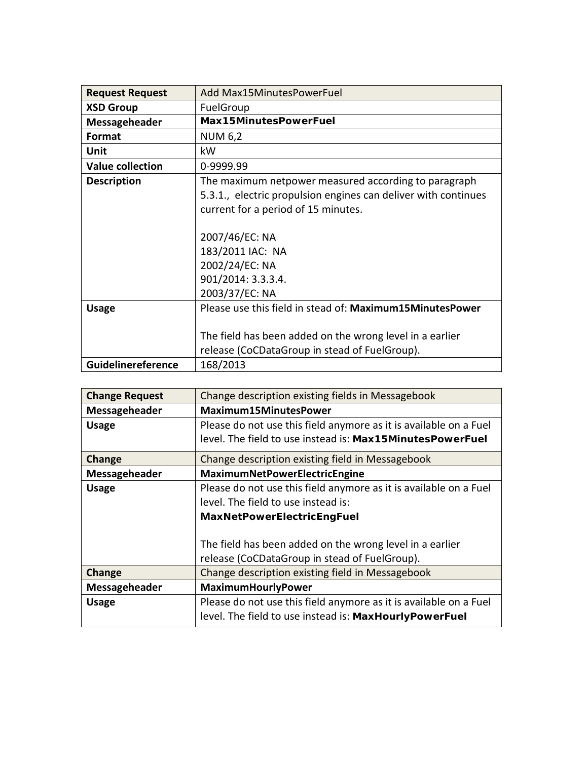| <b>Request Request</b>  | Add Max15MinutesPowerFuel                                                                                                                                                                                                                                     |
|-------------------------|---------------------------------------------------------------------------------------------------------------------------------------------------------------------------------------------------------------------------------------------------------------|
| <b>XSD Group</b>        | FuelGroup                                                                                                                                                                                                                                                     |
| Messageheader           | Max15MinutesPowerFuel                                                                                                                                                                                                                                         |
| Format                  | <b>NUM 6,2</b>                                                                                                                                                                                                                                                |
| Unit                    | kW                                                                                                                                                                                                                                                            |
| <b>Value collection</b> | 0-9999.99                                                                                                                                                                                                                                                     |
| <b>Description</b>      | The maximum netpower measured according to paragraph<br>5.3.1., electric propulsion engines can deliver with continues<br>current for a period of 15 minutes.<br>2007/46/EC: NA<br>183/2011 IAC: NA<br>2002/24/EC: NA<br>901/2014: 3.3.3.4.<br>2003/37/EC: NA |
| <b>Usage</b>            | Please use this field in stead of: Maximum15MinutesPower<br>The field has been added on the wrong level in a earlier<br>release (CoCDataGroup in stead of FuelGroup).                                                                                         |
| Guidelinereference      | 168/2013                                                                                                                                                                                                                                                      |

| <b>Change Request</b> | Change description existing fields in Messagebook                 |
|-----------------------|-------------------------------------------------------------------|
| Messageheader         | <b>Maximum15MinutesPower</b>                                      |
| <b>Usage</b>          | Please do not use this field anymore as it is available on a Fuel |
|                       | level. The field to use instead is: Max15MinutesPowerFuel         |
| Change                | Change description existing field in Messagebook                  |
| Messageheader         | MaximumNetPowerElectricEngine                                     |
| <b>Usage</b>          | Please do not use this field anymore as it is available on a Fuel |
|                       | level. The field to use instead is:                               |
|                       | <b>MaxNetPowerElectricEngFuel</b>                                 |
|                       |                                                                   |
|                       | The field has been added on the wrong level in a earlier          |
|                       | release (CoCDataGroup in stead of FuelGroup).                     |
| Change                | Change description existing field in Messagebook                  |
| Messageheader         | MaximumHourlyPower                                                |
| <b>Usage</b>          | Please do not use this field anymore as it is available on a Fuel |
|                       | level. The field to use instead is: MaxHourlyPowerFuel            |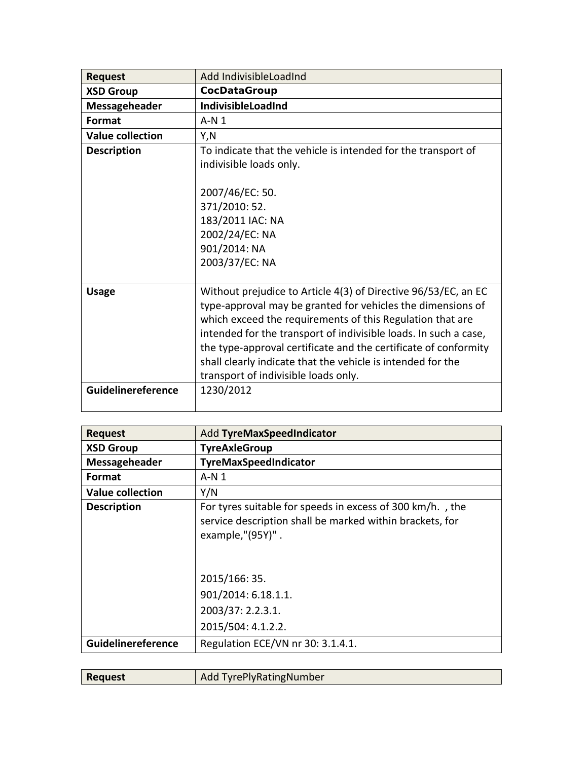| <b>Request</b>          | Add IndivisibleLoadInd                                                                                                                                                                                                                                                                                                                                                                                                                   |
|-------------------------|------------------------------------------------------------------------------------------------------------------------------------------------------------------------------------------------------------------------------------------------------------------------------------------------------------------------------------------------------------------------------------------------------------------------------------------|
| <b>XSD Group</b>        | CocDataGroup                                                                                                                                                                                                                                                                                                                                                                                                                             |
| Messageheader           | <b>IndivisibleLoadInd</b>                                                                                                                                                                                                                                                                                                                                                                                                                |
| Format                  | $A-N1$                                                                                                                                                                                                                                                                                                                                                                                                                                   |
| <b>Value collection</b> | Y,N                                                                                                                                                                                                                                                                                                                                                                                                                                      |
| <b>Description</b>      | To indicate that the vehicle is intended for the transport of                                                                                                                                                                                                                                                                                                                                                                            |
|                         | indivisible loads only.                                                                                                                                                                                                                                                                                                                                                                                                                  |
|                         | 2007/46/EC: 50.                                                                                                                                                                                                                                                                                                                                                                                                                          |
|                         | 371/2010: 52.                                                                                                                                                                                                                                                                                                                                                                                                                            |
|                         | 183/2011 IAC: NA                                                                                                                                                                                                                                                                                                                                                                                                                         |
|                         | 2002/24/EC: NA                                                                                                                                                                                                                                                                                                                                                                                                                           |
|                         | 901/2014: NA                                                                                                                                                                                                                                                                                                                                                                                                                             |
|                         | 2003/37/EC: NA                                                                                                                                                                                                                                                                                                                                                                                                                           |
|                         |                                                                                                                                                                                                                                                                                                                                                                                                                                          |
| <b>Usage</b>            | Without prejudice to Article 4(3) of Directive 96/53/EC, an EC<br>type-approval may be granted for vehicles the dimensions of<br>which exceed the requirements of this Regulation that are<br>intended for the transport of indivisible loads. In such a case,<br>the type-approval certificate and the certificate of conformity<br>shall clearly indicate that the vehicle is intended for the<br>transport of indivisible loads only. |
| Guidelinereference      | 1230/2012                                                                                                                                                                                                                                                                                                                                                                                                                                |

| <b>Request</b>          | Add TyreMaxSpeedIndicator                                                                                                                 |
|-------------------------|-------------------------------------------------------------------------------------------------------------------------------------------|
| <b>XSD Group</b>        | <b>TyreAxleGroup</b>                                                                                                                      |
| Messageheader           | TyreMaxSpeedIndicator                                                                                                                     |
| Format                  | $A-N1$                                                                                                                                    |
| <b>Value collection</b> | Y/N                                                                                                                                       |
| <b>Description</b>      | For tyres suitable for speeds in excess of 300 km/h., the<br>service description shall be marked within brackets, for<br>example,"(95Y)". |
|                         | 2015/166: 35.                                                                                                                             |
|                         | 901/2014: 6.18.1.1.                                                                                                                       |
|                         | 2003/37: 2.2.3.1.                                                                                                                         |
|                         | 2015/504: 4.1.2.2.                                                                                                                        |
| Guidelinereference      | Regulation ECE/VN nr 30: 3.1.4.1.                                                                                                         |

| <b>Request</b> | <b>Add TyrePlyRatingNumber</b> |
|----------------|--------------------------------|
|                |                                |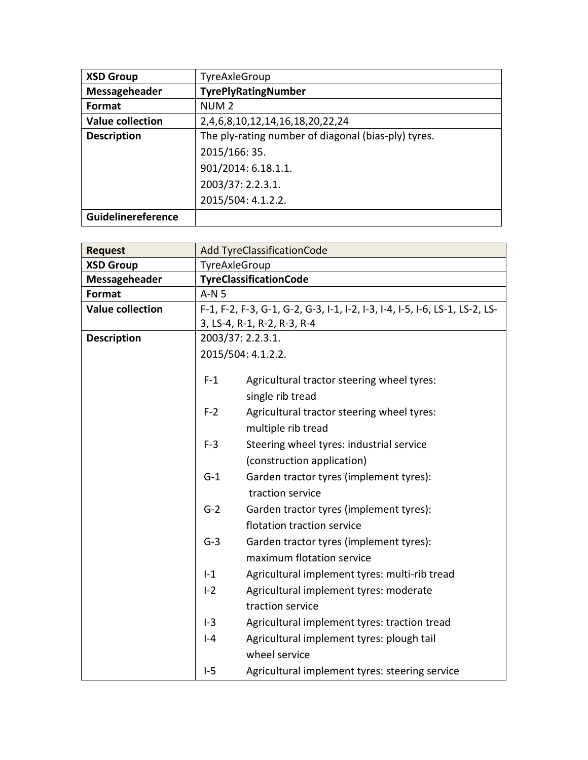| <b>XSD Group</b>        | TyreAxleGroup                                       |
|-------------------------|-----------------------------------------------------|
| Messageheader           | <b>TyrePlyRatingNumber</b>                          |
| Format                  | NUM <sub>2</sub>                                    |
| <b>Value collection</b> | 2,4,6,8,10,12,14,16,18,20,22,24                     |
| <b>Description</b>      | The ply-rating number of diagonal (bias-ply) tyres. |
|                         | 2015/166: 35.                                       |
|                         | 901/2014: 6.18.1.1.                                 |
|                         | 2003/37: 2.2.3.1.                                   |
|                         | 2015/504: 4.1.2.2.                                  |
| Guidelinereference      |                                                     |

| <b>Request</b>          |               | <b>Add TyreClassificationCode</b>                                           |
|-------------------------|---------------|-----------------------------------------------------------------------------|
| <b>XSD Group</b>        | TyreAxleGroup |                                                                             |
| <b>Messageheader</b>    |               | <b>TyreClassificationCode</b>                                               |
| Format                  | $A-N5$        |                                                                             |
| <b>Value collection</b> |               | F-1, F-2, F-3, G-1, G-2, G-3, I-1, I-2, I-3, I-4, I-5, I-6, LS-1, LS-2, LS- |
|                         |               | 3, LS-4, R-1, R-2, R-3, R-4                                                 |
| <b>Description</b>      |               | 2003/37: 2.2.3.1.                                                           |
|                         |               | 2015/504: 4.1.2.2.                                                          |
|                         |               |                                                                             |
|                         | $F-1$         | Agricultural tractor steering wheel tyres:                                  |
|                         |               | single rib tread                                                            |
|                         | $F-2$         | Agricultural tractor steering wheel tyres:                                  |
|                         |               | multiple rib tread                                                          |
|                         | $F-3$         | Steering wheel tyres: industrial service                                    |
|                         |               | (construction application)                                                  |
|                         | $G-1$         | Garden tractor tyres (implement tyres):                                     |
|                         |               | traction service                                                            |
|                         | $G-2$         | Garden tractor tyres (implement tyres):                                     |
|                         |               | flotation traction service                                                  |
|                         | $G-3$         | Garden tractor tyres (implement tyres):                                     |
|                         |               | maximum flotation service                                                   |
|                         | $-1$          | Agricultural implement tyres: multi-rib tread                               |
|                         | $I-2$         | Agricultural implement tyres: moderate                                      |
|                         |               | traction service                                                            |
|                         | $I-3$         |                                                                             |
|                         |               | Agricultural implement tyres: traction tread                                |
|                         | $ -4$         | Agricultural implement tyres: plough tail                                   |
|                         |               | wheel service                                                               |
|                         | $I-5$         | Agricultural implement tyres: steering service                              |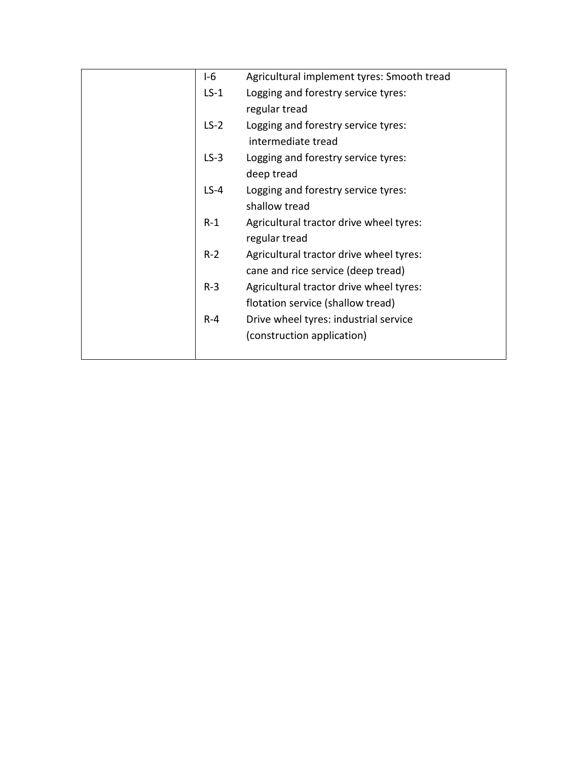| $1-6$  | Agricultural implement tyres: Smooth tread |
|--------|--------------------------------------------|
| $LS-1$ | Logging and forestry service tyres:        |
|        | regular tread                              |
| $LS-2$ | Logging and forestry service tyres:        |
|        | intermediate tread                         |
| $LS-3$ | Logging and forestry service tyres:        |
|        | deep tread                                 |
| $LS-4$ | Logging and forestry service tyres:        |
|        | shallow tread                              |
| $R-1$  | Agricultural tractor drive wheel tyres:    |
|        | regular tread                              |
| $R-2$  | Agricultural tractor drive wheel tyres:    |
|        | cane and rice service (deep tread)         |
| $R-3$  | Agricultural tractor drive wheel tyres:    |
|        | flotation service (shallow tread)          |
| $R-4$  | Drive wheel tyres: industrial service      |
|        | (construction application)                 |
|        |                                            |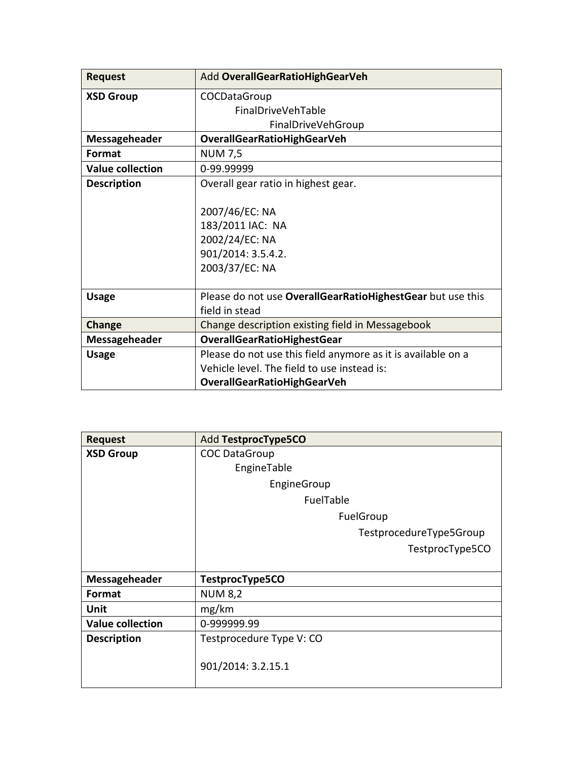| <b>Request</b>          | Add OverallGearRatioHighGearVeh                              |
|-------------------------|--------------------------------------------------------------|
| <b>XSD Group</b>        | COCDataGroup                                                 |
|                         | FinalDriveVehTable                                           |
|                         | FinalDriveVehGroup                                           |
| Messageheader           | <b>OverallGearRatioHighGearVeh</b>                           |
| Format                  | <b>NUM 7,5</b>                                               |
| <b>Value collection</b> | 0-99.99999                                                   |
| <b>Description</b>      | Overall gear ratio in highest gear.                          |
|                         |                                                              |
|                         | 2007/46/EC: NA                                               |
|                         | 183/2011 IAC: NA                                             |
|                         | 2002/24/EC: NA                                               |
|                         | 901/2014: 3.5.4.2.                                           |
|                         | 2003/37/EC: NA                                               |
|                         |                                                              |
| <b>Usage</b>            | Please do not use OverallGearRatioHighestGear but use this   |
|                         | field in stead                                               |
| Change                  | Change description existing field in Messagebook             |
| Messageheader           | <b>OverallGearRatioHighestGear</b>                           |
| <b>Usage</b>            | Please do not use this field anymore as it is available on a |
|                         | Vehicle level. The field to use instead is:                  |
|                         | <b>OverallGearRatioHighGearVeh</b>                           |

| <b>Request</b>          | Add TestprocType5CO      |
|-------------------------|--------------------------|
| <b>XSD Group</b>        | <b>COC DataGroup</b>     |
|                         | EngineTable              |
|                         | EngineGroup              |
|                         | FuelTable                |
|                         | FuelGroup                |
|                         | TestprocedureType5Group  |
|                         | TestprocType5CO          |
|                         |                          |
| Messageheader           | TestprocType5CO          |
| Format                  | <b>NUM 8,2</b>           |
| Unit                    | mg/km                    |
| <b>Value collection</b> | 0-999999.99              |
| <b>Description</b>      | Testprocedure Type V: CO |
|                         | 901/2014: 3.2.15.1       |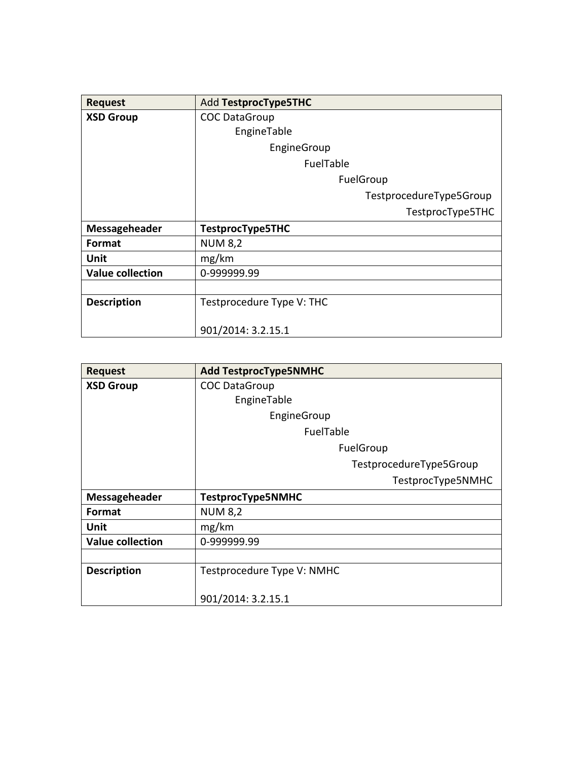| <b>Request</b>          | Add TestprocType5THC      |
|-------------------------|---------------------------|
| <b>XSD Group</b>        | <b>COC DataGroup</b>      |
|                         | EngineTable               |
|                         | EngineGroup               |
|                         | FuelTable                 |
|                         | FuelGroup                 |
|                         | TestprocedureType5Group   |
|                         | TestprocType5THC          |
| Messageheader           | TestprocType5THC          |
| <b>Format</b>           | <b>NUM 8,2</b>            |
| Unit                    | mg/km                     |
| <b>Value collection</b> | 0-999999.99               |
|                         |                           |
| <b>Description</b>      | Testprocedure Type V: THC |
|                         |                           |
|                         | 901/2014: 3.2.15.1        |

| <b>Request</b>          | <b>Add TestprocType5NMHC</b> |
|-------------------------|------------------------------|
| <b>XSD Group</b>        | <b>COC DataGroup</b>         |
|                         | EngineTable                  |
|                         | EngineGroup                  |
|                         | FuelTable                    |
|                         | FuelGroup                    |
|                         | TestprocedureType5Group      |
|                         | TestprocType5NMHC            |
| Messageheader           | TestprocType5NMHC            |
| Format                  | <b>NUM 8,2</b>               |
| Unit                    | mg/km                        |
| <b>Value collection</b> | 0-999999.99                  |
|                         |                              |
| <b>Description</b>      | Testprocedure Type V: NMHC   |
|                         |                              |
|                         | 901/2014: 3.2.15.1           |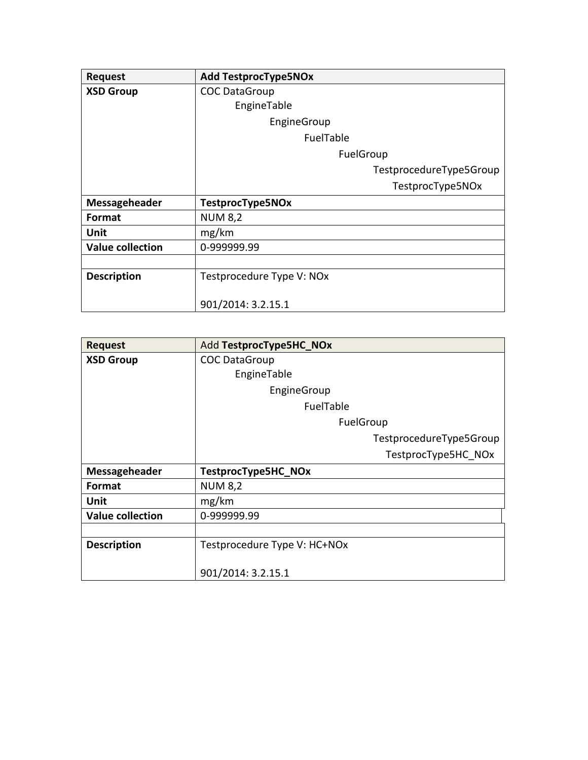| <b>Request</b>          | <b>Add TestprocType5NOx</b> |
|-------------------------|-----------------------------|
| <b>XSD Group</b>        | <b>COC DataGroup</b>        |
|                         | EngineTable                 |
|                         | EngineGroup                 |
|                         | FuelTable                   |
|                         | FuelGroup                   |
|                         | TestprocedureType5Group     |
|                         | TestprocType5NOx            |
| Messageheader           | TestprocType5NOx            |
| Format                  | <b>NUM 8,2</b>              |
| Unit                    | mg/km                       |
| <b>Value collection</b> | 0-999999.99                 |
|                         |                             |
| <b>Description</b>      | Testprocedure Type V: NOx   |
|                         |                             |
|                         | 901/2014: 3.2.15.1          |

| <b>Request</b>          | Add TestprocType5HC NOx      |
|-------------------------|------------------------------|
| <b>XSD Group</b>        | <b>COC DataGroup</b>         |
|                         | EngineTable                  |
|                         | EngineGroup                  |
|                         | FuelTable                    |
|                         | FuelGroup                    |
|                         | TestprocedureType5Group      |
|                         | TestprocType5HC NOx          |
| Messageheader           | TestprocType5HC_NOx          |
| Format                  | <b>NUM 8,2</b>               |
| Unit                    | mg/km                        |
| <b>Value collection</b> | 0-999999.99                  |
|                         |                              |
| <b>Description</b>      | Testprocedure Type V: HC+NOx |
|                         |                              |
|                         | 901/2014: 3.2.15.1           |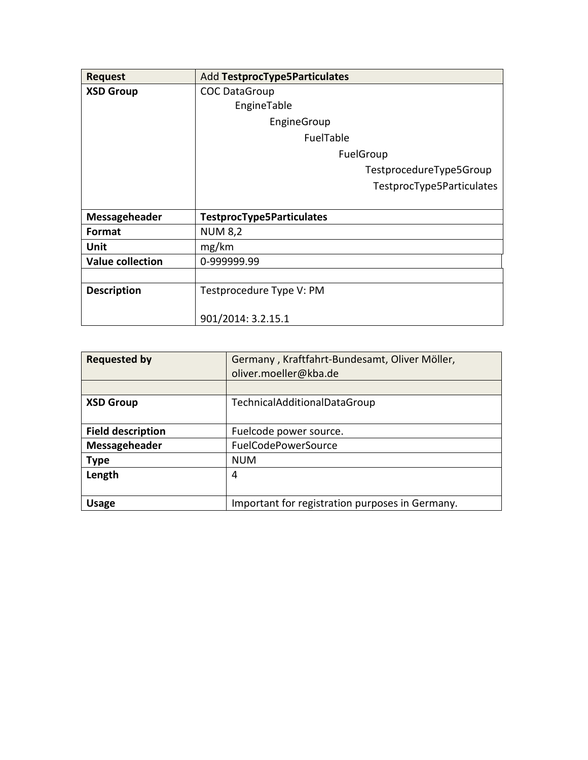| <b>Request</b>          | Add TestprocType5Particulates    |
|-------------------------|----------------------------------|
| <b>XSD Group</b>        | <b>COC DataGroup</b>             |
|                         | EngineTable                      |
|                         | EngineGroup                      |
|                         | FuelTable                        |
|                         | FuelGroup                        |
|                         | TestprocedureType5Group          |
|                         | TestprocType5Particulates        |
|                         |                                  |
| Messageheader           | <b>TestprocType5Particulates</b> |
| Format                  | <b>NUM 8,2</b>                   |
| Unit                    | mg/km                            |
| <b>Value collection</b> | 0-999999.99                      |
|                         |                                  |
| <b>Description</b>      | Testprocedure Type V: PM         |
|                         |                                  |
|                         | 901/2014: 3.2.15.1               |

| <b>Requested by</b>      | Germany, Kraftfahrt-Bundesamt, Oliver Möller,   |
|--------------------------|-------------------------------------------------|
|                          | oliver.moeller@kba.de                           |
|                          |                                                 |
| <b>XSD Group</b>         | Technical Additional Data Group                 |
| <b>Field description</b> | Fuelcode power source.                          |
| Messageheader            | FuelCodePowerSource                             |
| <b>Type</b>              | <b>NUM</b>                                      |
| Length                   | 4                                               |
| <b>Usage</b>             | Important for registration purposes in Germany. |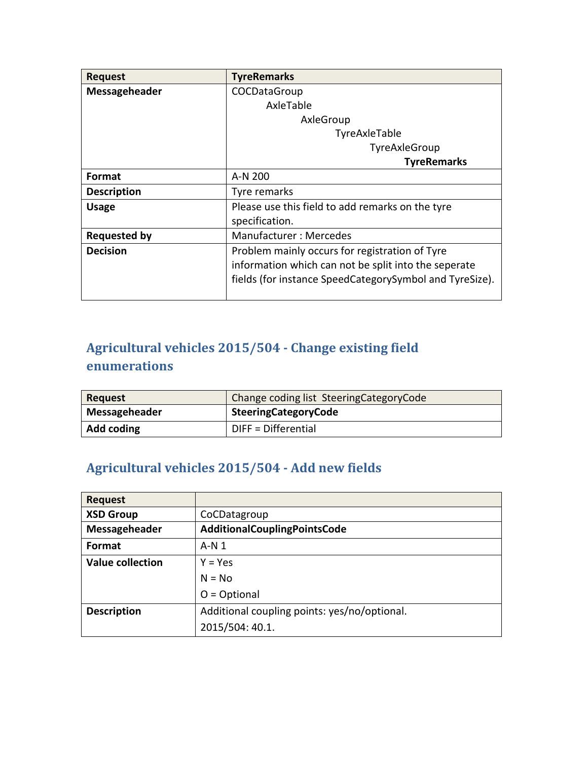| <b>Request</b>      | <b>TyreRemarks</b>                                      |
|---------------------|---------------------------------------------------------|
| Messageheader       | COCDataGroup                                            |
|                     | AxleTable                                               |
|                     | AxleGroup                                               |
|                     | TyreAxleTable                                           |
|                     | TyreAxleGroup                                           |
|                     | <b>TyreRemarks</b>                                      |
| <b>Format</b>       | A-N 200                                                 |
| <b>Description</b>  | Tyre remarks                                            |
| <b>Usage</b>        | Please use this field to add remarks on the tyre        |
|                     | specification.                                          |
| <b>Requested by</b> | Manufacturer: Mercedes                                  |
| <b>Decision</b>     | Problem mainly occurs for registration of Tyre          |
|                     | information which can not be split into the seperate    |
|                     | fields (for instance SpeedCategorySymbol and TyreSize). |
|                     |                                                         |

### **Agricultural vehicles 2015/504 - Change existing field enumerations**

| Request       | Change coding list Steering Category Code |
|---------------|-------------------------------------------|
| Messageheader | <b>SteeringCategoryCode</b>               |
| Add coding    | $D$ IFF = Differential                    |

### **Agricultural vehicles 2015/504 - Add new fields**

| <b>Request</b>          |                                              |
|-------------------------|----------------------------------------------|
| <b>XSD Group</b>        | CoCDatagroup                                 |
| Messageheader           | AdditionalCouplingPointsCode                 |
| Format                  | A-N 1                                        |
| <b>Value collection</b> | $Y = Yes$                                    |
|                         | $N = No$                                     |
|                         | $O = Optional$                               |
| <b>Description</b>      | Additional coupling points: yes/no/optional. |
|                         | 2015/504: 40.1.                              |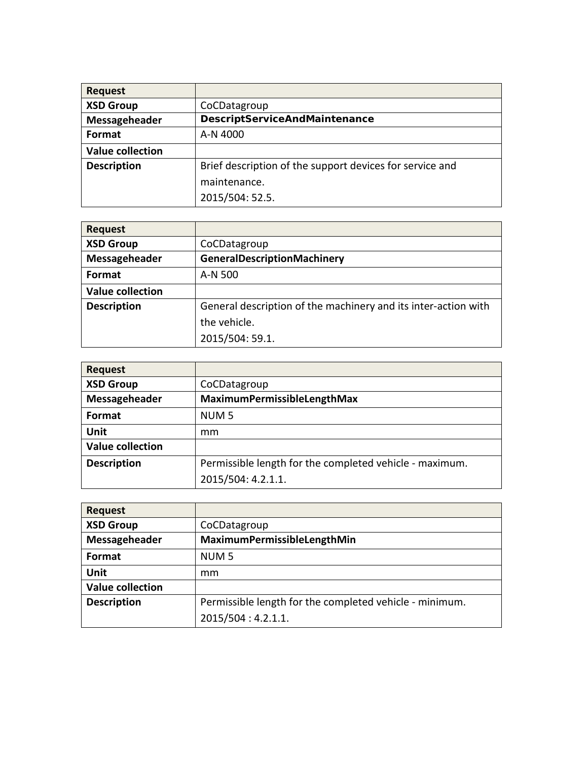| <b>Request</b>          |                                                          |
|-------------------------|----------------------------------------------------------|
| <b>XSD Group</b>        | CoCDatagroup                                             |
| Messageheader           | <b>DescriptServiceAndMaintenance</b>                     |
| Format                  | A-N 4000                                                 |
| <b>Value collection</b> |                                                          |
| <b>Description</b>      | Brief description of the support devices for service and |
|                         | maintenance.                                             |
|                         | 2015/504: 52.5.                                          |

| <b>Request</b>          |                                                                |
|-------------------------|----------------------------------------------------------------|
| <b>XSD Group</b>        | CoCDatagroup                                                   |
| Messageheader           | <b>GeneralDescriptionMachinery</b>                             |
| Format                  | A-N 500                                                        |
| <b>Value collection</b> |                                                                |
| <b>Description</b>      | General description of the machinery and its inter-action with |
|                         | the vehicle.                                                   |
|                         | 2015/504: 59.1.                                                |

| <b>Request</b>          |                                                         |
|-------------------------|---------------------------------------------------------|
| <b>XSD Group</b>        | CoCDatagroup                                            |
| Messageheader           | MaximumPermissibleLengthMax                             |
| Format                  | NUM <sub>5</sub>                                        |
| Unit                    | mm                                                      |
| <b>Value collection</b> |                                                         |
| <b>Description</b>      | Permissible length for the completed vehicle - maximum. |
|                         | 2015/504: 4.2.1.1.                                      |

| <b>Request</b>          |                                                         |
|-------------------------|---------------------------------------------------------|
| <b>XSD Group</b>        | CoCDatagroup                                            |
| Messageheader           | MaximumPermissibleLengthMin                             |
| <b>Format</b>           | NUM <sub>5</sub>                                        |
| Unit                    | mm                                                      |
| <b>Value collection</b> |                                                         |
| <b>Description</b>      | Permissible length for the completed vehicle - minimum. |
|                         | 2015/504: 4.2.1.1.                                      |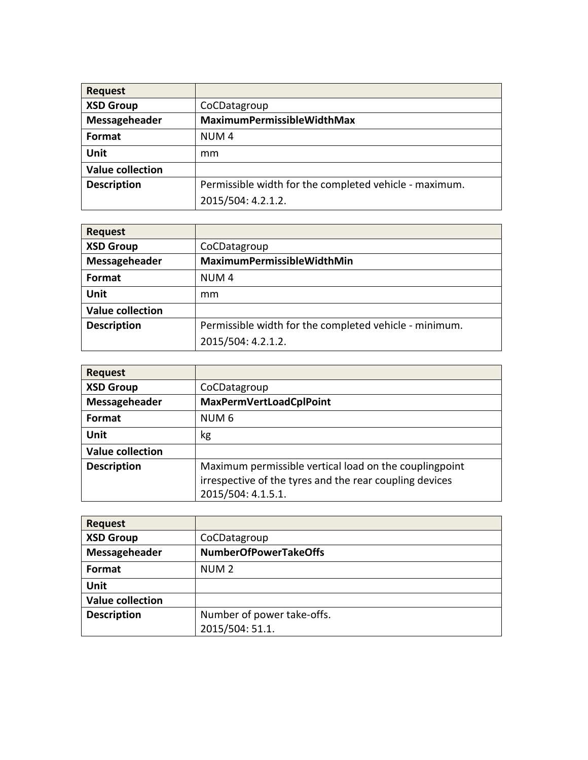| <b>Request</b>          |                                                        |
|-------------------------|--------------------------------------------------------|
| <b>XSD Group</b>        | CoCDatagroup                                           |
| Messageheader           | MaximumPermissibleWidthMax                             |
| Format                  | NUM <sub>4</sub>                                       |
| Unit                    | mm                                                     |
| <b>Value collection</b> |                                                        |
| <b>Description</b>      | Permissible width for the completed vehicle - maximum. |
|                         | 2015/504: 4.2.1.2.                                     |

| <b>Request</b>          |                                                        |
|-------------------------|--------------------------------------------------------|
| <b>XSD Group</b>        | CoCDatagroup                                           |
| Messageheader           | MaximumPermissibleWidthMin                             |
| Format                  | NUM <sub>4</sub>                                       |
| Unit                    | mm                                                     |
| <b>Value collection</b> |                                                        |
| <b>Description</b>      | Permissible width for the completed vehicle - minimum. |
|                         | 2015/504: 4.2.1.2.                                     |

| <b>Request</b>          |                                                                                                                                         |
|-------------------------|-----------------------------------------------------------------------------------------------------------------------------------------|
| <b>XSD Group</b>        | CoCDatagroup                                                                                                                            |
| Messageheader           | <b>MaxPermVertLoadCplPoint</b>                                                                                                          |
| Format                  | NUM <sub>6</sub>                                                                                                                        |
| Unit                    | kg                                                                                                                                      |
| <b>Value collection</b> |                                                                                                                                         |
| <b>Description</b>      | Maximum permissible vertical load on the couplingpoint<br>irrespective of the tyres and the rear coupling devices<br>2015/504: 4.1.5.1. |

| <b>Request</b>          |                              |
|-------------------------|------------------------------|
| <b>XSD Group</b>        | CoCDatagroup                 |
| Messageheader           | <b>NumberOfPowerTakeOffs</b> |
| Format                  | NUM <sub>2</sub>             |
| Unit                    |                              |
| <b>Value collection</b> |                              |
| <b>Description</b>      | Number of power take-offs.   |
|                         | 2015/504: 51.1.              |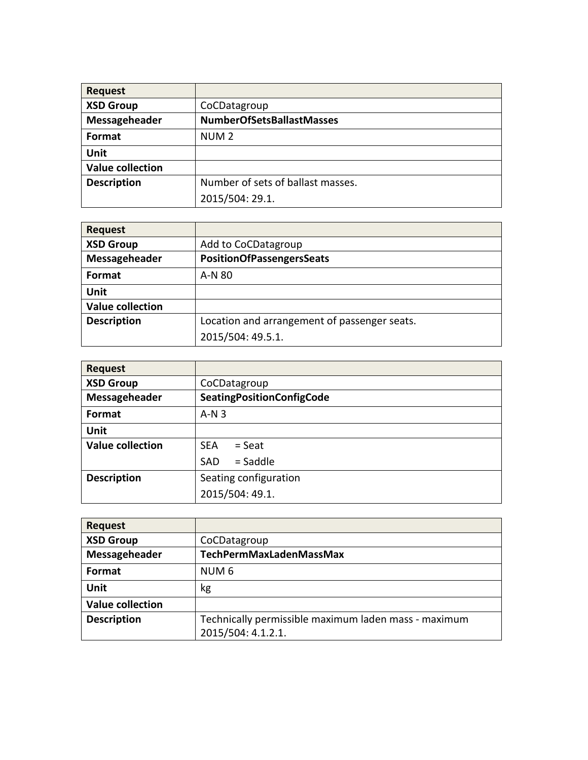| <b>Request</b>          |                                   |
|-------------------------|-----------------------------------|
| <b>XSD Group</b>        | CoCDatagroup                      |
| Messageheader           | <b>NumberOfSetsBallastMasses</b>  |
| Format                  | NUM <sub>2</sub>                  |
| Unit                    |                                   |
| <b>Value collection</b> |                                   |
| <b>Description</b>      | Number of sets of ballast masses. |
|                         | 2015/504: 29.1.                   |

| <b>Request</b>          |                                              |
|-------------------------|----------------------------------------------|
| <b>XSD Group</b>        | Add to CoCDatagroup                          |
| Messageheader           | PositionOfPassengersSeats                    |
| <b>Format</b>           | A-N 80                                       |
| Unit                    |                                              |
| <b>Value collection</b> |                                              |
| <b>Description</b>      | Location and arrangement of passenger seats. |
|                         | 2015/504: 49.5.1.                            |

| <b>Request</b>          |                                  |
|-------------------------|----------------------------------|
| <b>XSD Group</b>        | CoCDatagroup                     |
| Messageheader           | <b>SeatingPositionConfigCode</b> |
| Format                  | $A-N3$                           |
| <b>Unit</b>             |                                  |
| <b>Value collection</b> | <b>SEA</b><br>$=$ Seat           |
|                         | $=$ Saddle<br><b>SAD</b>         |
| <b>Description</b>      | Seating configuration            |
|                         | 2015/504: 49.1.                  |

| <b>Request</b>          |                                                      |
|-------------------------|------------------------------------------------------|
| <b>XSD Group</b>        | CoCDatagroup                                         |
| Messageheader           | TechPermMaxLadenMassMax                              |
| Format                  | NUM <sub>6</sub>                                     |
| Unit                    | kg                                                   |
| <b>Value collection</b> |                                                      |
| <b>Description</b>      | Technically permissible maximum laden mass - maximum |
|                         | 2015/504: 4.1.2.1.                                   |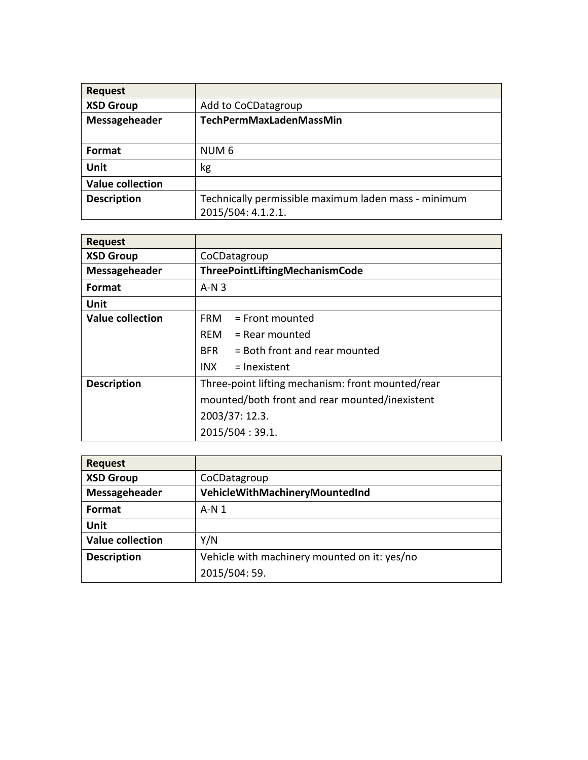| <b>Request</b>          |                                                      |
|-------------------------|------------------------------------------------------|
| <b>XSD Group</b>        | Add to CoCDatagroup                                  |
| Messageheader           | TechPermMaxLadenMassMin                              |
|                         |                                                      |
| Format                  | NUM <sub>6</sub>                                     |
| Unit                    | kg                                                   |
| <b>Value collection</b> |                                                      |
| <b>Description</b>      | Technically permissible maximum laden mass - minimum |
|                         | 2015/504: 4.1.2.1.                                   |

| <b>Request</b>          |                                                   |
|-------------------------|---------------------------------------------------|
| <b>XSD Group</b>        | CoCDatagroup                                      |
| Messageheader           | ThreePointLiftingMechanismCode                    |
| Format                  | $A-N3$                                            |
| Unit                    |                                                   |
| <b>Value collection</b> | <b>FRM</b><br>$=$ Front mounted                   |
|                         | $RFM = Rear mounted$                              |
|                         | = Both front and rear mounted<br><b>BFR</b>       |
|                         | INX.<br>$=$ Inexistent                            |
| <b>Description</b>      | Three-point lifting mechanism: front mounted/rear |
|                         | mounted/both front and rear mounted/inexistent    |
|                         | 2003/37: 12.3.                                    |
|                         | 2015/504:39.1.                                    |

| <b>Request</b>          |                                              |
|-------------------------|----------------------------------------------|
| <b>XSD Group</b>        | CoCDatagroup                                 |
| Messageheader           | VehicleWithMachineryMountedInd               |
| <b>Format</b>           | $A-N1$                                       |
| Unit                    |                                              |
| <b>Value collection</b> | Y/N                                          |
| <b>Description</b>      | Vehicle with machinery mounted on it: yes/no |
|                         | 2015/504:59.                                 |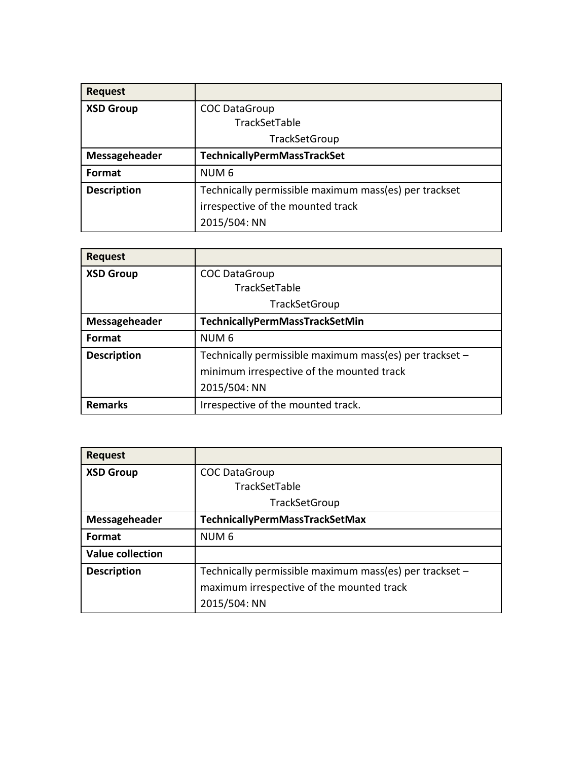| <b>Request</b>     |                                                       |
|--------------------|-------------------------------------------------------|
| <b>XSD Group</b>   | <b>COC DataGroup</b>                                  |
|                    | TrackSetTable                                         |
|                    | TrackSetGroup                                         |
| Messageheader      | TechnicallyPermMassTrackSet                           |
| Format             | NUM <sub>6</sub>                                      |
| <b>Description</b> | Technically permissible maximum mass(es) per trackset |
|                    | irrespective of the mounted track                     |
|                    | 2015/504: NN                                          |

| <b>Request</b>     |                                                         |
|--------------------|---------------------------------------------------------|
| <b>XSD Group</b>   | <b>COC DataGroup</b>                                    |
|                    | TrackSetTable                                           |
|                    | <b>TrackSetGroup</b>                                    |
| Messageheader      | TechnicallyPermMassTrackSetMin                          |
| <b>Format</b>      | NUM <sub>6</sub>                                        |
| <b>Description</b> | Technically permissible maximum mass(es) per trackset - |
|                    | minimum irrespective of the mounted track               |
|                    | 2015/504: NN                                            |
| <b>Remarks</b>     | Irrespective of the mounted track.                      |

| <b>Request</b>          |                                                         |
|-------------------------|---------------------------------------------------------|
| <b>XSD Group</b>        | <b>COC DataGroup</b>                                    |
|                         | TrackSetTable                                           |
|                         | TrackSetGroup                                           |
| Messageheader           | TechnicallyPermMassTrackSetMax                          |
| <b>Format</b>           | NUM <sub>6</sub>                                        |
| <b>Value collection</b> |                                                         |
| <b>Description</b>      | Technically permissible maximum mass(es) per trackset - |
|                         | maximum irrespective of the mounted track               |
|                         | 2015/504: NN                                            |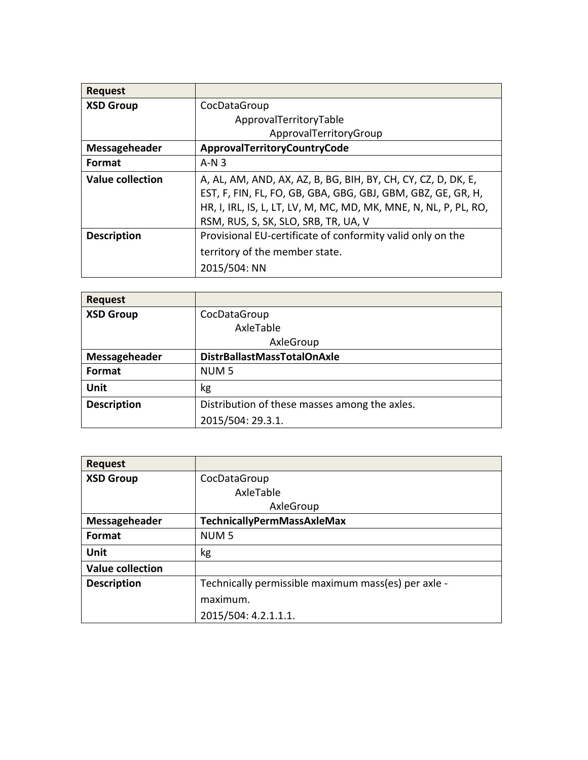| <b>Request</b>          |                                                                  |
|-------------------------|------------------------------------------------------------------|
| <b>XSD Group</b>        | CocDataGroup                                                     |
|                         | ApprovalTerritoryTable                                           |
|                         | ApprovalTerritoryGroup                                           |
| Messageheader           | ApprovalTerritoryCountryCode                                     |
| <b>Format</b>           | $A-N3$                                                           |
| <b>Value collection</b> | A, AL, AM, AND, AX, AZ, B, BG, BIH, BY, CH, CY, CZ, D, DK, E,    |
|                         | EST, F, FIN, FL, FO, GB, GBA, GBG, GBJ, GBM, GBZ, GE, GR, H,     |
|                         | HR, I, IRL, IS, L, LT, LV, M, MC, MD, MK, MNE, N, NL, P, PL, RO, |
|                         | RSM, RUS, S, SK, SLO, SRB, TR, UA, V                             |
| <b>Description</b>      | Provisional EU-certificate of conformity valid only on the       |
|                         | territory of the member state.                                   |
|                         | 2015/504: NN                                                     |

| <b>Request</b>     |                                               |
|--------------------|-----------------------------------------------|
| <b>XSD Group</b>   | CocDataGroup                                  |
|                    | AxleTable                                     |
|                    | AxleGroup                                     |
| Messageheader      | DistrBallastMassTotalOnAxle                   |
| Format             | NUM <sub>5</sub>                              |
| Unit               | kg                                            |
| <b>Description</b> | Distribution of these masses among the axles. |
|                    | 2015/504: 29.3.1.                             |

| <b>Request</b>          |                                                     |
|-------------------------|-----------------------------------------------------|
| <b>XSD Group</b>        | CocDataGroup                                        |
|                         | AxleTable                                           |
|                         | AxleGroup                                           |
| Messageheader           | TechnicallyPermMassAxleMax                          |
| <b>Format</b>           | NUM <sub>5</sub>                                    |
| Unit                    | kg                                                  |
| <b>Value collection</b> |                                                     |
| <b>Description</b>      | Technically permissible maximum mass(es) per axle - |
|                         | maximum.                                            |
|                         | 2015/504: 4.2.1.1.1.                                |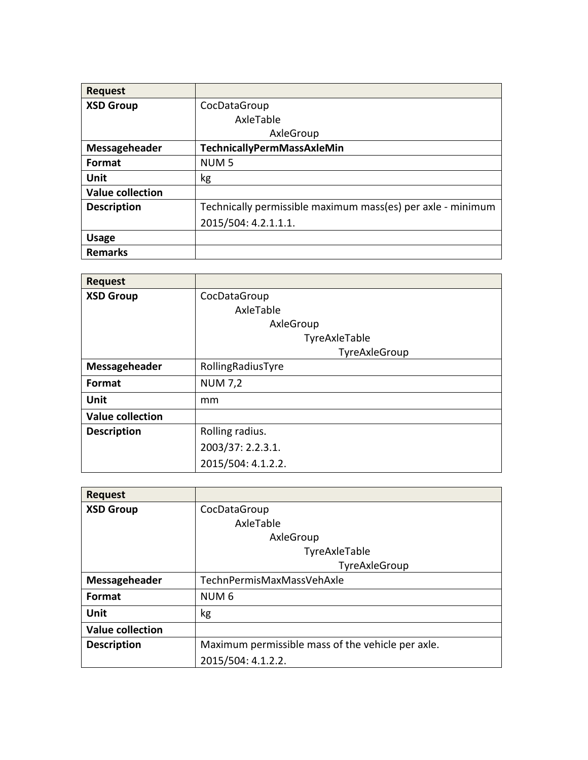| <b>Request</b>          |                                                             |
|-------------------------|-------------------------------------------------------------|
| <b>XSD Group</b>        | CocDataGroup                                                |
|                         | AxleTable                                                   |
|                         | AxleGroup                                                   |
| Messageheader           | TechnicallyPermMassAxleMin                                  |
| Format                  | NUM <sub>5</sub>                                            |
| Unit                    | kg                                                          |
| <b>Value collection</b> |                                                             |
| <b>Description</b>      | Technically permissible maximum mass(es) per axle - minimum |
|                         | 2015/504: 4.2.1.1.1.                                        |
| <b>Usage</b>            |                                                             |
| <b>Remarks</b>          |                                                             |

| <b>Request</b>          |                    |
|-------------------------|--------------------|
| <b>XSD Group</b>        | CocDataGroup       |
|                         | AxleTable          |
|                         | AxleGroup          |
|                         | TyreAxleTable      |
|                         | TyreAxleGroup      |
| Messageheader           | RollingRadiusTyre  |
| Format                  | <b>NUM 7,2</b>     |
| Unit                    | mm                 |
| <b>Value collection</b> |                    |
| <b>Description</b>      | Rolling radius.    |
|                         | 2003/37: 2.2.3.1.  |
|                         | 2015/504: 4.1.2.2. |

| <b>Request</b>          |                                                   |
|-------------------------|---------------------------------------------------|
| <b>XSD Group</b>        | CocDataGroup                                      |
|                         | AxleTable                                         |
|                         | AxleGroup                                         |
|                         | TyreAxleTable                                     |
|                         | TyreAxleGroup                                     |
| Messageheader           | TechnPermisMaxMassVehAxle                         |
| Format                  | NUM <sub>6</sub>                                  |
| Unit                    | kg                                                |
| <b>Value collection</b> |                                                   |
| <b>Description</b>      | Maximum permissible mass of the vehicle per axle. |
|                         | 2015/504: 4.1.2.2.                                |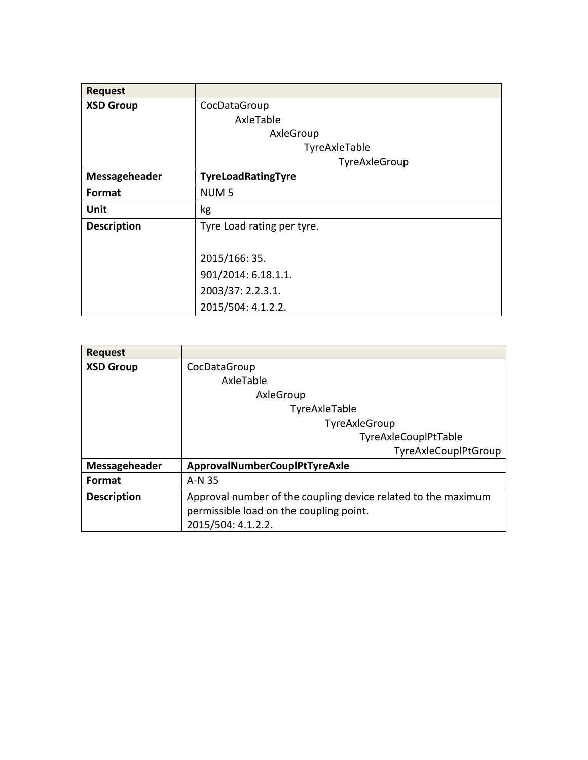| <b>Request</b>     |                            |
|--------------------|----------------------------|
| <b>XSD Group</b>   | CocDataGroup               |
|                    | AxleTable                  |
|                    | AxleGroup                  |
|                    | TyreAxleTable              |
|                    | TyreAxleGroup              |
| Messageheader      | TyreLoadRatingTyre         |
| Format             | NUM <sub>5</sub>           |
| Unit               | kg                         |
| <b>Description</b> | Tyre Load rating per tyre. |
|                    |                            |
|                    | 2015/166: 35.              |
|                    | 901/2014: 6.18.1.1.        |
|                    | 2003/37: 2.2.3.1.          |
|                    | 2015/504: 4.1.2.2.         |

| <b>Request</b>     |                                                               |
|--------------------|---------------------------------------------------------------|
| <b>XSD Group</b>   | CocDataGroup                                                  |
|                    | AxleTable                                                     |
|                    | AxleGroup                                                     |
|                    | TyreAxleTable                                                 |
|                    | TyreAxleGroup                                                 |
|                    | TyreAxleCouplPtTable                                          |
|                    | TyreAxleCouplPtGroup                                          |
| Messageheader      | ApprovalNumberCouplPtTyreAxle                                 |
| Format             | A-N 35                                                        |
| <b>Description</b> | Approval number of the coupling device related to the maximum |
|                    | permissible load on the coupling point.                       |
|                    | 2015/504: 4.1.2.2.                                            |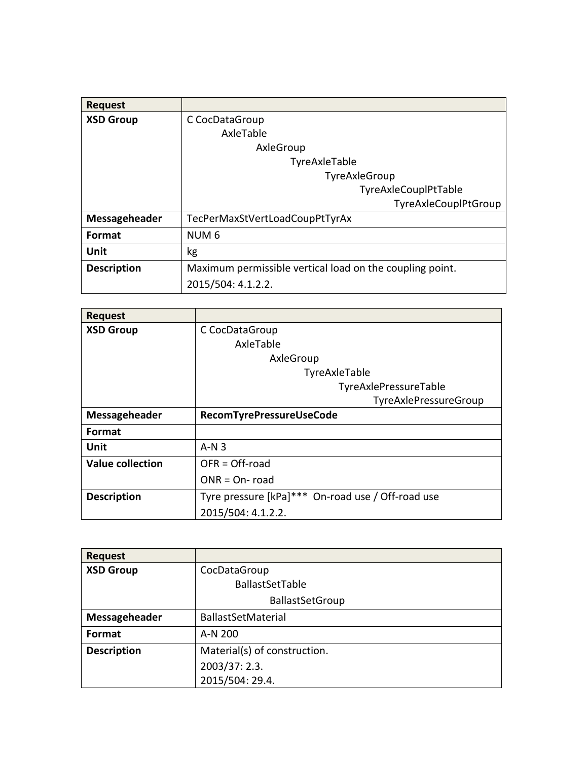| <b>Request</b>     |                                                          |
|--------------------|----------------------------------------------------------|
| <b>XSD Group</b>   | C CocDataGroup                                           |
|                    | AxleTable                                                |
|                    | AxleGroup                                                |
|                    | TyreAxleTable                                            |
|                    | TyreAxleGroup                                            |
|                    | TyreAxleCouplPtTable                                     |
|                    | TyreAxleCouplPtGroup                                     |
| Messageheader      | TecPerMaxStVertLoadCoupPtTyrAx                           |
| <b>Format</b>      | NUM <sub>6</sub>                                         |
| Unit               | kg                                                       |
| <b>Description</b> | Maximum permissible vertical load on the coupling point. |
|                    | 2015/504: 4.1.2.2.                                       |

| <b>Request</b>          |                                                   |
|-------------------------|---------------------------------------------------|
| <b>XSD Group</b>        | C CocDataGroup                                    |
|                         | AxleTable                                         |
|                         | AxleGroup                                         |
|                         | TyreAxleTable                                     |
|                         | TyreAxlePressureTable                             |
|                         | TyreAxlePressureGroup                             |
| Messageheader           | RecomTyrePressureUseCode                          |
| Format                  |                                                   |
| Unit                    | $A \cdot N$ 3                                     |
| <b>Value collection</b> | $OFR = Off-road$                                  |
|                         | $ONR = On$ -road                                  |
| <b>Description</b>      | Tyre pressure [kPa]*** On-road use / Off-road use |
|                         | 2015/504: 4.1.2.2.                                |

| <b>Request</b>     |                              |
|--------------------|------------------------------|
| <b>XSD Group</b>   | CocDataGroup                 |
|                    | BallastSetTable              |
|                    | <b>BallastSetGroup</b>       |
| Messageheader      | BallastSetMaterial           |
| Format             | A-N 200                      |
| <b>Description</b> | Material(s) of construction. |
|                    | 2003/37: 2.3.                |
|                    | 2015/504: 29.4.              |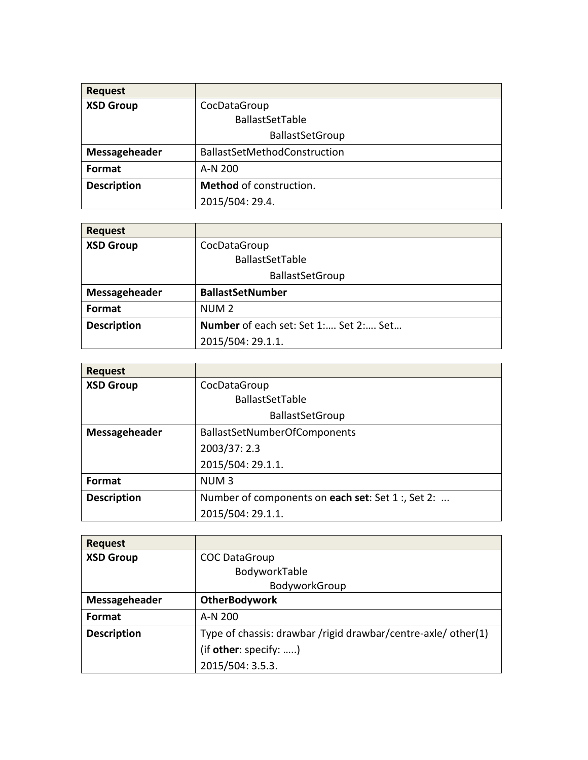| <b>Request</b>     |                              |
|--------------------|------------------------------|
| <b>XSD Group</b>   | CocDataGroup                 |
|                    | <b>BallastSetTable</b>       |
|                    | <b>BallastSetGroup</b>       |
| Messageheader      | BallastSetMethodConstruction |
| Format             | A-N 200                      |
| <b>Description</b> | Method of construction.      |
|                    | 2015/504: 29.4.              |

| <b>Request</b>     |                                       |
|--------------------|---------------------------------------|
| <b>XSD Group</b>   | CocDataGroup                          |
|                    | BallastSetTable                       |
|                    | <b>BallastSetGroup</b>                |
| Messageheader      | <b>BallastSetNumber</b>               |
| <b>Format</b>      | NUM <sub>2</sub>                      |
| <b>Description</b> | Number of each set: Set 1: Set 2: Set |
|                    | 2015/504: 29.1.1.                     |

| <b>Request</b>     |                                                   |
|--------------------|---------------------------------------------------|
| <b>XSD Group</b>   | CocDataGroup                                      |
|                    | <b>BallastSetTable</b>                            |
|                    | <b>BallastSetGroup</b>                            |
| Messageheader      | <b>BallastSetNumberOfComponents</b>               |
|                    | 2003/37: 2.3                                      |
|                    | 2015/504: 29.1.1.                                 |
| Format             | NUM <sub>3</sub>                                  |
| <b>Description</b> | Number of components on each set: Set 1 :, Set 2: |
|                    | 2015/504: 29.1.1.                                 |

| <b>Request</b>     |                                                               |
|--------------------|---------------------------------------------------------------|
| <b>XSD Group</b>   | <b>COC DataGroup</b>                                          |
|                    | BodyworkTable                                                 |
|                    | BodyworkGroup                                                 |
| Messageheader      | <b>OtherBodywork</b>                                          |
| Format             | A-N 200                                                       |
| <b>Description</b> | Type of chassis: drawbar /rigid drawbar/centre-axle/ other(1) |
|                    | (if other: specify: )                                         |
|                    | 2015/504: 3.5.3.                                              |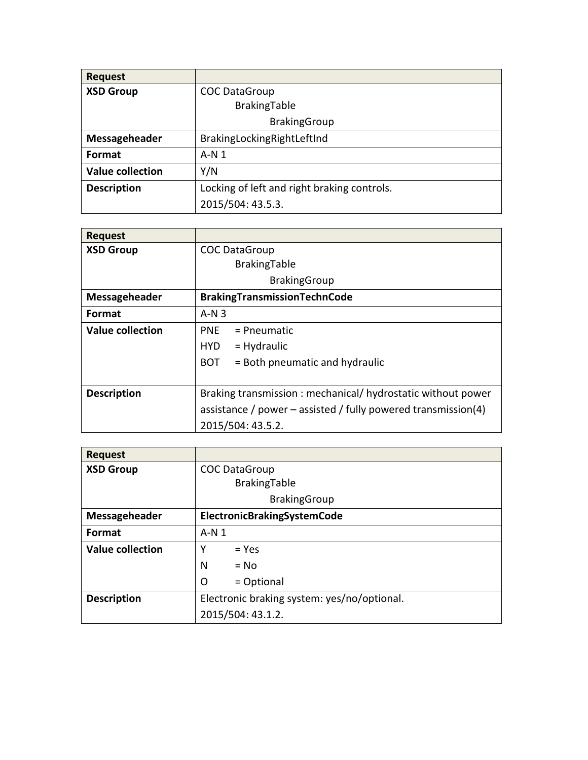| <b>Request</b>          |                                             |
|-------------------------|---------------------------------------------|
| <b>XSD Group</b>        | <b>COC DataGroup</b>                        |
|                         | BrakingTable                                |
|                         | <b>BrakingGroup</b>                         |
| Messageheader           | BrakingLockingRightLeftInd                  |
| Format                  | $A-N1$                                      |
| <b>Value collection</b> | Y/N                                         |
| <b>Description</b>      | Locking of left and right braking controls. |
|                         | 2015/504: 43.5.3.                           |

| <b>Request</b>          |                                                               |
|-------------------------|---------------------------------------------------------------|
| <b>XSD Group</b>        | <b>COC DataGroup</b>                                          |
|                         | BrakingTable                                                  |
|                         | <b>BrakingGroup</b>                                           |
| Messageheader           | BrakingTransmissionTechnCode                                  |
| <b>Format</b>           | $A-N3$                                                        |
| <b>Value collection</b> | <b>PNF</b><br>$=$ Pneumatic                                   |
|                         | $=$ Hydraulic<br>HYD                                          |
|                         | $=$ Both pneumatic and hydraulic<br>BOT                       |
|                         |                                                               |
| <b>Description</b>      | Braking transmission: mechanical/ hydrostatic without power   |
|                         | assistance / power – assisted / fully powered transmission(4) |
|                         | 2015/504: 43.5.2.                                             |

| <b>Request</b>          |                                             |
|-------------------------|---------------------------------------------|
| <b>XSD Group</b>        | <b>COC DataGroup</b>                        |
|                         | BrakingTable                                |
|                         | <b>BrakingGroup</b>                         |
| Messageheader           | ElectronicBrakingSystemCode                 |
| <b>Format</b>           | $A-N1$                                      |
| <b>Value collection</b> | $=$ Yes<br>Υ                                |
|                         | N<br>$= No$                                 |
|                         | O<br>= Optional                             |
| <b>Description</b>      | Electronic braking system: yes/no/optional. |
|                         | 2015/504: 43.1.2.                           |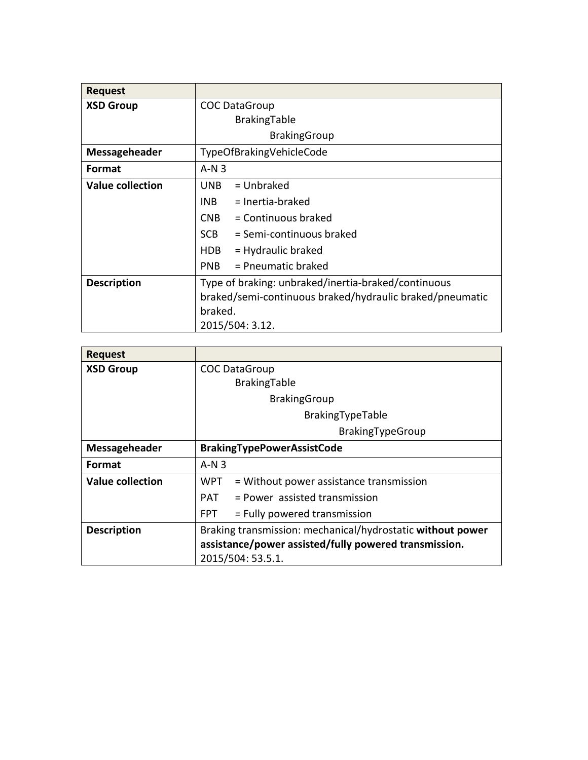| <b>Request</b>          |                                                          |
|-------------------------|----------------------------------------------------------|
| <b>XSD Group</b>        | <b>COC DataGroup</b>                                     |
|                         | BrakingTable                                             |
|                         | <b>BrakingGroup</b>                                      |
| Messageheader           | TypeOfBrakingVehicleCode                                 |
| <b>Format</b>           | $A-N3$                                                   |
| <b>Value collection</b> | $=$ Unbraked<br><b>UNB</b>                               |
|                         | $=$ Inertia-braked<br>INB                                |
|                         | CN <sub>B</sub><br>$=$ Continuous braked                 |
|                         | <b>SCB</b><br>= Semi-continuous braked                   |
|                         | HDB.<br>$=$ Hydraulic braked                             |
|                         | $=$ Pneumatic braked<br>PN <sub>B</sub>                  |
| <b>Description</b>      | Type of braking: unbraked/inertia-braked/continuous      |
|                         | braked/semi-continuous braked/hydraulic braked/pneumatic |
|                         | braked.                                                  |
|                         | 2015/504: 3.12.                                          |

| <b>Request</b>          |                                                            |
|-------------------------|------------------------------------------------------------|
| <b>XSD Group</b>        | <b>COC DataGroup</b>                                       |
|                         | BrakingTable                                               |
|                         | <b>BrakingGroup</b>                                        |
|                         | BrakingTypeTable                                           |
|                         | BrakingTypeGroup                                           |
| Messageheader           | <b>BrakingTypePowerAssistCode</b>                          |
| <b>Format</b>           | $A-N3$                                                     |
| <b>Value collection</b> | = Without power assistance transmission<br>WPT             |
|                         | PAT = Power assisted transmission                          |
|                         | = Fully powered transmission<br>FPT.                       |
| <b>Description</b>      | Braking transmission: mechanical/hydrostatic without power |
|                         | assistance/power assisted/fully powered transmission.      |
|                         | 2015/504: 53.5.1.                                          |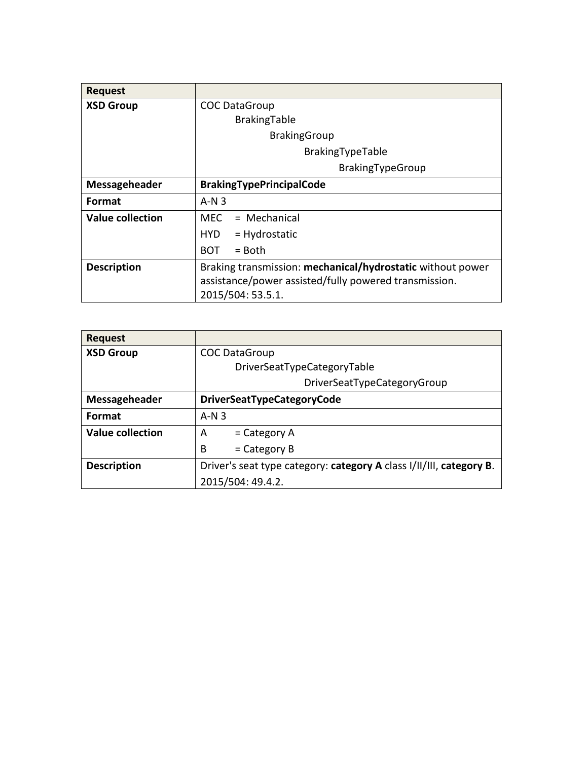| <b>Request</b>       |                                                            |
|----------------------|------------------------------------------------------------|
| <b>XSD Group</b>     | <b>COC DataGroup</b>                                       |
|                      | BrakingTable                                               |
|                      | <b>BrakingGroup</b>                                        |
|                      | BrakingTypeTable                                           |
|                      | BrakingTypeGroup                                           |
| <b>Messageheader</b> | <b>BrakingTypePrincipalCode</b>                            |
| Format               | $A-N3$                                                     |
| Value collection     | $MFC = Mechanical$                                         |
|                      | $=$ Hydrostatic<br>HYD 1                                   |
|                      | <b>BOT</b><br>$=$ Both                                     |
| <b>Description</b>   | Braking transmission: mechanical/hydrostatic without power |
|                      | assistance/power assisted/fully powered transmission.      |
|                      | 2015/504: 53.5.1.                                          |

| <b>Request</b>          |                                                                     |
|-------------------------|---------------------------------------------------------------------|
| <b>XSD Group</b>        | <b>COC DataGroup</b>                                                |
|                         | DriverSeatTypeCategoryTable                                         |
|                         | DriverSeatTypeCategoryGroup                                         |
| Messageheader           | <b>DriverSeatTypeCategoryCode</b>                                   |
| Format                  | $A-N3$                                                              |
| <b>Value collection</b> | $=$ Category A<br>A                                                 |
|                         | B<br>$=$ Category B                                                 |
| <b>Description</b>      | Driver's seat type category: category A class I/II/III, category B. |
|                         | 2015/504: 49.4.2.                                                   |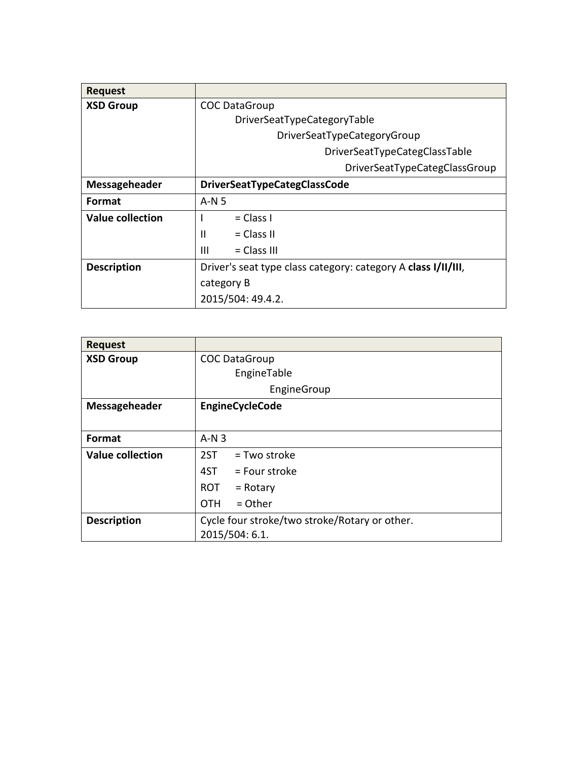| <b>Request</b>     |                                                               |
|--------------------|---------------------------------------------------------------|
| <b>XSD Group</b>   | <b>COC DataGroup</b>                                          |
|                    | DriverSeatTypeCategoryTable                                   |
|                    | DriverSeatTypeCategoryGroup                                   |
|                    | DriverSeatTypeCategClassTable                                 |
|                    | DriverSeatTypeCategClassGroup                                 |
| Messageheader      | <b>DriverSeatTypeCategClassCode</b>                           |
| <b>Format</b>      | $A-N5$                                                        |
| Value collection   | $= Class I$                                                   |
|                    | $= Class II$<br>Ш                                             |
|                    | Ш<br>$= Class III$                                            |
| <b>Description</b> | Driver's seat type class category: category A class I/II/III, |
|                    | category B                                                    |
|                    | 2015/504: 49.4.2.                                             |

| <b>Request</b>          |                                               |
|-------------------------|-----------------------------------------------|
| <b>XSD Group</b>        | <b>COC DataGroup</b>                          |
|                         | EngineTable                                   |
|                         | EngineGroup                                   |
| Messageheader           | EngineCycleCode                               |
|                         |                                               |
| Format                  | $A-N3$                                        |
| <b>Value collection</b> | 2ST<br>= Two stroke                           |
|                         | $4ST = Four stroke$                           |
|                         | ROT<br>$=$ Rotary                             |
|                         | $=$ Other<br><b>OTH</b>                       |
| <b>Description</b>      | Cycle four stroke/two stroke/Rotary or other. |
|                         | 2015/504: 6.1.                                |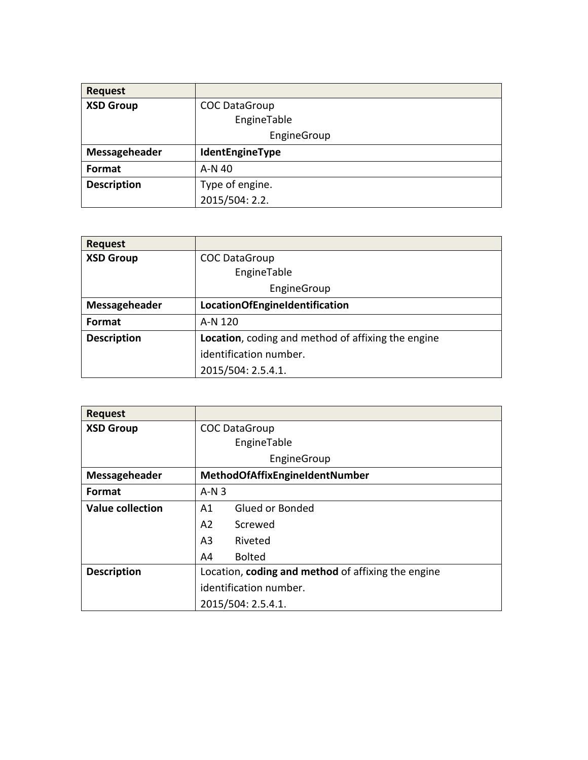| <b>Request</b>     |                      |
|--------------------|----------------------|
| <b>XSD Group</b>   | <b>COC DataGroup</b> |
|                    | EngineTable          |
|                    | EngineGroup          |
| Messageheader      | IdentEngineType      |
| Format             | A-N 40               |
| <b>Description</b> | Type of engine.      |
|                    | 2015/504: 2.2.       |

| <b>Request</b>     |                                                            |
|--------------------|------------------------------------------------------------|
| <b>XSD Group</b>   | <b>COC DataGroup</b>                                       |
|                    | EngineTable                                                |
|                    | EngineGroup                                                |
| Messageheader      | <b>LocationOfEngineIdentification</b>                      |
| Format             | A-N 120                                                    |
| <b>Description</b> | <b>Location</b> , coding and method of affixing the engine |
|                    | identification number.                                     |
|                    | 2015/504: 2.5.4.1.                                         |

| <b>Request</b>          |                                                    |
|-------------------------|----------------------------------------------------|
| <b>XSD Group</b>        | <b>COC DataGroup</b>                               |
|                         | EngineTable                                        |
|                         | EngineGroup                                        |
| Messageheader           | <b>MethodOfAffixEngineIdentNumber</b>              |
| <b>Format</b>           | $A-N3$                                             |
| <b>Value collection</b> | Glued or Bonded<br>A1                              |
|                         | A2<br>Screwed                                      |
|                         | A <sub>3</sub><br>Riveted                          |
|                         | <b>Bolted</b><br>A4                                |
| <b>Description</b>      | Location, coding and method of affixing the engine |
|                         | identification number.                             |
|                         | 2015/504: 2.5.4.1.                                 |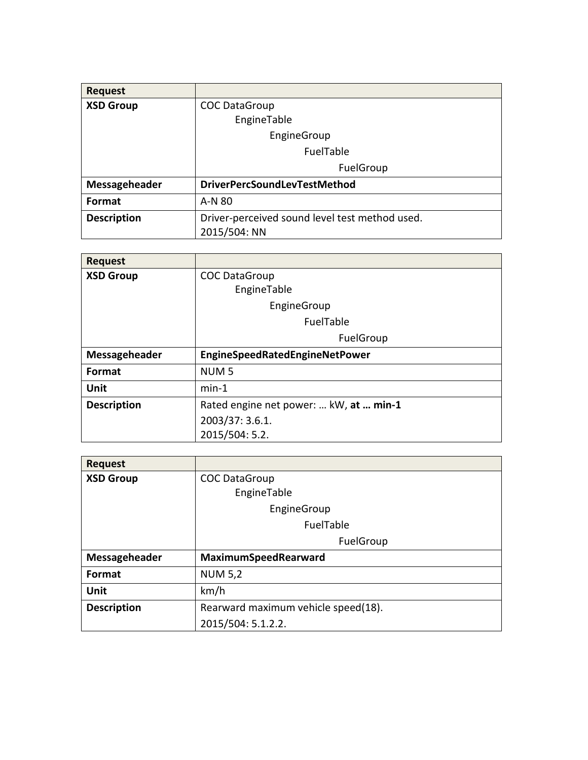| <b>Request</b>     |                                                |
|--------------------|------------------------------------------------|
| <b>XSD Group</b>   | <b>COC DataGroup</b>                           |
|                    | EngineTable                                    |
|                    | EngineGroup                                    |
|                    | FuelTable                                      |
|                    | FuelGroup                                      |
| Messageheader      | <b>DriverPercSoundLevTestMethod</b>            |
| <b>Format</b>      | A-N 80                                         |
| <b>Description</b> | Driver-perceived sound level test method used. |
|                    | 2015/504: NN                                   |

| <b>Request</b>     |                                        |
|--------------------|----------------------------------------|
| <b>XSD Group</b>   | <b>COC DataGroup</b>                   |
|                    | EngineTable                            |
|                    | EngineGroup                            |
|                    | FuelTable                              |
|                    | FuelGroup                              |
| Messageheader      | EngineSpeedRatedEngineNetPower         |
| Format             | NUM <sub>5</sub>                       |
| Unit               | $min-1$                                |
| <b>Description</b> | Rated engine net power:  kW, at  min-1 |
|                    | 2003/37: 3.6.1.                        |
|                    | 2015/504: 5.2.                         |

| <b>Request</b>     |                                     |
|--------------------|-------------------------------------|
| <b>XSD Group</b>   | <b>COC DataGroup</b>                |
|                    | EngineTable                         |
|                    | EngineGroup                         |
|                    | FuelTable                           |
|                    | FuelGroup                           |
| Messageheader      | MaximumSpeedRearward                |
| Format             | <b>NUM 5,2</b>                      |
| Unit               | km/h                                |
| <b>Description</b> | Rearward maximum vehicle speed(18). |
|                    | 2015/504: 5.1.2.2.                  |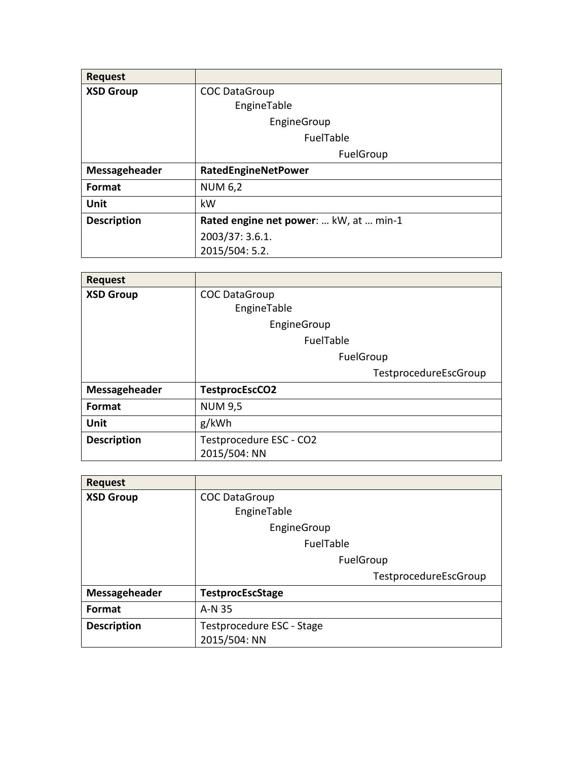| <b>Request</b>     |                                        |
|--------------------|----------------------------------------|
| <b>XSD Group</b>   | <b>COC DataGroup</b>                   |
|                    | EngineTable                            |
|                    | EngineGroup                            |
|                    | FuelTable                              |
|                    | FuelGroup                              |
| Messageheader      | RatedEngineNetPower                    |
| <b>Format</b>      | <b>NUM 6,2</b>                         |
| <b>Unit</b>        | kW                                     |
| <b>Description</b> | Rated engine net power:  kW, at  min-1 |
|                    | 2003/37: 3.6.1.                        |
|                    | 2015/504: 5.2.                         |

| <b>Request</b>     |                         |
|--------------------|-------------------------|
| <b>XSD Group</b>   | <b>COC DataGroup</b>    |
|                    | EngineTable             |
|                    | EngineGroup             |
|                    | FuelTable               |
|                    | FuelGroup               |
|                    | TestprocedureEscGroup   |
| Messageheader      | TestprocEscCO2          |
| Format             | <b>NUM 9,5</b>          |
| <b>Unit</b>        | g/kWh                   |
| <b>Description</b> | Testprocedure ESC - CO2 |
|                    | 2015/504: NN            |

| <b>Request</b>     |                           |
|--------------------|---------------------------|
| <b>XSD Group</b>   | <b>COC DataGroup</b>      |
|                    | EngineTable               |
|                    | EngineGroup               |
|                    | FuelTable                 |
|                    | FuelGroup                 |
|                    | TestprocedureEscGroup     |
| Messageheader      | <b>TestprocEscStage</b>   |
| Format             | A-N 35                    |
| <b>Description</b> | Testprocedure ESC - Stage |
|                    | 2015/504: NN              |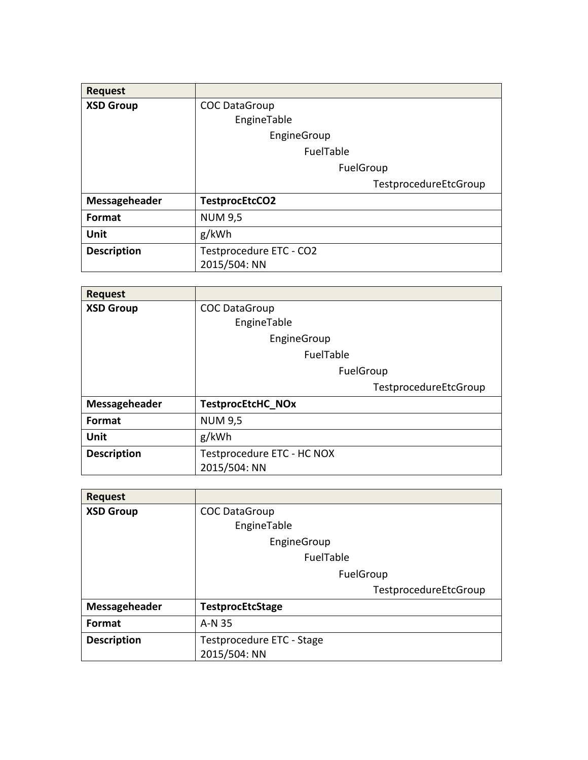| <b>Request</b>     |                         |
|--------------------|-------------------------|
| <b>XSD Group</b>   | <b>COC DataGroup</b>    |
|                    | EngineTable             |
|                    | EngineGroup             |
|                    | FuelTable               |
|                    | FuelGroup               |
|                    | TestprocedureEtcGroup   |
| Messageheader      | TestprocEtcCO2          |
| <b>Format</b>      | <b>NUM 9,5</b>          |
| <b>Unit</b>        | g/kWh                   |
| <b>Description</b> | Testprocedure ETC - CO2 |
|                    | 2015/504: NN            |

| <b>Request</b>     |                            |
|--------------------|----------------------------|
| <b>XSD Group</b>   | <b>COC DataGroup</b>       |
|                    | EngineTable                |
|                    | EngineGroup                |
|                    | FuelTable                  |
|                    | FuelGroup                  |
|                    | TestprocedureEtcGroup      |
| Messageheader      | <b>TestprocEtcHC NOx</b>   |
| Format             | <b>NUM 9,5</b>             |
| Unit               | g/kWh                      |
| <b>Description</b> | Testprocedure ETC - HC NOX |
|                    | 2015/504: NN               |

| <b>Request</b>     |                           |
|--------------------|---------------------------|
| <b>XSD Group</b>   | <b>COC DataGroup</b>      |
|                    | EngineTable               |
|                    | EngineGroup               |
|                    | FuelTable                 |
|                    | FuelGroup                 |
|                    | TestprocedureEtcGroup     |
| Messageheader      | <b>TestprocEtcStage</b>   |
| <b>Format</b>      | A-N 35                    |
| <b>Description</b> | Testprocedure ETC - Stage |
|                    | 2015/504: NN              |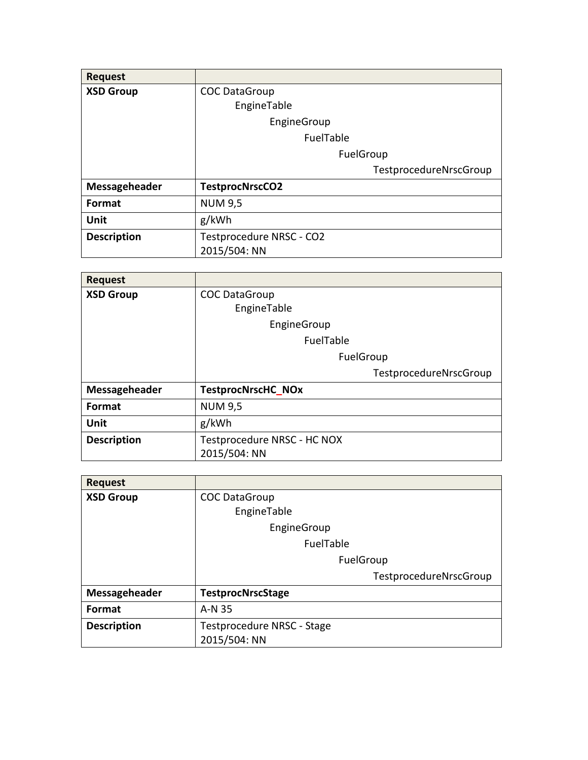| <b>Request</b>     |                          |
|--------------------|--------------------------|
| <b>XSD Group</b>   | <b>COC DataGroup</b>     |
|                    | EngineTable              |
|                    | EngineGroup              |
|                    | FuelTable                |
|                    | FuelGroup                |
|                    | TestprocedureNrscGroup   |
| Messageheader      | <b>TestprocNrscCO2</b>   |
| Format             | <b>NUM 9,5</b>           |
| Unit               | g/kWh                    |
| <b>Description</b> | Testprocedure NRSC - CO2 |
|                    | 2015/504: NN             |

| <b>Request</b>     |                             |
|--------------------|-----------------------------|
| <b>XSD Group</b>   | <b>COC DataGroup</b>        |
|                    | EngineTable                 |
|                    | EngineGroup                 |
|                    | FuelTable                   |
|                    | FuelGroup                   |
|                    | TestprocedureNrscGroup      |
| Messageheader      | <b>TestprocNrscHC NOx</b>   |
| Format             | <b>NUM 9,5</b>              |
| Unit               | g/kWh                       |
| <b>Description</b> | Testprocedure NRSC - HC NOX |
|                    | 2015/504: NN                |

| <b>Request</b>     |                            |
|--------------------|----------------------------|
| <b>XSD Group</b>   | <b>COC DataGroup</b>       |
|                    | EngineTable                |
|                    | EngineGroup                |
|                    | FuelTable                  |
|                    | FuelGroup                  |
|                    | TestprocedureNrscGroup     |
| Messageheader      | <b>TestprocNrscStage</b>   |
| Format             | A-N 35                     |
| <b>Description</b> | Testprocedure NRSC - Stage |
|                    | 2015/504: NN               |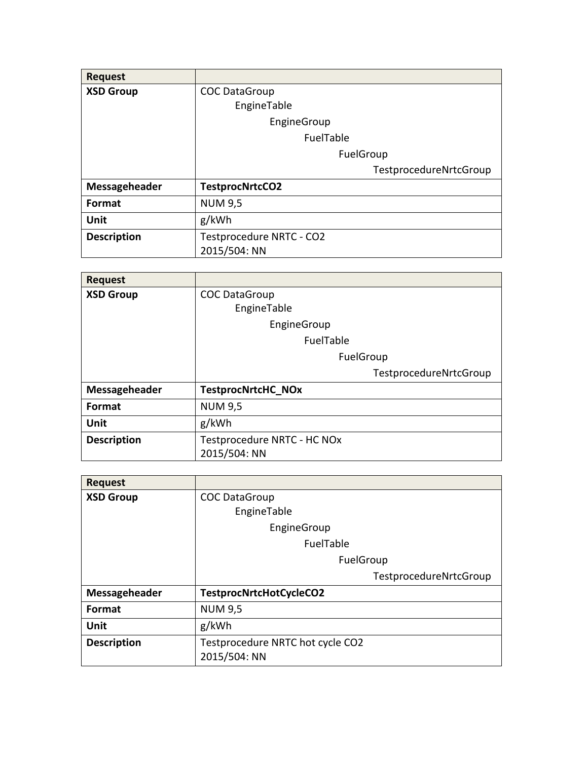| <b>Request</b>     |                          |
|--------------------|--------------------------|
| <b>XSD Group</b>   | <b>COC DataGroup</b>     |
|                    | EngineTable              |
|                    | EngineGroup              |
|                    | FuelTable                |
|                    | FuelGroup                |
|                    | TestprocedureNrtcGroup   |
| Messageheader      | TestprocNrtcCO2          |
| Format             | <b>NUM 9,5</b>           |
| Unit               | g/kWh                    |
| <b>Description</b> | Testprocedure NRTC - CO2 |
|                    | 2015/504: NN             |

| <b>Request</b>     |                             |
|--------------------|-----------------------------|
| <b>XSD Group</b>   | <b>COC DataGroup</b>        |
|                    | EngineTable                 |
|                    | EngineGroup                 |
|                    | FuelTable                   |
|                    | FuelGroup                   |
|                    | TestprocedureNrtcGroup      |
| Messageheader      | <b>TestprocNrtcHC NOx</b>   |
| Format             | <b>NUM 9,5</b>              |
| Unit               | g/kWh                       |
| <b>Description</b> | Testprocedure NRTC - HC NOx |
|                    | 2015/504: NN                |

| <b>Request</b>   |                         |
|------------------|-------------------------|
| <b>XSD Group</b> | <b>COC DataGroup</b>    |
|                  | EngineTable             |
|                  | EngineGroup             |
|                  | FuelTable               |
|                  | FuelGroup               |
|                  |                         |
|                  | TestprocedureNrtcGroup  |
| Messageheader    | TestprocNrtcHotCycleCO2 |
| <b>Format</b>    | <b>NUM 9,5</b>          |
| Unit             | g/kWh                   |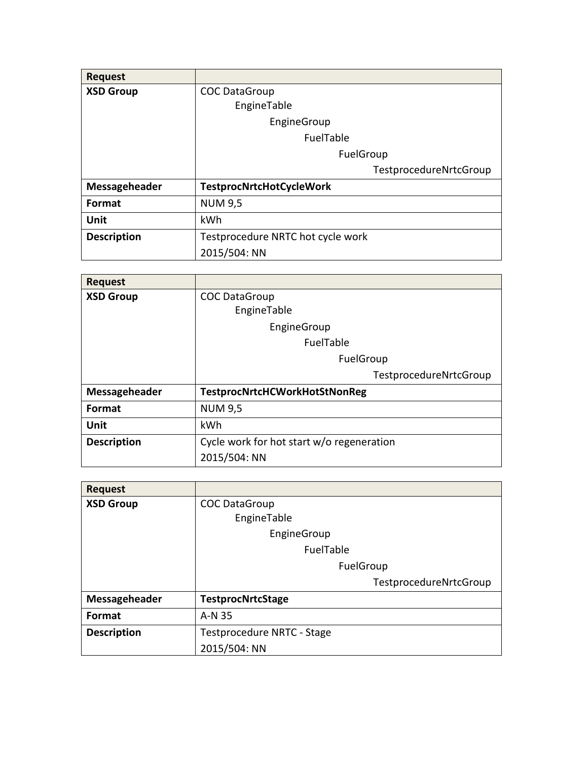| <b>Request</b>     |                                   |
|--------------------|-----------------------------------|
| <b>XSD Group</b>   | <b>COC DataGroup</b>              |
|                    | EngineTable                       |
|                    | EngineGroup                       |
|                    | FuelTable                         |
|                    | FuelGroup                         |
|                    | TestprocedureNrtcGroup            |
| Messageheader      | <b>TestprocNrtcHotCycleWork</b>   |
| <b>Format</b>      | <b>NUM 9,5</b>                    |
| Unit               | kWh                               |
| <b>Description</b> | Testprocedure NRTC hot cycle work |
|                    | 2015/504: NN                      |

| <b>Request</b>     |                                           |
|--------------------|-------------------------------------------|
| <b>XSD Group</b>   | <b>COC DataGroup</b>                      |
|                    | EngineTable                               |
|                    | EngineGroup                               |
|                    | FuelTable                                 |
|                    | FuelGroup                                 |
|                    | TestprocedureNrtcGroup                    |
| Messageheader      | <b>TestprocNrtcHCWorkHotStNonReg</b>      |
| <b>Format</b>      | <b>NUM 9,5</b>                            |
| Unit               | kWh                                       |
| <b>Description</b> | Cycle work for hot start w/o regeneration |
|                    | 2015/504: NN                              |

| <b>Request</b>     |                            |
|--------------------|----------------------------|
| <b>XSD Group</b>   | <b>COC DataGroup</b>       |
|                    | EngineTable                |
|                    | EngineGroup                |
|                    | FuelTable                  |
|                    | FuelGroup                  |
|                    | TestprocedureNrtcGroup     |
| Messageheader      | <b>TestprocNrtcStage</b>   |
| <b>Format</b>      | A-N 35                     |
| <b>Description</b> | Testprocedure NRTC - Stage |
|                    | 2015/504: NN               |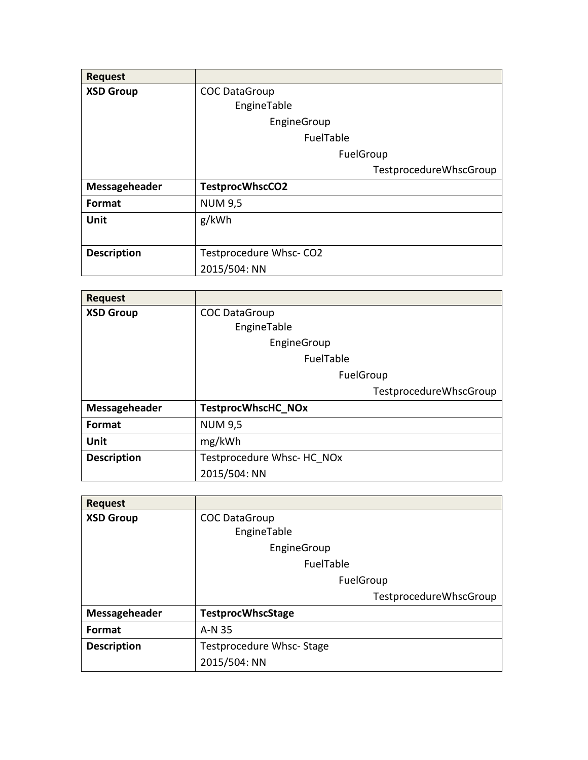| <b>Request</b>     |                        |
|--------------------|------------------------|
| <b>XSD Group</b>   | <b>COC DataGroup</b>   |
|                    | EngineTable            |
|                    | EngineGroup            |
|                    | FuelTable              |
|                    | FuelGroup              |
|                    | TestprocedureWhscGroup |
| Messageheader      | <b>TestprocWhscCO2</b> |
| Format             | <b>NUM 9,5</b>         |
| <b>Unit</b>        | g/kWh                  |
|                    |                        |
| <b>Description</b> | Testprocedure Whsc-CO2 |
|                    | 2015/504: NN           |

| <b>Request</b>     |                            |
|--------------------|----------------------------|
| <b>XSD Group</b>   | <b>COC DataGroup</b>       |
|                    | EngineTable                |
|                    | EngineGroup                |
|                    | FuelTable                  |
|                    | FuelGroup                  |
|                    | TestprocedureWhscGroup     |
| Messageheader      | <b>TestprocWhscHC NOx</b>  |
| Format             | <b>NUM 9,5</b>             |
| <b>Unit</b>        | mg/kWh                     |
| <b>Description</b> | Testprocedure Whsc- HC NOx |
|                    | 2015/504: NN               |

| <b>Request</b>     |                          |
|--------------------|--------------------------|
| <b>XSD Group</b>   | <b>COC DataGroup</b>     |
|                    | EngineTable              |
|                    | EngineGroup              |
|                    | FuelTable                |
|                    | FuelGroup                |
|                    | TestprocedureWhscGroup   |
| Messageheader      | <b>TestprocWhscStage</b> |
| <b>Format</b>      | A-N 35                   |
| <b>Description</b> | Testprocedure Whsc-Stage |
|                    | 2015/504: NN             |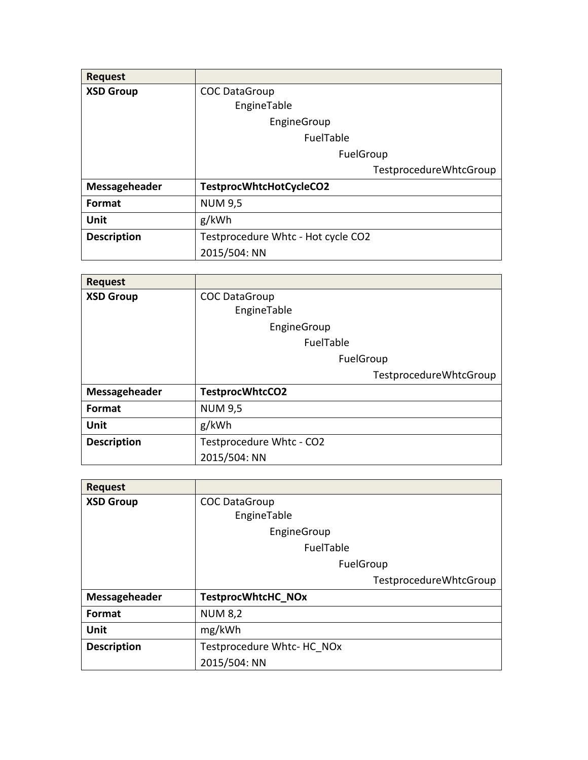| <b>Request</b>     |                                    |
|--------------------|------------------------------------|
| <b>XSD Group</b>   | <b>COC DataGroup</b>               |
|                    | EngineTable                        |
|                    | EngineGroup                        |
|                    | FuelTable                          |
|                    | FuelGroup                          |
|                    | TestprocedureWhtcGroup             |
| Messageheader      | TestprocWhtcHotCycleCO2            |
| <b>Format</b>      | <b>NUM 9,5</b>                     |
| Unit               | g/kWh                              |
| <b>Description</b> | Testprocedure Whtc - Hot cycle CO2 |
|                    | 2015/504: NN                       |

| <b>Request</b>     |                          |
|--------------------|--------------------------|
| <b>XSD Group</b>   | <b>COC DataGroup</b>     |
|                    | EngineTable              |
|                    | EngineGroup              |
|                    | FuelTable                |
|                    | FuelGroup                |
|                    | TestprocedureWhtcGroup   |
| Messageheader      | <b>TestprocWhtcCO2</b>   |
| Format             | <b>NUM 9,5</b>           |
| Unit               | g/kWh                    |
| <b>Description</b> | Testprocedure Whtc - CO2 |
|                    | 2015/504: NN             |

| <b>Request</b>     |                            |
|--------------------|----------------------------|
| <b>XSD Group</b>   | <b>COC DataGroup</b>       |
|                    | EngineTable                |
|                    | EngineGroup                |
|                    | FuelTable                  |
|                    | FuelGroup                  |
|                    | TestprocedureWhtcGroup     |
| Messageheader      | <b>TestprocWhtcHC NOx</b>  |
| Format             |                            |
|                    | <b>NUM 8,2</b>             |
| Unit               | mg/kWh                     |
| <b>Description</b> | Testprocedure Whtc- HC NOx |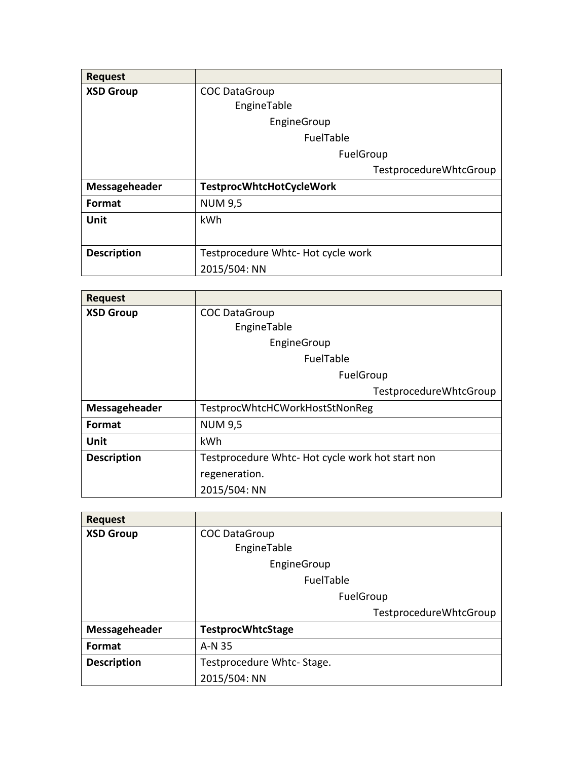| <b>Request</b>     |                                    |
|--------------------|------------------------------------|
| <b>XSD Group</b>   | <b>COC DataGroup</b>               |
|                    | EngineTable                        |
|                    | EngineGroup                        |
|                    | FuelTable                          |
|                    | FuelGroup                          |
|                    | TestprocedureWhtcGroup             |
| Messageheader      | <b>TestprocWhtcHotCycleWork</b>    |
| <b>Format</b>      | <b>NUM 9,5</b>                     |
| Unit               | kWh                                |
|                    |                                    |
| <b>Description</b> | Testprocedure Whtc- Hot cycle work |
|                    | 2015/504: NN                       |

| <b>Request</b>     |                                                  |
|--------------------|--------------------------------------------------|
| <b>XSD Group</b>   | <b>COC DataGroup</b>                             |
|                    | EngineTable                                      |
|                    | EngineGroup                                      |
|                    | FuelTable                                        |
|                    | FuelGroup                                        |
|                    | TestprocedureWhtcGroup                           |
| Messageheader      | TestprocWhtcHCWorkHostStNonReg                   |
| <b>Format</b>      | <b>NUM 9,5</b>                                   |
| Unit               | kWh                                              |
| <b>Description</b> | Testprocedure Whtc- Hot cycle work hot start non |
|                    | regeneration.                                    |
|                    | 2015/504: NN                                     |

| <b>Request</b>     |                           |
|--------------------|---------------------------|
| <b>XSD Group</b>   | <b>COC DataGroup</b>      |
|                    | EngineTable               |
|                    | EngineGroup               |
|                    | FuelTable                 |
|                    | FuelGroup                 |
|                    | TestprocedureWhtcGroup    |
| Messageheader      | <b>TestprocWhtcStage</b>  |
| <b>Format</b>      | A-N 35                    |
| <b>Description</b> | Testprocedure Whtc-Stage. |
|                    | 2015/504: NN              |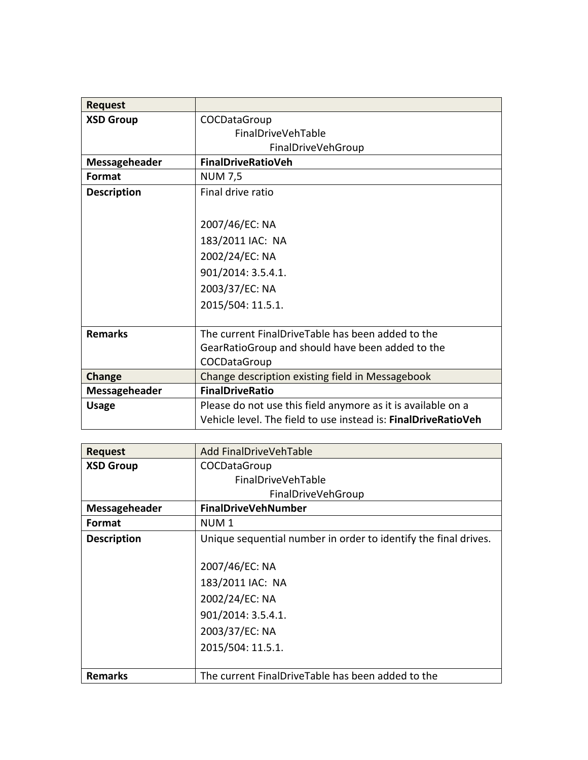| <b>Request</b>     |                                                                |
|--------------------|----------------------------------------------------------------|
| <b>XSD Group</b>   | COCDataGroup                                                   |
|                    | <b>FinalDriveVehTable</b>                                      |
|                    | FinalDriveVehGroup                                             |
| Messageheader      | FinalDriveRatioVeh                                             |
| Format             | <b>NUM 7,5</b>                                                 |
| <b>Description</b> | Final drive ratio                                              |
|                    |                                                                |
|                    | 2007/46/EC: NA                                                 |
|                    | 183/2011 IAC: NA                                               |
|                    | 2002/24/EC: NA                                                 |
|                    | 901/2014: 3.5.4.1.                                             |
|                    | 2003/37/EC: NA                                                 |
|                    | 2015/504: 11.5.1.                                              |
|                    |                                                                |
| <b>Remarks</b>     | The current FinalDriveTable has been added to the              |
|                    | GearRatioGroup and should have been added to the               |
|                    | COCDataGroup                                                   |
| Change             | Change description existing field in Messagebook               |
| Messageheader      | <b>FinalDriveRatio</b>                                         |
| <b>Usage</b>       | Please do not use this field anymore as it is available on a   |
|                    | Vehicle level. The field to use instead is: FinalDriveRatioVeh |

| <b>Request</b>     | Add FinalDriveVehTable                                          |
|--------------------|-----------------------------------------------------------------|
| <b>XSD Group</b>   | COCDataGroup                                                    |
|                    | <b>FinalDriveVehTable</b>                                       |
|                    | FinalDriveVehGroup                                              |
| Messageheader      | <b>FinalDriveVehNumber</b>                                      |
| Format             | NUM <sub>1</sub>                                                |
| <b>Description</b> | Unique sequential number in order to identify the final drives. |
|                    |                                                                 |
|                    | 2007/46/EC: NA                                                  |
|                    | 183/2011 IAC: NA                                                |
|                    | 2002/24/EC: NA                                                  |
|                    | 901/2014: 3.5.4.1.                                              |
|                    | 2003/37/EC: NA                                                  |
|                    | 2015/504: 11.5.1.                                               |
|                    |                                                                 |
| <b>Remarks</b>     | The current FinalDriveTable has been added to the               |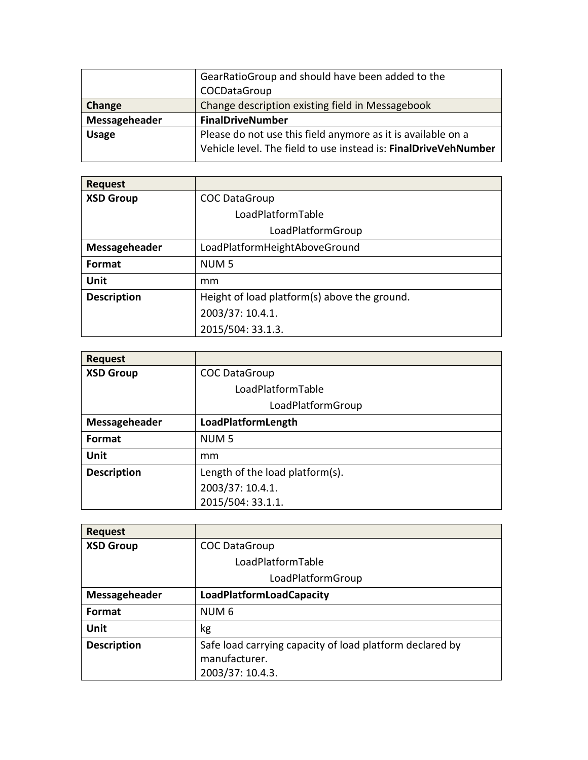|               | GearRatioGroup and should have been added to the                                                                                |
|---------------|---------------------------------------------------------------------------------------------------------------------------------|
|               | COCDataGroup                                                                                                                    |
| Change        | Change description existing field in Messagebook                                                                                |
| Messageheader | <b>FinalDriveNumber</b>                                                                                                         |
| <b>Usage</b>  | Please do not use this field anymore as it is available on a<br>Vehicle level. The field to use instead is: FinalDriveVehNumber |

| <b>Request</b>     |                                              |
|--------------------|----------------------------------------------|
| <b>XSD Group</b>   | <b>COC DataGroup</b>                         |
|                    | LoadPlatformTable                            |
|                    | LoadPlatformGroup                            |
| Messageheader      | LoadPlatformHeightAboveGround                |
| <b>Format</b>      | NUM <sub>5</sub>                             |
| Unit               | mm                                           |
| <b>Description</b> | Height of load platform(s) above the ground. |
|                    | 2003/37: 10.4.1.                             |
|                    | 2015/504: 33.1.3.                            |

| <b>Request</b>     |                                 |
|--------------------|---------------------------------|
| <b>XSD Group</b>   | <b>COC DataGroup</b>            |
|                    | LoadPlatformTable               |
|                    | LoadPlatformGroup               |
| Messageheader      | LoadPlatformLength              |
| <b>Format</b>      | NUM <sub>5</sub>                |
| Unit               | mm                              |
| <b>Description</b> | Length of the load platform(s). |
|                    | 2003/37: 10.4.1.                |
|                    | 2015/504: 33.1.1.               |

| <b>Request</b>     |                                                                                               |
|--------------------|-----------------------------------------------------------------------------------------------|
| <b>XSD Group</b>   | <b>COC DataGroup</b>                                                                          |
|                    | LoadPlatformTable                                                                             |
|                    | LoadPlatformGroup                                                                             |
| Messageheader      | <b>LoadPlatformLoadCapacity</b>                                                               |
| <b>Format</b>      | NUM <sub>6</sub>                                                                              |
| Unit               | kg                                                                                            |
| <b>Description</b> | Safe load carrying capacity of load platform declared by<br>manufacturer.<br>2003/37: 10.4.3. |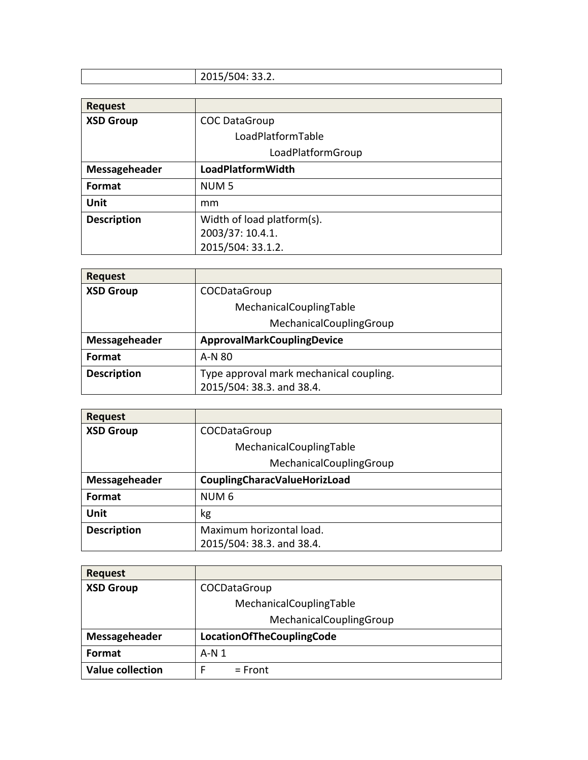## 2015/504: 33.2. **Request**<br>**XSD Group COC DataGroup** LoadPlatformTable LoadPlatformGroup **Messageheader LoadPlatformWidth Format** NUM 5 **Unit** mm **Description** Width of load platform(s).

2003/37: 10.4.1. 2015/504: 33.1.2.

| <b>Request</b>     |                                         |
|--------------------|-----------------------------------------|
| <b>XSD Group</b>   | COCDataGroup                            |
|                    | MechanicalCouplingTable                 |
|                    | MechanicalCouplingGroup                 |
| Messageheader      | ApprovalMarkCouplingDevice              |
| Format             | A-N 80                                  |
| <b>Description</b> | Type approval mark mechanical coupling. |
|                    | 2015/504: 38.3. and 38.4.               |

| <b>Request</b>     |                                     |
|--------------------|-------------------------------------|
| <b>XSD Group</b>   | COCDataGroup                        |
|                    | MechanicalCouplingTable             |
|                    | MechanicalCouplingGroup             |
| Messageheader      | <b>CouplingCharacValueHorizLoad</b> |
| Format             | NUM <sub>6</sub>                    |
| <b>Unit</b>        | kg                                  |
| <b>Description</b> | Maximum horizontal load.            |
|                    | 2015/504: 38.3. and 38.4.           |

| <b>Request</b>          |                                  |
|-------------------------|----------------------------------|
| <b>XSD Group</b>        | COCDataGroup                     |
|                         | MechanicalCouplingTable          |
|                         | MechanicalCouplingGroup          |
| Messageheader           | <b>LocationOfTheCouplingCode</b> |
| Format                  | $A-N1$                           |
| <b>Value collection</b> | $=$ Front                        |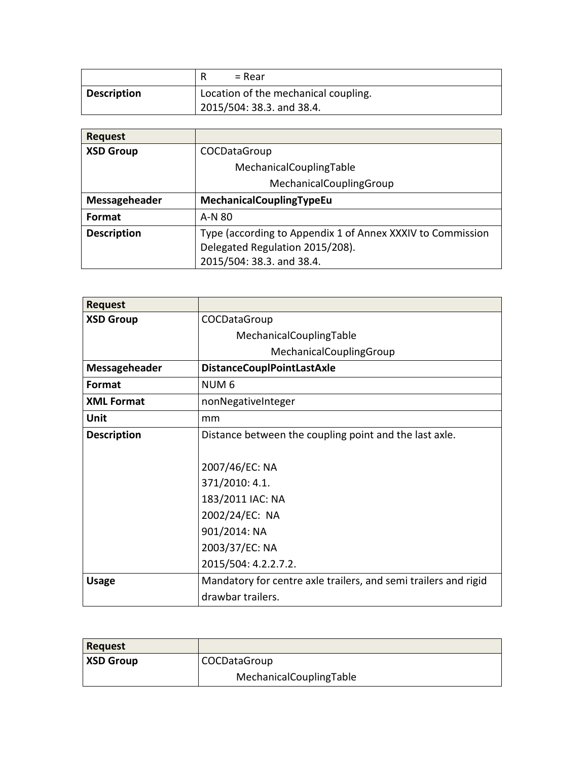|                    | = Rear                                                            |
|--------------------|-------------------------------------------------------------------|
| <b>Description</b> | Location of the mechanical coupling.<br>2015/504: 38.3. and 38.4. |

| <b>Request</b>     |                                                              |
|--------------------|--------------------------------------------------------------|
| <b>XSD Group</b>   | COCDataGroup                                                 |
|                    | MechanicalCouplingTable                                      |
|                    | MechanicalCouplingGroup                                      |
| Messageheader      | MechanicalCouplingTypeEu                                     |
| <b>Format</b>      | A-N 80                                                       |
| <b>Description</b> | Type (according to Appendix 1 of Annex XXXIV to Commission   |
|                    | Delegated Regulation 2015/208).<br>2015/504: 38.3. and 38.4. |
|                    |                                                              |

| <b>Request</b>       |                                                                 |
|----------------------|-----------------------------------------------------------------|
| <b>XSD Group</b>     | COCDataGroup                                                    |
|                      | MechanicalCouplingTable                                         |
|                      | MechanicalCouplingGroup                                         |
| <b>Messageheader</b> | <b>DistanceCouplPointLastAxle</b>                               |
| Format               | NUM <sub>6</sub>                                                |
| <b>XML Format</b>    | nonNegativeInteger                                              |
| Unit                 | mm                                                              |
| <b>Description</b>   | Distance between the coupling point and the last axle.          |
|                      |                                                                 |
|                      | 2007/46/EC: NA                                                  |
|                      | 371/2010: 4.1.                                                  |
|                      | 183/2011 IAC: NA                                                |
|                      | 2002/24/EC: NA                                                  |
|                      | 901/2014: NA                                                    |
|                      | 2003/37/EC: NA                                                  |
|                      | 2015/504: 4.2.2.7.2.                                            |
| <b>Usage</b>         | Mandatory for centre axle trailers, and semi trailers and rigid |
|                      | drawbar trailers.                                               |

| <b>Request</b>   |                         |
|------------------|-------------------------|
| <b>XSD Group</b> | <b>COCDataGroup</b>     |
|                  | MechanicalCouplingTable |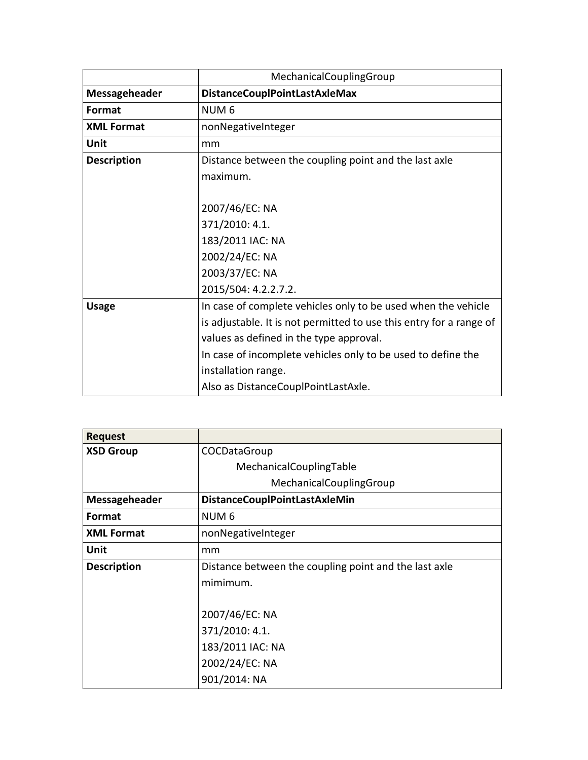|                      | MechanicalCouplingGroup                                             |
|----------------------|---------------------------------------------------------------------|
| <b>Messageheader</b> | <b>DistanceCouplPointLastAxleMax</b>                                |
| Format               | NUM <sub>6</sub>                                                    |
| <b>XML Format</b>    | nonNegativeInteger                                                  |
| Unit                 | mm                                                                  |
| <b>Description</b>   | Distance between the coupling point and the last axle               |
|                      | maximum.                                                            |
|                      |                                                                     |
|                      | 2007/46/EC: NA                                                      |
|                      | 371/2010: 4.1.                                                      |
|                      | 183/2011 IAC: NA                                                    |
|                      | 2002/24/EC: NA                                                      |
|                      | 2003/37/EC: NA                                                      |
|                      | 2015/504: 4.2.2.7.2.                                                |
| <b>Usage</b>         | In case of complete vehicles only to be used when the vehicle       |
|                      | is adjustable. It is not permitted to use this entry for a range of |
|                      | values as defined in the type approval.                             |
|                      | In case of incomplete vehicles only to be used to define the        |
|                      | installation range.                                                 |
|                      | Also as DistanceCouplPointLastAxle.                                 |

| <b>Request</b>     |                                                       |
|--------------------|-------------------------------------------------------|
| <b>XSD Group</b>   | COCDataGroup                                          |
|                    | MechanicalCouplingTable                               |
|                    | MechanicalCouplingGroup                               |
| Messageheader      | <b>DistanceCouplPointLastAxleMin</b>                  |
| Format             | NUM <sub>6</sub>                                      |
| <b>XML Format</b>  | nonNegativeInteger                                    |
| Unit               | mm                                                    |
| <b>Description</b> | Distance between the coupling point and the last axle |
|                    | mimimum.                                              |
|                    |                                                       |
|                    | 2007/46/EC: NA                                        |
|                    | 371/2010: 4.1.                                        |
|                    | 183/2011 IAC: NA                                      |
|                    | 2002/24/EC: NA                                        |
|                    | 901/2014: NA                                          |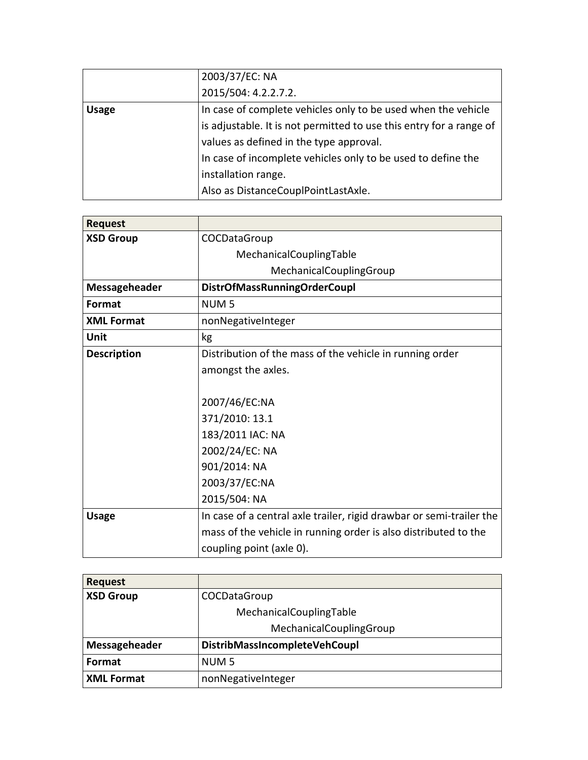|              | 2003/37/EC: NA                                                      |
|--------------|---------------------------------------------------------------------|
|              | 2015/504: 4.2.2.7.2.                                                |
| <b>Usage</b> | In case of complete vehicles only to be used when the vehicle       |
|              | is adjustable. It is not permitted to use this entry for a range of |
|              | values as defined in the type approval.                             |
|              | In case of incomplete vehicles only to be used to define the        |
|              | installation range.                                                 |
|              | Also as DistanceCouplPointLastAxle.                                 |

| <b>Request</b>     |                                                                      |
|--------------------|----------------------------------------------------------------------|
| <b>XSD Group</b>   | COCDataGroup                                                         |
|                    | MechanicalCouplingTable                                              |
|                    | MechanicalCouplingGroup                                              |
| Messageheader      | <b>DistrOfMassRunningOrderCoupl</b>                                  |
| <b>Format</b>      | NUM <sub>5</sub>                                                     |
| <b>XML Format</b>  | nonNegativeInteger                                                   |
| Unit               | kg                                                                   |
| <b>Description</b> | Distribution of the mass of the vehicle in running order             |
|                    | amongst the axles.                                                   |
|                    |                                                                      |
|                    | 2007/46/EC:NA                                                        |
|                    | 371/2010: 13.1                                                       |
|                    | 183/2011 IAC: NA                                                     |
|                    | 2002/24/EC: NA                                                       |
|                    | 901/2014: NA                                                         |
|                    | 2003/37/EC:NA                                                        |
|                    | 2015/504: NA                                                         |
| <b>Usage</b>       | In case of a central axle trailer, rigid drawbar or semi-trailer the |
|                    | mass of the vehicle in running order is also distributed to the      |
|                    | coupling point (axle 0).                                             |

| <b>Request</b>    |                               |
|-------------------|-------------------------------|
| <b>XSD Group</b>  | COCDataGroup                  |
|                   | MechanicalCouplingTable       |
|                   | MechanicalCouplingGroup       |
| Messageheader     | DistribMassIncompleteVehCoupl |
| Format            | NUM <sub>5</sub>              |
| <b>XML Format</b> | nonNegativeInteger            |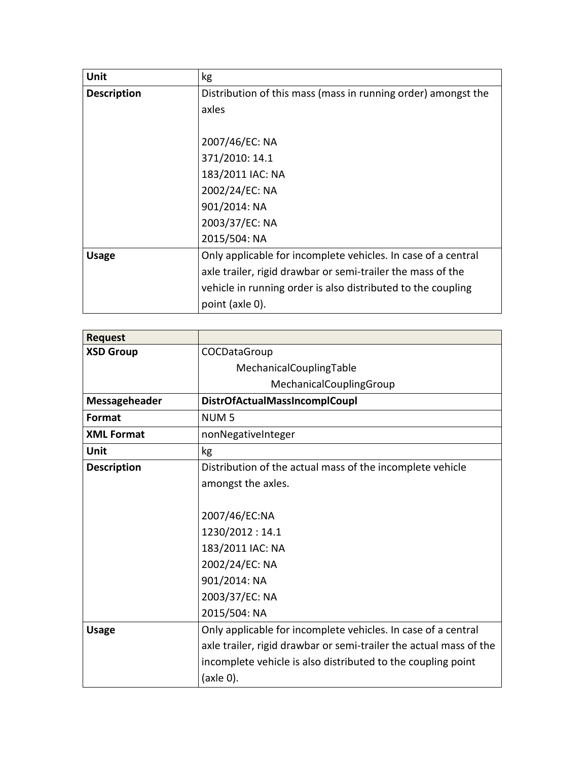| Unit               | kg                                                            |
|--------------------|---------------------------------------------------------------|
| <b>Description</b> | Distribution of this mass (mass in running order) amongst the |
|                    | axles                                                         |
|                    |                                                               |
|                    | 2007/46/EC: NA                                                |
|                    | 371/2010: 14.1                                                |
|                    | 183/2011 IAC: NA                                              |
|                    | 2002/24/EC: NA                                                |
|                    | 901/2014: NA                                                  |
|                    | 2003/37/EC: NA                                                |
|                    | 2015/504: NA                                                  |
| <b>Usage</b>       | Only applicable for incomplete vehicles. In case of a central |
|                    | axle trailer, rigid drawbar or semi-trailer the mass of the   |
|                    | vehicle in running order is also distributed to the coupling  |
|                    | point (axle 0).                                               |

| <b>Request</b>     |                                                                    |
|--------------------|--------------------------------------------------------------------|
| <b>XSD Group</b>   | COCDataGroup                                                       |
|                    | MechanicalCouplingTable                                            |
|                    | MechanicalCouplingGroup                                            |
| Messageheader      | DistrOfActualMassIncomplCoupl                                      |
| Format             | NUM <sub>5</sub>                                                   |
| <b>XML Format</b>  | nonNegativeInteger                                                 |
| Unit               | kg                                                                 |
| <b>Description</b> | Distribution of the actual mass of the incomplete vehicle          |
|                    | amongst the axles.                                                 |
|                    |                                                                    |
|                    | 2007/46/EC:NA                                                      |
|                    | 1230/2012:14.1                                                     |
|                    | 183/2011 IAC: NA                                                   |
|                    | 2002/24/EC: NA                                                     |
|                    | 901/2014: NA                                                       |
|                    | 2003/37/EC: NA                                                     |
|                    | 2015/504: NA                                                       |
| <b>Usage</b>       | Only applicable for incomplete vehicles. In case of a central      |
|                    | axle trailer, rigid drawbar or semi-trailer the actual mass of the |
|                    | incomplete vehicle is also distributed to the coupling point       |
|                    | (axle 0).                                                          |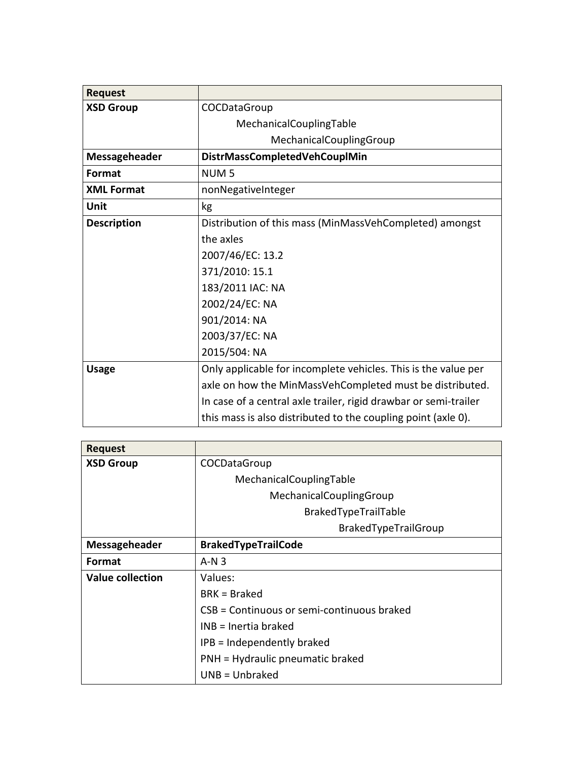| <b>Request</b>     |                                                                  |
|--------------------|------------------------------------------------------------------|
| <b>XSD Group</b>   | COCDataGroup                                                     |
|                    | MechanicalCouplingTable                                          |
|                    | MechanicalCouplingGroup                                          |
| Messageheader      | DistrMassCompletedVehCouplMin                                    |
| <b>Format</b>      | NUM <sub>5</sub>                                                 |
| <b>XML Format</b>  | nonNegativeInteger                                               |
| Unit               | kg                                                               |
| <b>Description</b> | Distribution of this mass (MinMassVehCompleted) amongst          |
|                    | the axles                                                        |
|                    | 2007/46/EC: 13.2                                                 |
|                    | 371/2010: 15.1                                                   |
|                    | 183/2011 IAC: NA                                                 |
|                    | 2002/24/EC: NA                                                   |
|                    | 901/2014: NA                                                     |
|                    | 2003/37/EC: NA                                                   |
|                    | 2015/504: NA                                                     |
| <b>Usage</b>       | Only applicable for incomplete vehicles. This is the value per   |
|                    | axle on how the MinMassVehCompleted must be distributed.         |
|                    | In case of a central axle trailer, rigid drawbar or semi-trailer |
|                    | this mass is also distributed to the coupling point (axle 0).    |

| <b>Request</b>          |                                            |
|-------------------------|--------------------------------------------|
| <b>XSD Group</b>        | COCDataGroup                               |
|                         | MechanicalCouplingTable                    |
|                         | MechanicalCouplingGroup                    |
|                         | BrakedTypeTrailTable                       |
|                         | BrakedTypeTrailGroup                       |
| Messageheader           | <b>BrakedTypeTrailCode</b>                 |
| Format                  | $A-N3$                                     |
| <b>Value collection</b> | Values:                                    |
|                         | $BRK = Braked$                             |
|                         | CSB = Continuous or semi-continuous braked |
|                         | $INB = Inertia braked$                     |
|                         | IPB = Independently braked                 |
|                         | PNH = Hydraulic pneumatic braked           |
|                         | $UNB = Unbraked$                           |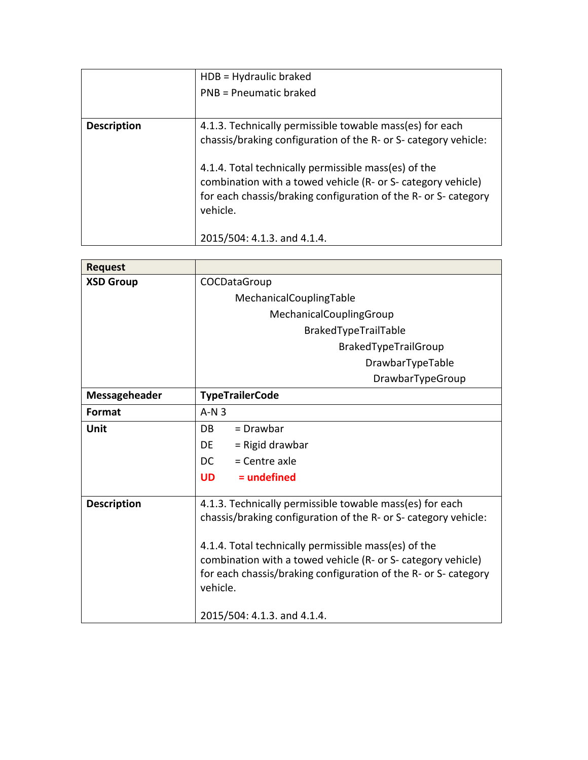|                    | $HDB = Hyd$ raulic braked                                                                                                                                                                           |
|--------------------|-----------------------------------------------------------------------------------------------------------------------------------------------------------------------------------------------------|
|                    | PNB = Pneumatic braked                                                                                                                                                                              |
|                    |                                                                                                                                                                                                     |
| <b>Description</b> | 4.1.3. Technically permissible towable mass(es) for each                                                                                                                                            |
|                    | chassis/braking configuration of the R- or S- category vehicle:                                                                                                                                     |
|                    | 4.1.4. Total technically permissible mass(es) of the<br>combination with a towed vehicle (R- or S- category vehicle)<br>for each chassis/braking configuration of the R- or S- category<br>vehicle. |
|                    | 2015/504: 4.1.3. and 4.1.4.                                                                                                                                                                         |

| <b>Request</b>     |                                                                 |
|--------------------|-----------------------------------------------------------------|
| <b>XSD Group</b>   | COCDataGroup                                                    |
|                    | MechanicalCouplingTable                                         |
|                    | MechanicalCouplingGroup                                         |
|                    | BrakedTypeTrailTable                                            |
|                    | BrakedTypeTrailGroup                                            |
|                    | DrawbarTypeTable                                                |
|                    | DrawbarTypeGroup                                                |
| Messageheader      | <b>TypeTrailerCode</b>                                          |
| Format             | $A-N3$                                                          |
| Unit               | = Drawbar<br>DB                                                 |
|                    | $=$ Rigid drawbar<br>DE.                                        |
|                    | DC.<br>$=$ Centre axle                                          |
|                    | $=$ undefined<br><b>UD</b>                                      |
| <b>Description</b> | 4.1.3. Technically permissible towable mass(es) for each        |
|                    | chassis/braking configuration of the R- or S- category vehicle: |
|                    | 4.1.4. Total technically permissible mass(es) of the            |
|                    | combination with a towed vehicle (R- or S- category vehicle)    |
|                    | for each chassis/braking configuration of the R- or S- category |
|                    | vehicle.                                                        |
|                    | 2015/504: 4.1.3. and 4.1.4.                                     |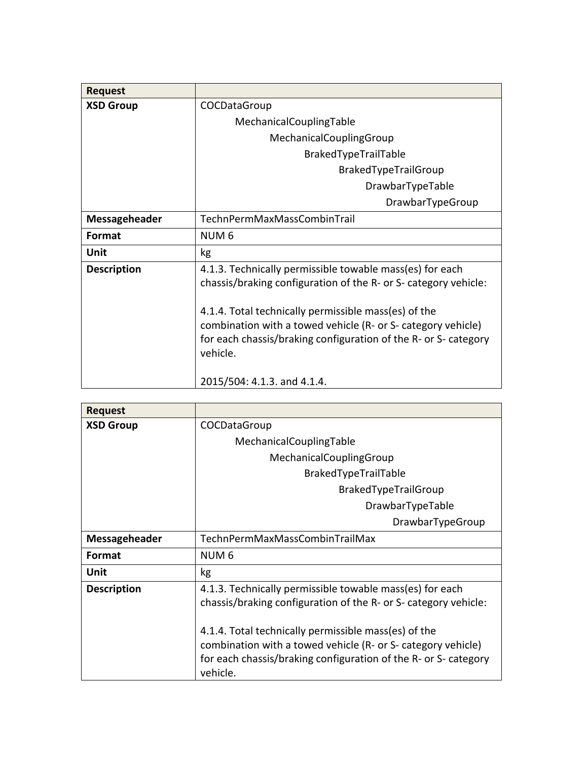| <b>Request</b>       |                                                                                                                                                                                                                                                                                                                                    |
|----------------------|------------------------------------------------------------------------------------------------------------------------------------------------------------------------------------------------------------------------------------------------------------------------------------------------------------------------------------|
| <b>XSD Group</b>     | COCDataGroup                                                                                                                                                                                                                                                                                                                       |
|                      | MechanicalCouplingTable                                                                                                                                                                                                                                                                                                            |
|                      | MechanicalCouplingGroup                                                                                                                                                                                                                                                                                                            |
|                      | BrakedTypeTrailTable                                                                                                                                                                                                                                                                                                               |
|                      | <b>BrakedTypeTrailGroup</b>                                                                                                                                                                                                                                                                                                        |
|                      | DrawbarTypeTable                                                                                                                                                                                                                                                                                                                   |
|                      | DrawbarTypeGroup                                                                                                                                                                                                                                                                                                                   |
| <b>Messageheader</b> | TechnPermMaxMassCombinTrail                                                                                                                                                                                                                                                                                                        |
| <b>Format</b>        | NUM 6                                                                                                                                                                                                                                                                                                                              |
| Unit                 | kg                                                                                                                                                                                                                                                                                                                                 |
| <b>Description</b>   | 4.1.3. Technically permissible towable mass(es) for each<br>chassis/braking configuration of the R- or S- category vehicle:<br>4.1.4. Total technically permissible mass(es) of the<br>combination with a towed vehicle (R- or S- category vehicle)<br>for each chassis/braking configuration of the R- or S- category<br>vehicle. |
|                      | 2015/504: 4.1.3. and 4.1.4.                                                                                                                                                                                                                                                                                                        |

| <b>Request</b>       |                                                                                                                                                                                                     |
|----------------------|-----------------------------------------------------------------------------------------------------------------------------------------------------------------------------------------------------|
| <b>XSD Group</b>     | COCDataGroup                                                                                                                                                                                        |
|                      | MechanicalCouplingTable                                                                                                                                                                             |
|                      | MechanicalCouplingGroup                                                                                                                                                                             |
|                      | BrakedTypeTrailTable                                                                                                                                                                                |
|                      | <b>BrakedTypeTrailGroup</b>                                                                                                                                                                         |
|                      | DrawbarTypeTable                                                                                                                                                                                    |
|                      | DrawbarTypeGroup                                                                                                                                                                                    |
| <b>Messageheader</b> | TechnPermMaxMassCombinTrailMax                                                                                                                                                                      |
| Format               | NUM <sub>6</sub>                                                                                                                                                                                    |
| Unit                 | kg                                                                                                                                                                                                  |
| <b>Description</b>   | 4.1.3. Technically permissible towable mass(es) for each<br>chassis/braking configuration of the R- or S- category vehicle:                                                                         |
|                      | 4.1.4. Total technically permissible mass(es) of the<br>combination with a towed vehicle (R- or S- category vehicle)<br>for each chassis/braking configuration of the R- or S- category<br>vehicle. |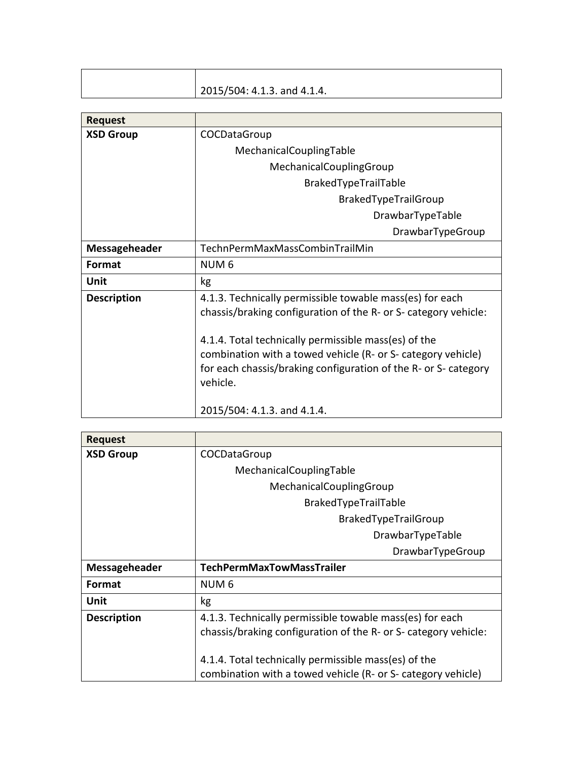| 2015/504: 4.1.3. and 4.1.4. |
|-----------------------------|

| <b>Request</b>     |                                                                                                                                                                                                     |
|--------------------|-----------------------------------------------------------------------------------------------------------------------------------------------------------------------------------------------------|
| <b>XSD Group</b>   | COCDataGroup                                                                                                                                                                                        |
|                    | MechanicalCouplingTable                                                                                                                                                                             |
|                    | MechanicalCouplingGroup                                                                                                                                                                             |
|                    | BrakedTypeTrailTable                                                                                                                                                                                |
|                    | BrakedTypeTrailGroup                                                                                                                                                                                |
|                    | DrawbarTypeTable                                                                                                                                                                                    |
|                    | DrawbarTypeGroup                                                                                                                                                                                    |
| Messageheader      | TechnPermMaxMassCombinTrailMin                                                                                                                                                                      |
| Format             | NUM <sub>6</sub>                                                                                                                                                                                    |
| Unit               | kg                                                                                                                                                                                                  |
| <b>Description</b> | 4.1.3. Technically permissible towable mass(es) for each<br>chassis/braking configuration of the R- or S- category vehicle:                                                                         |
|                    | 4.1.4. Total technically permissible mass(es) of the<br>combination with a towed vehicle (R- or S- category vehicle)<br>for each chassis/braking configuration of the R- or S- category<br>vehicle. |
|                    | 2015/504: 4.1.3. and 4.1.4.                                                                                                                                                                         |

| <b>Request</b>     |                                                                 |
|--------------------|-----------------------------------------------------------------|
| <b>XSD Group</b>   | COCDataGroup                                                    |
|                    | MechanicalCouplingTable                                         |
|                    | MechanicalCouplingGroup                                         |
|                    | BrakedTypeTrailTable                                            |
|                    | <b>BrakedTypeTrailGroup</b>                                     |
|                    | DrawbarTypeTable                                                |
|                    | DrawbarTypeGroup                                                |
| Messageheader      | <b>TechPermMaxTowMassTrailer</b>                                |
| <b>Format</b>      | NUM <sub>6</sub>                                                |
| Unit               | kg                                                              |
| <b>Description</b> | 4.1.3. Technically permissible towable mass(es) for each        |
|                    | chassis/braking configuration of the R- or S- category vehicle: |
|                    |                                                                 |
|                    | 4.1.4. Total technically permissible mass(es) of the            |
|                    | combination with a towed vehicle (R- or S- category vehicle)    |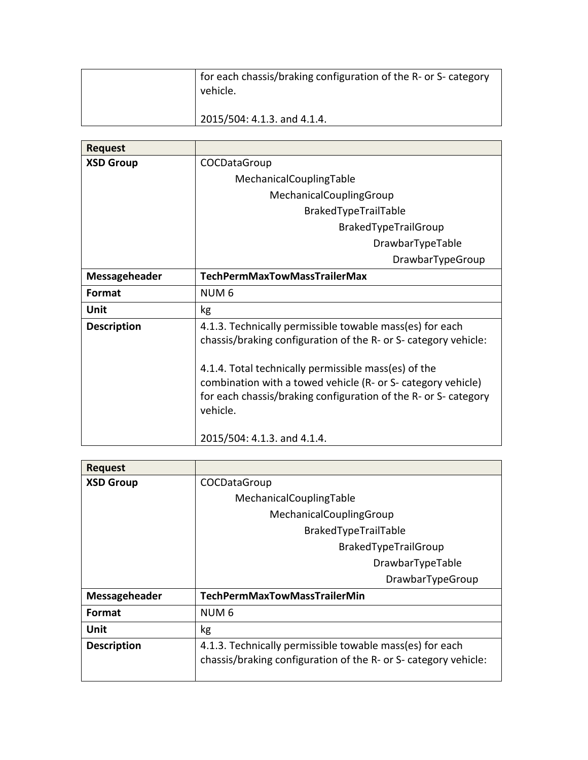| for each chassis/braking configuration of the R- or S- category<br>vehicle. |
|-----------------------------------------------------------------------------|
| 2015/504: 4.1.3. and 4.1.4.                                                 |

| <b>Request</b>     |                                                                                                                                                                                                                                                     |
|--------------------|-----------------------------------------------------------------------------------------------------------------------------------------------------------------------------------------------------------------------------------------------------|
| <b>XSD Group</b>   | COCDataGroup                                                                                                                                                                                                                                        |
|                    | MechanicalCouplingTable                                                                                                                                                                                                                             |
|                    | MechanicalCouplingGroup                                                                                                                                                                                                                             |
|                    | BrakedTypeTrailTable                                                                                                                                                                                                                                |
|                    | BrakedTypeTrailGroup                                                                                                                                                                                                                                |
|                    | DrawbarTypeTable                                                                                                                                                                                                                                    |
|                    | DrawbarTypeGroup                                                                                                                                                                                                                                    |
| Messageheader      | <b>TechPermMaxTowMassTrailerMax</b>                                                                                                                                                                                                                 |
| Format             | NUM <sub>6</sub>                                                                                                                                                                                                                                    |
| Unit               | kg                                                                                                                                                                                                                                                  |
| <b>Description</b> | 4.1.3. Technically permissible towable mass(es) for each<br>chassis/braking configuration of the R- or S- category vehicle:<br>4.1.4. Total technically permissible mass(es) of the<br>combination with a towed vehicle (R- or S- category vehicle) |
|                    | for each chassis/braking configuration of the R- or S- category<br>vehicle.<br>2015/504: 4.1.3. and 4.1.4.                                                                                                                                          |

| <b>Request</b>     |                                                                                                                             |
|--------------------|-----------------------------------------------------------------------------------------------------------------------------|
| <b>XSD Group</b>   | COCDataGroup                                                                                                                |
|                    | MechanicalCouplingTable                                                                                                     |
|                    | MechanicalCouplingGroup                                                                                                     |
|                    | BrakedTypeTrailTable                                                                                                        |
|                    | BrakedTypeTrailGroup                                                                                                        |
|                    | DrawbarTypeTable                                                                                                            |
|                    | DrawbarTypeGroup                                                                                                            |
| Messageheader      | <b>TechPermMaxTowMassTrailerMin</b>                                                                                         |
| <b>Format</b>      | NUM <sub>6</sub>                                                                                                            |
| Unit               | kg                                                                                                                          |
| <b>Description</b> | 4.1.3. Technically permissible towable mass(es) for each<br>chassis/braking configuration of the R- or S- category vehicle: |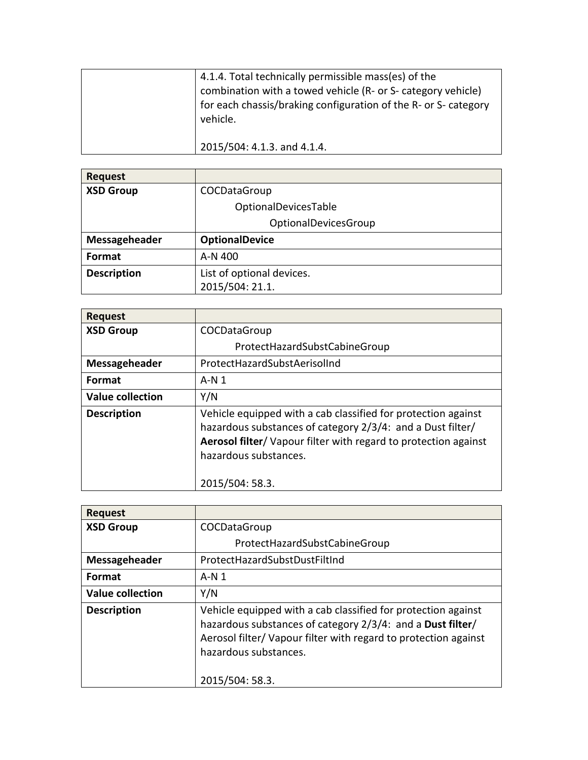| 4.1.4. Total technically permissible mass(es) of the<br>combination with a towed vehicle (R- or S- category vehicle)<br>for each chassis/braking configuration of the R- or S- category<br>vehicle. |
|-----------------------------------------------------------------------------------------------------------------------------------------------------------------------------------------------------|
| 2015/504: 4.1.3. and 4.1.4.                                                                                                                                                                         |

**Request XSD Group COCDataGroup** OptionalDevicesTable OptionalDevicesGroup **Messageheader OptionalDevice Format**  $A-N 400$ **Description** List of optional devices. 2015/504: 21.1.

| <b>Request</b>          |                                                                                                                                                                                                                                            |
|-------------------------|--------------------------------------------------------------------------------------------------------------------------------------------------------------------------------------------------------------------------------------------|
| <b>XSD Group</b>        | COCDataGroup                                                                                                                                                                                                                               |
|                         | ProtectHazardSubstCabineGroup                                                                                                                                                                                                              |
| Messageheader           | ProtectHazardSubstAerisolInd                                                                                                                                                                                                               |
| Format                  | A-N 1                                                                                                                                                                                                                                      |
| <b>Value collection</b> | Y/N                                                                                                                                                                                                                                        |
| <b>Description</b>      | Vehicle equipped with a cab classified for protection against<br>hazardous substances of category 2/3/4: and a Dust filter/<br>Aerosol filter/ Vapour filter with regard to protection against<br>hazardous substances.<br>2015/504: 58.3. |

| <b>Request</b>          |                                                                                                                                                                                                                                            |
|-------------------------|--------------------------------------------------------------------------------------------------------------------------------------------------------------------------------------------------------------------------------------------|
| <b>XSD Group</b>        | COCDataGroup                                                                                                                                                                                                                               |
|                         | ProtectHazardSubstCabineGroup                                                                                                                                                                                                              |
| Messageheader           | ProtectHazardSubstDustFiltInd                                                                                                                                                                                                              |
| Format                  | $A-N1$                                                                                                                                                                                                                                     |
| <b>Value collection</b> | Y/N                                                                                                                                                                                                                                        |
| <b>Description</b>      | Vehicle equipped with a cab classified for protection against<br>hazardous substances of category 2/3/4: and a Dust filter/<br>Aerosol filter/ Vapour filter with regard to protection against<br>hazardous substances.<br>2015/504: 58.3. |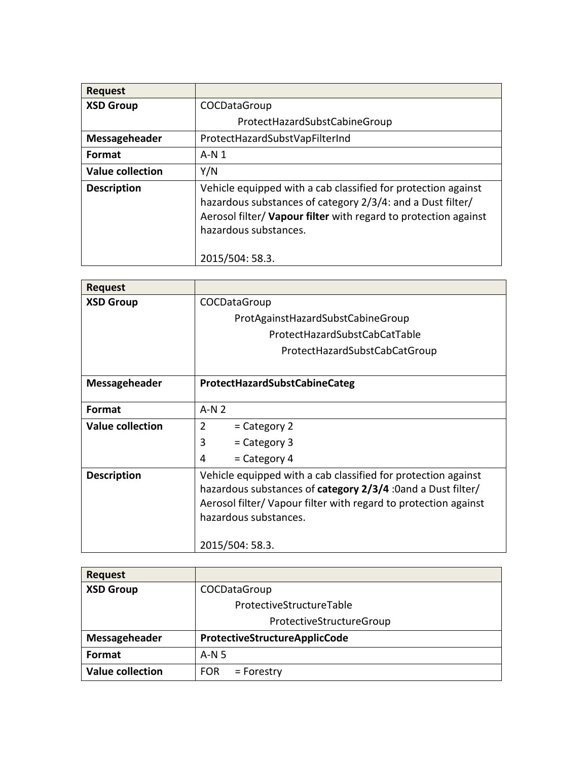| <b>Request</b>          |                                                                                                                                                                                                                         |
|-------------------------|-------------------------------------------------------------------------------------------------------------------------------------------------------------------------------------------------------------------------|
| <b>XSD Group</b>        | COCDataGroup                                                                                                                                                                                                            |
|                         | ProtectHazardSubstCabineGroup                                                                                                                                                                                           |
| Messageheader           | ProtectHazardSubstVapFilterInd                                                                                                                                                                                          |
| <b>Format</b>           | $A-N1$                                                                                                                                                                                                                  |
| <b>Value collection</b> | Y/N                                                                                                                                                                                                                     |
| <b>Description</b>      | Vehicle equipped with a cab classified for protection against<br>hazardous substances of category 2/3/4: and a Dust filter/<br>Aerosol filter/ Vapour filter with regard to protection against<br>hazardous substances. |
|                         | 2015/504: 58.3.                                                                                                                                                                                                         |

| <b>Request</b>          |                                                                                                                                                                                                                                 |
|-------------------------|---------------------------------------------------------------------------------------------------------------------------------------------------------------------------------------------------------------------------------|
| <b>XSD Group</b>        | COCDataGroup                                                                                                                                                                                                                    |
|                         | ProtAgainstHazardSubstCabineGroup                                                                                                                                                                                               |
|                         | ProtectHazardSubstCabCatTable                                                                                                                                                                                                   |
|                         | ProtectHazardSubstCabCatGroup                                                                                                                                                                                                   |
|                         |                                                                                                                                                                                                                                 |
| Messageheader           | <b>ProtectHazardSubstCabineCateg</b>                                                                                                                                                                                            |
|                         |                                                                                                                                                                                                                                 |
| <b>Format</b>           | $A-N2$                                                                                                                                                                                                                          |
| <b>Value collection</b> | $\overline{2}$<br>$=$ Category 2                                                                                                                                                                                                |
|                         | 3<br>= Category 3                                                                                                                                                                                                               |
|                         | = Category 4<br>4                                                                                                                                                                                                               |
| <b>Description</b>      | Vehicle equipped with a cab classified for protection against<br>hazardous substances of <b>category 2/3/4</b> :0and a Dust filter/<br>Aerosol filter/ Vapour filter with regard to protection against<br>hazardous substances. |
|                         | 2015/504: 58.3.                                                                                                                                                                                                                 |

| <b>Request</b>          |                               |
|-------------------------|-------------------------------|
| <b>XSD Group</b>        | COCDataGroup                  |
|                         | ProtectiveStructureTable      |
|                         | ProtectiveStructureGroup      |
| Messageheader           | ProtectiveStructureApplicCode |
| Format                  | $A-N5$                        |
| <b>Value collection</b> | <b>FOR</b><br>$=$ Forestry    |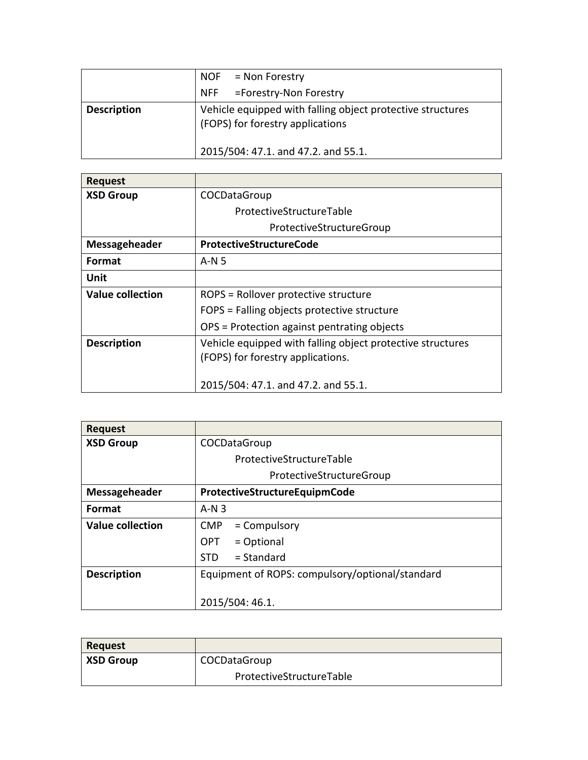|                    | $NOF = Non Forestry$                                                                           |
|--------------------|------------------------------------------------------------------------------------------------|
|                    | NFF = Forestry-Non Forestry                                                                    |
| <b>Description</b> | Vehicle equipped with falling object protective structures<br>(FOPS) for forestry applications |
|                    | 2015/504: 47.1. and 47.2. and 55.1.                                                            |

| <b>Request</b>          |                                                            |
|-------------------------|------------------------------------------------------------|
| <b>XSD Group</b>        | COCDataGroup                                               |
|                         | ProtectiveStructureTable                                   |
|                         | ProtectiveStructureGroup                                   |
| Messageheader           | <b>ProtectiveStructureCode</b>                             |
| Format                  | A-N 5                                                      |
| Unit                    |                                                            |
| <b>Value collection</b> | ROPS = Rollover protective structure                       |
|                         | FOPS = Falling objects protective structure                |
|                         | OPS = Protection against pentrating objects                |
| <b>Description</b>      | Vehicle equipped with falling object protective structures |
|                         | (FOPS) for forestry applications.                          |
|                         |                                                            |
|                         | 2015/504: 47.1. and 47.2. and 55.1.                        |

| <b>Request</b>          |                                                 |
|-------------------------|-------------------------------------------------|
| <b>XSD Group</b>        | COCDataGroup                                    |
|                         | ProtectiveStructureTable                        |
|                         | ProtectiveStructureGroup                        |
| Messageheader           | ProtectiveStructureEquipmCode                   |
| Format                  | $A-N3$                                          |
| <b>Value collection</b> | <b>CMP</b><br>$=$ Compulsory                    |
|                         | = Optional<br>OPT.                              |
|                         | $=$ Standard<br><b>STD</b>                      |
| <b>Description</b>      | Equipment of ROPS: compulsory/optional/standard |
|                         | 2015/504: 46.1.                                 |

| <b>Request</b>   |                          |
|------------------|--------------------------|
| <b>XSD Group</b> | COCDataGroup             |
|                  | ProtectiveStructureTable |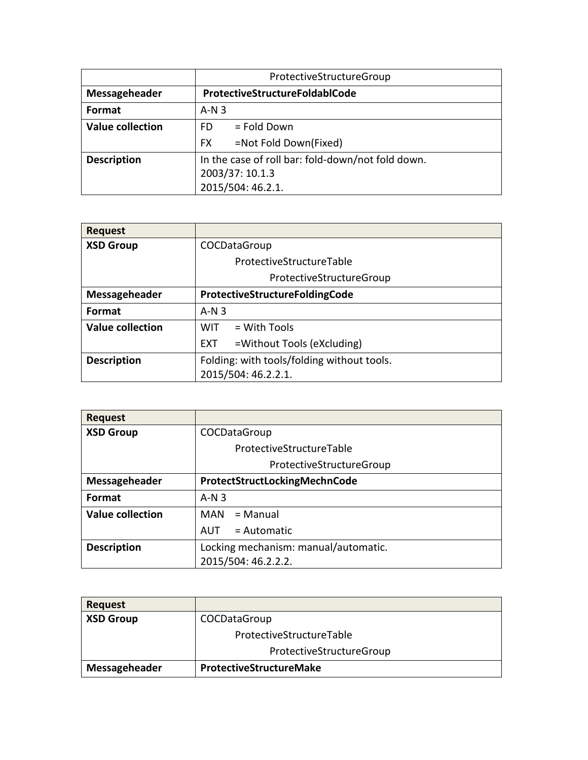|                         | ProtectiveStructureGroup                          |
|-------------------------|---------------------------------------------------|
| Messageheader           | ProtectiveStructureFoldablCode                    |
| Format                  | $A-N3$                                            |
| <b>Value collection</b> | $=$ Fold Down<br>FD                               |
|                         | =Not Fold Down(Fixed)<br><b>FX</b>                |
| <b>Description</b>      | In the case of roll bar: fold-down/not fold down. |
|                         | 2003/37: 10.1.3                                   |
|                         | 2015/504: 46.2.1.                                 |

| <b>Request</b>          |                                            |
|-------------------------|--------------------------------------------|
| <b>XSD Group</b>        | COCDataGroup                               |
|                         | ProtectiveStructureTable                   |
|                         | ProtectiveStructureGroup                   |
| Messageheader           | ProtectiveStructureFoldingCode             |
| Format                  | $A-N3$                                     |
| <b>Value collection</b> | $=$ With Tools<br><b>WIT</b>               |
|                         | =Without Tools (eXcluding)<br>EXT.         |
| <b>Description</b>      | Folding: with tools/folding without tools. |
|                         | 2015/504: 46.2.2.1.                        |

| <b>Request</b>          |                                      |
|-------------------------|--------------------------------------|
| <b>XSD Group</b>        | COCDataGroup                         |
|                         | ProtectiveStructureTable             |
|                         | ProtectiveStructureGroup             |
| Messageheader           | ProtectStructLockingMechnCode        |
| <b>Format</b>           | $A-N3$                               |
| <b>Value collection</b> | = Manual<br>MAN                      |
|                         | $=$ Automatic<br>AUT                 |
| <b>Description</b>      | Locking mechanism: manual/automatic. |
|                         | 2015/504: 46.2.2.2.                  |

| <b>Request</b>   |                                |
|------------------|--------------------------------|
| <b>XSD Group</b> | COCDataGroup                   |
|                  | ProtectiveStructureTable       |
|                  | ProtectiveStructureGroup       |
| Messageheader    | <b>ProtectiveStructureMake</b> |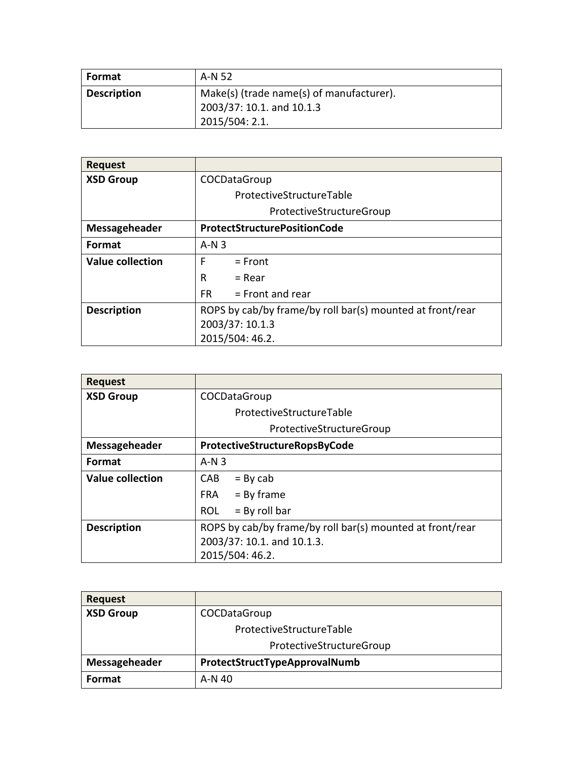| <b>Format</b>      | A-N 52                                                                                  |
|--------------------|-----------------------------------------------------------------------------------------|
| <b>Description</b> | Make(s) (trade name(s) of manufacturer).<br>2003/37: 10.1. and 10.1.3<br>2015/504: 2.1. |

| <b>Request</b>          |                                                           |
|-------------------------|-----------------------------------------------------------|
| <b>XSD Group</b>        | COCDataGroup                                              |
|                         | ProtectiveStructureTable                                  |
|                         | ProtectiveStructureGroup                                  |
| Messageheader           | <b>ProtectStructurePositionCode</b>                       |
| Format                  | $A-N3$                                                    |
| <b>Value collection</b> | F<br>$=$ Front                                            |
|                         | R<br>$=$ Rear                                             |
|                         | $=$ Front and rear<br>FR.                                 |
| <b>Description</b>      | ROPS by cab/by frame/by roll bar(s) mounted at front/rear |
|                         | 2003/37: 10.1.3                                           |
|                         | 2015/504: 46.2.                                           |

| <b>Request</b>          |                                                           |
|-------------------------|-----------------------------------------------------------|
| <b>XSD Group</b>        | COCDataGroup                                              |
|                         | ProtectiveStructureTable                                  |
|                         | ProtectiveStructureGroup                                  |
| Messageheader           | ProtectiveStructureRopsByCode                             |
| Format                  | $A-N3$                                                    |
| <b>Value collection</b> | CAB<br>$=$ By cab                                         |
|                         | $FRA = By frame$                                          |
|                         | $=$ By roll bar<br>ROL                                    |
| <b>Description</b>      | ROPS by cab/by frame/by roll bar(s) mounted at front/rear |
|                         | 2003/37: 10.1. and 10.1.3.                                |
|                         | 2015/504: 46.2.                                           |

| <b>Request</b>   |                               |
|------------------|-------------------------------|
| <b>XSD Group</b> | COCDataGroup                  |
|                  | ProtectiveStructureTable      |
|                  | ProtectiveStructureGroup      |
| Messageheader    | ProtectStructTypeApprovalNumb |
| <b>Format</b>    | A-N 40                        |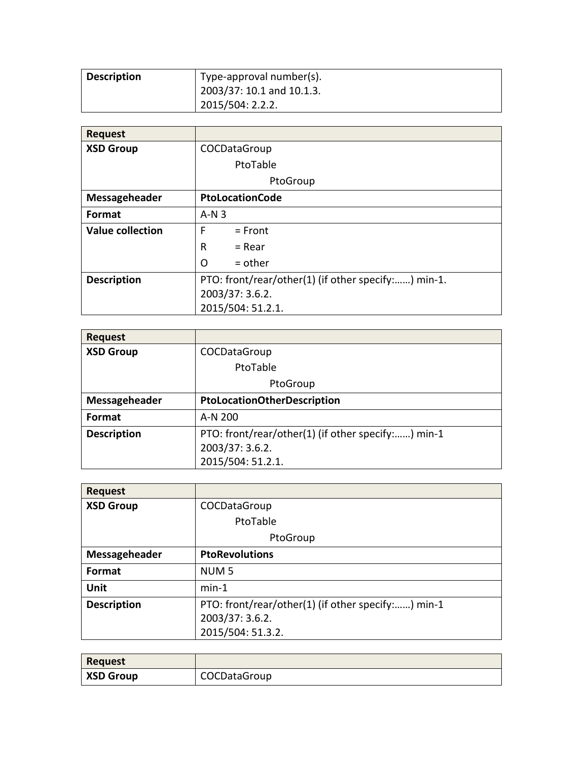| Description | Type-approval number(s).  |
|-------------|---------------------------|
|             | 2003/37: 10.1 and 10.1.3. |
|             | 2015/504: 2.2.2.          |

| <b>Request</b>          |                                                     |
|-------------------------|-----------------------------------------------------|
| <b>XSD Group</b>        | COCDataGroup                                        |
|                         | PtoTable                                            |
|                         | PtoGroup                                            |
| Messageheader           | <b>PtoLocationCode</b>                              |
| Format                  | $A-N3$                                              |
| <b>Value collection</b> | F<br>$=$ Front                                      |
|                         | R<br>$=$ Rear                                       |
|                         | O<br>$=$ other                                      |
| <b>Description</b>      | PTO: front/rear/other(1) (if other specify:) min-1. |
|                         | 2003/37: 3.6.2.                                     |
|                         | 2015/504: 51.2.1.                                   |

| <b>Request</b>     |                                                    |
|--------------------|----------------------------------------------------|
| <b>XSD Group</b>   | COCDataGroup                                       |
|                    | PtoTable                                           |
|                    | PtoGroup                                           |
| Messageheader      | <b>PtoLocationOtherDescription</b>                 |
| <b>Format</b>      | A-N 200                                            |
| <b>Description</b> | PTO: front/rear/other(1) (if other specify:) min-1 |
|                    | 2003/37: 3.6.2.                                    |
|                    | 2015/504: 51.2.1.                                  |

| <b>Request</b>     |                                                                                            |
|--------------------|--------------------------------------------------------------------------------------------|
| <b>XSD Group</b>   | COCDataGroup                                                                               |
|                    | PtoTable                                                                                   |
|                    | PtoGroup                                                                                   |
| Messageheader      | <b>PtoRevolutions</b>                                                                      |
| <b>Format</b>      | NUM <sub>5</sub>                                                                           |
| <b>Unit</b>        | $min-1$                                                                                    |
| <b>Description</b> | PTO: front/rear/other(1) (if other specify:) min-1<br>2003/37: 3.6.2.<br>2015/504: 51.3.2. |

| <b>Request</b>   |              |
|------------------|--------------|
| <b>XSD Group</b> | COCDataGroup |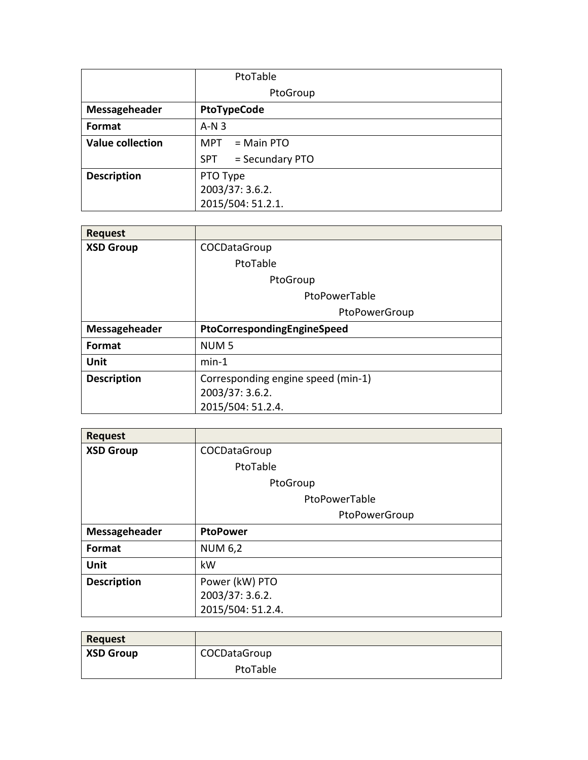|                         | PtoTable                      |
|-------------------------|-------------------------------|
|                         | PtoGroup                      |
| Messageheader           | <b>PtoTypeCode</b>            |
| Format                  | $A-N3$                        |
| <b>Value collection</b> | $MPT = Main PTO$              |
|                         | = Secundary PTO<br><b>SPT</b> |
| <b>Description</b>      | PTO Type                      |
|                         | 2003/37: 3.6.2.               |
|                         | 2015/504: 51.2.1.             |

| <b>Request</b>     |                                    |
|--------------------|------------------------------------|
| <b>XSD Group</b>   | COCDataGroup                       |
|                    | PtoTable                           |
|                    | PtoGroup                           |
|                    | PtoPowerTable                      |
|                    | PtoPowerGroup                      |
| Messageheader      | PtoCorrespondingEngineSpeed        |
| Format             | NUM <sub>5</sub>                   |
| Unit               | $min-1$                            |
| <b>Description</b> | Corresponding engine speed (min-1) |
|                    | 2003/37: 3.6.2.                    |
|                    | 2015/504: 51.2.4.                  |

| <b>Request</b>     |                   |
|--------------------|-------------------|
| <b>XSD Group</b>   | COCDataGroup      |
|                    | PtoTable          |
|                    | PtoGroup          |
|                    | PtoPowerTable     |
|                    | PtoPowerGroup     |
| Messageheader      | <b>PtoPower</b>   |
| Format             | <b>NUM 6,2</b>    |
| <b>Unit</b>        | kW                |
| <b>Description</b> | Power (kW) PTO    |
|                    | 2003/37: 3.6.2.   |
|                    | 2015/504: 51.2.4. |

| <b>Request</b>   |              |
|------------------|--------------|
| <b>XSD Group</b> | COCDataGroup |
|                  | PtoTable     |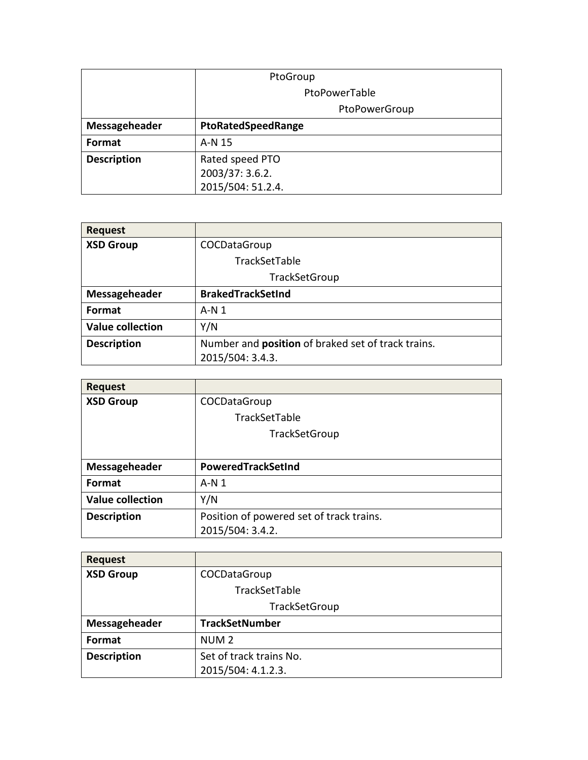|                    | PtoGroup           |
|--------------------|--------------------|
|                    | PtoPowerTable      |
|                    | PtoPowerGroup      |
| Messageheader      | PtoRatedSpeedRange |
| Format             | A-N 15             |
| <b>Description</b> | Rated speed PTO    |
|                    | 2003/37: 3.6.2.    |
|                    | 2015/504: 51.2.4.  |

| <b>Request</b>          |                                                           |
|-------------------------|-----------------------------------------------------------|
| <b>XSD Group</b>        | COCDataGroup                                              |
|                         | TrackSetTable                                             |
|                         | TrackSetGroup                                             |
| Messageheader           | <b>BrakedTrackSetInd</b>                                  |
| <b>Format</b>           | $A-N1$                                                    |
| <b>Value collection</b> | Y/N                                                       |
| <b>Description</b>      | Number and <b>position</b> of braked set of track trains. |
|                         | 2015/504: 3.4.3.                                          |

| <b>Request</b>          |                                          |
|-------------------------|------------------------------------------|
| <b>XSD Group</b>        | COCDataGroup                             |
|                         | TrackSetTable                            |
|                         | TrackSetGroup                            |
|                         |                                          |
| Messageheader           | PoweredTrackSetInd                       |
| <b>Format</b>           | $A-N1$                                   |
| <b>Value collection</b> | Y/N                                      |
| <b>Description</b>      | Position of powered set of track trains. |
|                         | 2015/504: 3.4.2.                         |

| <b>Request</b>     |                         |
|--------------------|-------------------------|
| <b>XSD Group</b>   | COCDataGroup            |
|                    | TrackSetTable           |
|                    | TrackSetGroup           |
| Messageheader      | <b>TrackSetNumber</b>   |
| Format             | NUM <sub>2</sub>        |
| <b>Description</b> | Set of track trains No. |
|                    | 2015/504: 4.1.2.3.      |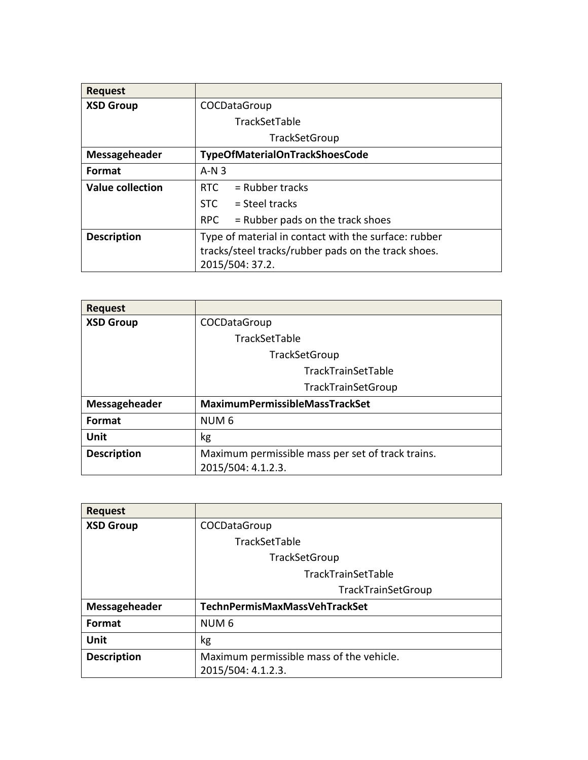| <b>Request</b>          |                                                      |
|-------------------------|------------------------------------------------------|
| <b>XSD Group</b>        | COCDataGroup                                         |
|                         | TrackSetTable                                        |
|                         | TrackSetGroup                                        |
| Messageheader           | TypeOfMaterialOnTrackShoesCode                       |
| Format                  | $A-N3$                                               |
| <b>Value collection</b> | = Rubber tracks<br><b>RTC</b>                        |
|                         | $STC = Steel tracks$                                 |
|                         | $=$ Rubber pads on the track shoes<br>RPC            |
| <b>Description</b>      | Type of material in contact with the surface: rubber |
|                         | tracks/steel tracks/rubber pads on the track shoes.  |
|                         | 2015/504: 37.2.                                      |

| <b>Request</b>     |                                                   |
|--------------------|---------------------------------------------------|
| <b>XSD Group</b>   | COCDataGroup                                      |
|                    | TrackSetTable                                     |
|                    | TrackSetGroup                                     |
|                    | TrackTrainSetTable                                |
|                    | <b>TrackTrainSetGroup</b>                         |
| Messageheader      | <b>MaximumPermissibleMassTrackSet</b>             |
| Format             | NUM <sub>6</sub>                                  |
| Unit               | kg                                                |
| <b>Description</b> | Maximum permissible mass per set of track trains. |
|                    | 2015/504: 4.1.2.3.                                |

| <b>Request</b>     |                                          |
|--------------------|------------------------------------------|
| <b>XSD Group</b>   | COCDataGroup                             |
|                    | TrackSetTable                            |
|                    | TrackSetGroup                            |
|                    | TrackTrainSetTable                       |
|                    | TrackTrainSetGroup                       |
| Messageheader      | TechnPermisMaxMassVehTrackSet            |
| Format             | NUM <sub>6</sub>                         |
| Unit               | kg                                       |
| <b>Description</b> | Maximum permissible mass of the vehicle. |
|                    | 2015/504: 4.1.2.3.                       |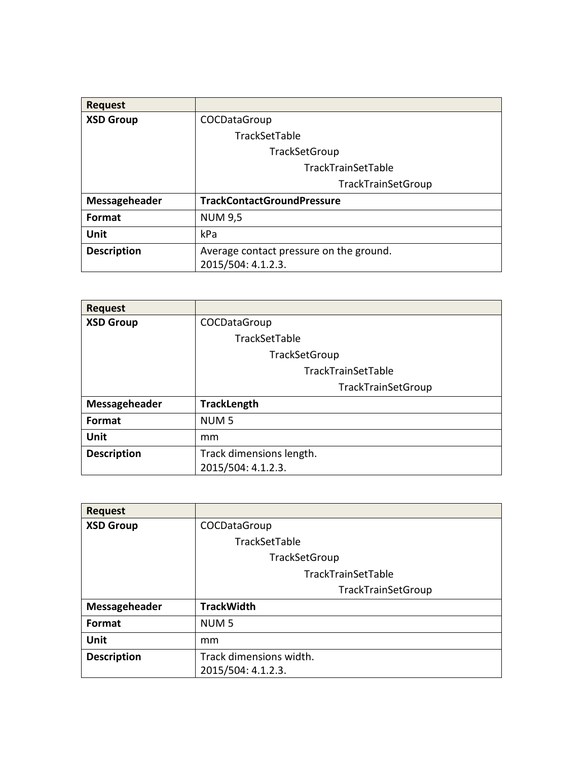| <b>Request</b>     |                                         |
|--------------------|-----------------------------------------|
| <b>XSD Group</b>   | COCDataGroup                            |
|                    | TrackSetTable                           |
|                    | TrackSetGroup                           |
|                    | TrackTrainSetTable                      |
|                    | TrackTrainSetGroup                      |
| Messageheader      | <b>TrackContactGroundPressure</b>       |
| <b>Format</b>      | <b>NUM 9,5</b>                          |
| Unit               | kPa                                     |
| <b>Description</b> | Average contact pressure on the ground. |
|                    | 2015/504: 4.1.2.3.                      |

| <b>Request</b>     |                           |
|--------------------|---------------------------|
| <b>XSD Group</b>   | COCDataGroup              |
|                    | TrackSetTable             |
|                    | TrackSetGroup             |
|                    | TrackTrainSetTable        |
|                    | <b>TrackTrainSetGroup</b> |
| Messageheader      | <b>TrackLength</b>        |
| <b>Format</b>      | NUM <sub>5</sub>          |
| Unit               | mm                        |
| <b>Description</b> | Track dimensions length.  |
|                    | 2015/504: 4.1.2.3.        |

| <b>Request</b>     |                         |
|--------------------|-------------------------|
| <b>XSD Group</b>   | COCDataGroup            |
|                    | TrackSetTable           |
|                    | TrackSetGroup           |
|                    | TrackTrainSetTable      |
|                    | TrackTrainSetGroup      |
| Messageheader      | <b>TrackWidth</b>       |
| Format             | NUM <sub>5</sub>        |
| Unit               | mm                      |
| <b>Description</b> | Track dimensions width. |
|                    | 2015/504: 4.1.2.3.      |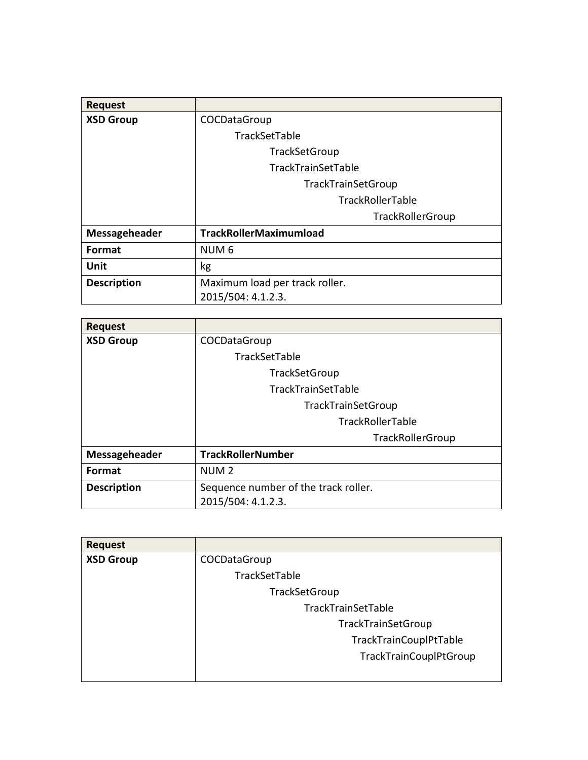| <b>Request</b>     |                                |
|--------------------|--------------------------------|
| <b>XSD Group</b>   | COCDataGroup                   |
|                    | TrackSetTable                  |
|                    | TrackSetGroup                  |
|                    | TrackTrainSetTable             |
|                    | TrackTrainSetGroup             |
|                    | TrackRollerTable               |
|                    | TrackRollerGroup               |
| Messageheader      | <b>TrackRollerMaximumload</b>  |
| Format             | NUM <sub>6</sub>               |
| Unit               | kg                             |
| <b>Description</b> | Maximum load per track roller. |
|                    | 2015/504: 4.1.2.3.             |

| <b>Request</b>     |                                      |
|--------------------|--------------------------------------|
| <b>XSD Group</b>   | COCDataGroup                         |
|                    | TrackSetTable                        |
|                    | TrackSetGroup                        |
|                    | TrackTrainSetTable                   |
|                    | TrackTrainSetGroup                   |
|                    | TrackRollerTable                     |
|                    | TrackRollerGroup                     |
| Messageheader      | <b>TrackRollerNumber</b>             |
| Format             | NUM <sub>2</sub>                     |
| <b>Description</b> | Sequence number of the track roller. |
|                    | 2015/504: 4.1.2.3.                   |

| <b>Request</b>   |                               |
|------------------|-------------------------------|
| <b>XSD Group</b> | COCDataGroup                  |
|                  | TrackSetTable                 |
|                  | TrackSetGroup                 |
|                  | TrackTrainSetTable            |
|                  | TrackTrainSetGroup            |
|                  | TrackTrainCouplPtTable        |
|                  | <b>TrackTrainCouplPtGroup</b> |
|                  |                               |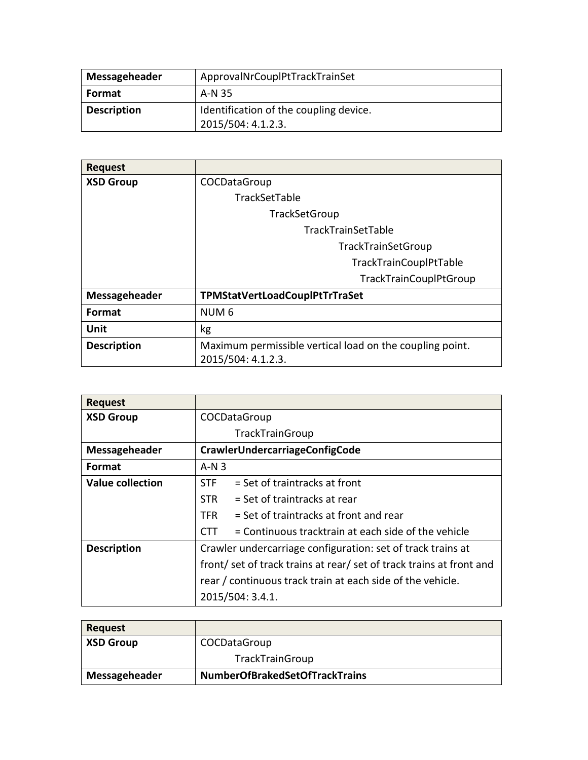| Messageheader      | ApprovalNrCouplPtTrackTrainSet                               |
|--------------------|--------------------------------------------------------------|
| <b>Format</b>      | A-N 35                                                       |
| <b>Description</b> | Identification of the coupling device.<br>2015/504: 4.1.2.3. |

| <b>Request</b>     |                                                          |
|--------------------|----------------------------------------------------------|
| <b>XSD Group</b>   | COCDataGroup                                             |
|                    | TrackSetTable                                            |
|                    | <b>TrackSetGroup</b>                                     |
|                    | <b>TrackTrainSetTable</b>                                |
|                    | TrackTrainSetGroup                                       |
|                    | TrackTrainCouplPtTable                                   |
|                    | TrackTrainCouplPtGroup                                   |
| Messageheader      | TPMStatVertLoadCouplPtTrTraSet                           |
| Format             | NUM <sub>6</sub>                                         |
| Unit               | kg                                                       |
| <b>Description</b> | Maximum permissible vertical load on the coupling point. |
|                    | 2015/504: 4.1.2.3.                                       |

| <b>Request</b>     |                                                                    |
|--------------------|--------------------------------------------------------------------|
| <b>XSD Group</b>   | COCDataGroup                                                       |
|                    | TrackTrainGroup                                                    |
| Messageheader      | CrawlerUndercarriageConfigCode                                     |
| Format             | $A-N3$                                                             |
| Value collection   | $=$ Set of traintracks at front<br><b>STF</b>                      |
|                    | = Set of traintracks at rear<br>STR.                               |
|                    | = Set of traintracks at front and rear<br><b>TFR</b>               |
|                    | = Continuous tracktrain at each side of the vehicle<br>CTT.        |
| <b>Description</b> | Crawler undercarriage configuration: set of track trains at        |
|                    | front/set of track trains at rear/set of track trains at front and |
|                    | rear / continuous track train at each side of the vehicle.         |
|                    | 2015/504: 3.4.1.                                                   |

| Request          |                                       |
|------------------|---------------------------------------|
| <b>XSD Group</b> | COCDataGroup                          |
|                  | TrackTrainGroup                       |
| Messageheader    | <b>NumberOfBrakedSetOfTrackTrains</b> |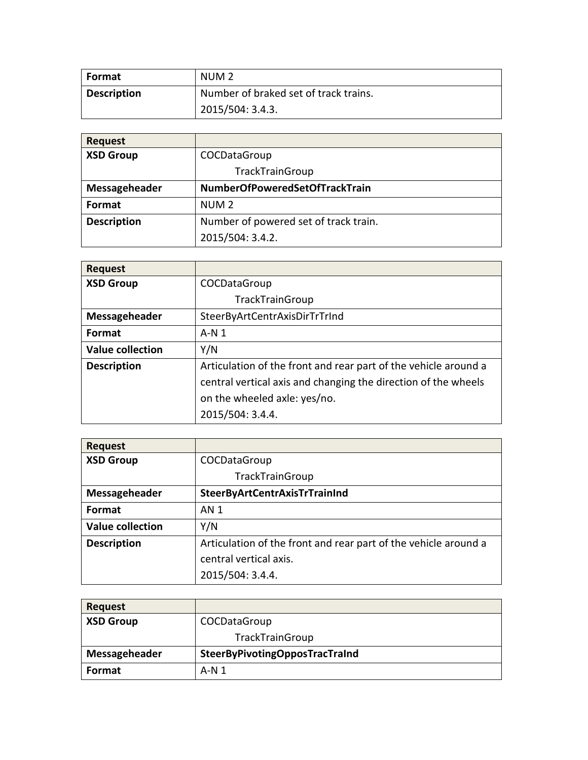| <b>Format</b>      | NUM <sub>2</sub>                      |
|--------------------|---------------------------------------|
| <b>Description</b> | Number of braked set of track trains. |
|                    | 2015/504: 3.4.3.                      |

| <b>Request</b>     |                                       |
|--------------------|---------------------------------------|
| <b>XSD Group</b>   | COCDataGroup                          |
|                    | <b>TrackTrainGroup</b>                |
| Messageheader      | NumberOfPoweredSetOfTrackTrain        |
| Format             | NUM <sub>2</sub>                      |
| <b>Description</b> | Number of powered set of track train. |
|                    | 2015/504: 3.4.2.                      |

| <b>Request</b>          |                                                                 |
|-------------------------|-----------------------------------------------------------------|
| <b>XSD Group</b>        | COCDataGroup                                                    |
|                         | <b>TrackTrainGroup</b>                                          |
| Messageheader           | SteerByArtCentrAxisDirTrTrInd                                   |
| Format                  | $A \cdot N$ 1                                                   |
| <b>Value collection</b> | Y/N                                                             |
| <b>Description</b>      | Articulation of the front and rear part of the vehicle around a |
|                         | central vertical axis and changing the direction of the wheels  |
|                         | on the wheeled axle: yes/no.                                    |
|                         | 2015/504: 3.4.4.                                                |

| <b>Request</b>          |                                                                 |
|-------------------------|-----------------------------------------------------------------|
| <b>XSD Group</b>        | COCDataGroup                                                    |
|                         | <b>TrackTrainGroup</b>                                          |
| Messageheader           | <b>SteerByArtCentrAxisTrTrainInd</b>                            |
| Format                  | <b>AN1</b>                                                      |
| <b>Value collection</b> | Y/N                                                             |
| <b>Description</b>      | Articulation of the front and rear part of the vehicle around a |
|                         | central vertical axis.                                          |
|                         | 2015/504: 3.4.4.                                                |

| <b>Request</b>   |                                |
|------------------|--------------------------------|
| <b>XSD Group</b> | COCDataGroup                   |
|                  | <b>TrackTrainGroup</b>         |
| Messageheader    | SteerByPivotingOpposTracTraInd |
| Format           | A-N 1                          |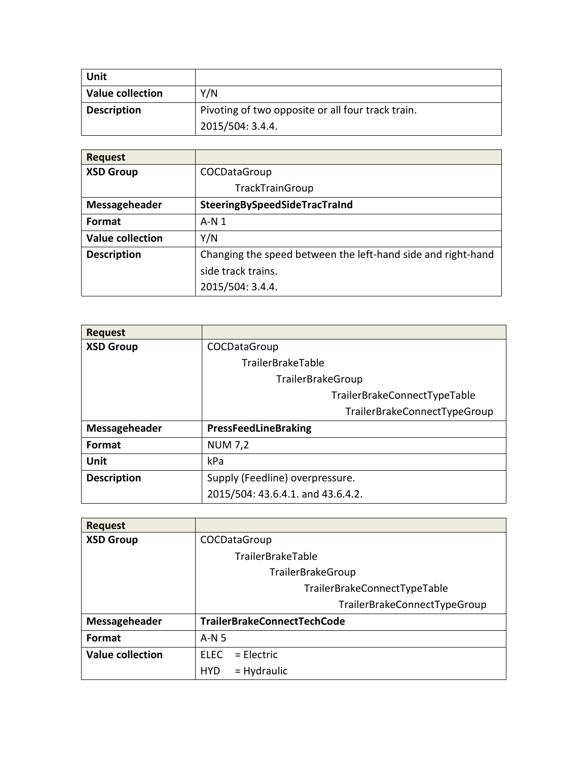| Unit                    |                                                   |
|-------------------------|---------------------------------------------------|
| <b>Value collection</b> | Y/N                                               |
| <b>Description</b>      | Pivoting of two opposite or all four track train. |
|                         | 2015/504: 3.4.4.                                  |

| <b>Request</b>          |                                                              |
|-------------------------|--------------------------------------------------------------|
| <b>XSD Group</b>        | COCDataGroup                                                 |
|                         | TrackTrainGroup                                              |
| Messageheader           | SteeringBySpeedSideTracTraInd                                |
| Format                  | $A-N1$                                                       |
| <b>Value collection</b> | Y/N                                                          |
| <b>Description</b>      | Changing the speed between the left-hand side and right-hand |
|                         | side track trains.                                           |
|                         | 2015/504: 3.4.4.                                             |

| <b>Request</b>     |                                   |
|--------------------|-----------------------------------|
| <b>XSD Group</b>   | COCDataGroup                      |
|                    | <b>TrailerBrakeTable</b>          |
|                    | TrailerBrakeGroup                 |
|                    | TrailerBrakeConnectTypeTable      |
|                    | TrailerBrakeConnectTypeGroup      |
| Messageheader      | <b>PressFeedLineBraking</b>       |
| Format             | <b>NUM 7,2</b>                    |
| Unit               | kPa                               |
| <b>Description</b> | Supply (Feedline) overpressure.   |
|                    | 2015/504: 43.6.4.1. and 43.6.4.2. |

| <b>Request</b>          |                              |
|-------------------------|------------------------------|
| <b>XSD Group</b>        | COCDataGroup                 |
|                         | <b>TrailerBrakeTable</b>     |
|                         | TrailerBrakeGroup            |
|                         | TrailerBrakeConnectTypeTable |
|                         | TrailerBrakeConnectTypeGroup |
| Messageheader           | TrailerBrakeConnectTechCode  |
| <b>Format</b>           | $A-N5$                       |
| <b>Value collection</b> | $=$ Flectric<br><b>FLFC</b>  |
|                         | $=$ Hydraulic<br><b>HYD</b>  |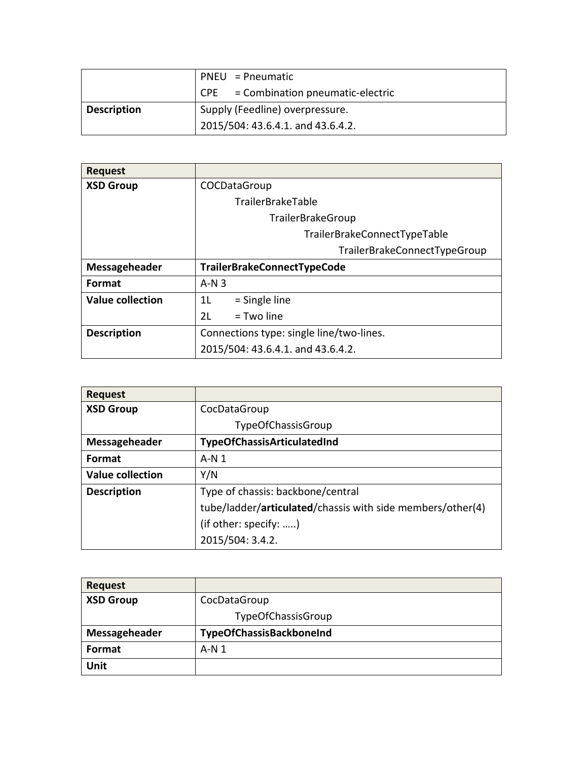|                    | $PNEU = Pneumatic$                              |
|--------------------|-------------------------------------------------|
|                    | $\mathsf{CPE}$ = Combination pneumatic-electric |
| <b>Description</b> | Supply (Feedline) overpressure.                 |
|                    | 2015/504: 43.6.4.1. and 43.6.4.2.               |

| <b>Request</b>          |                                          |
|-------------------------|------------------------------------------|
| <b>XSD Group</b>        | COCDataGroup                             |
|                         | <b>TrailerBrakeTable</b>                 |
|                         | TrailerBrakeGroup                        |
|                         | TrailerBrakeConnectTypeTable             |
|                         | TrailerBrakeConnectTypeGroup             |
| Messageheader           | TrailerBrakeConnectTypeCode              |
| <b>Format</b>           | $A-N3$                                   |
| <b>Value collection</b> | $=$ Single line<br>11                    |
|                         | 2 <sub>L</sub><br>= Two line             |
| <b>Description</b>      | Connections type: single line/two-lines. |
|                         | 2015/504: 43.6.4.1. and 43.6.4.2.        |

| <b>Request</b>          |                                                            |
|-------------------------|------------------------------------------------------------|
| <b>XSD Group</b>        | CocDataGroup                                               |
|                         | TypeOfChassisGroup                                         |
| Messageheader           | TypeOfChassisArticulatedInd                                |
| Format                  | $A-N1$                                                     |
| <b>Value collection</b> | Y/N                                                        |
| <b>Description</b>      | Type of chassis: backbone/central                          |
|                         | tube/ladder/articulated/chassis with side members/other(4) |
|                         | (if other: specify: )                                      |
|                         | 2015/504: 3.4.2.                                           |

| <b>Request</b>   |                          |
|------------------|--------------------------|
| <b>XSD Group</b> | CocDataGroup             |
|                  | TypeOfChassisGroup       |
| Messageheader    | TypeOfChassisBackboneInd |
| Format           | $A-N1$                   |
| Unit             |                          |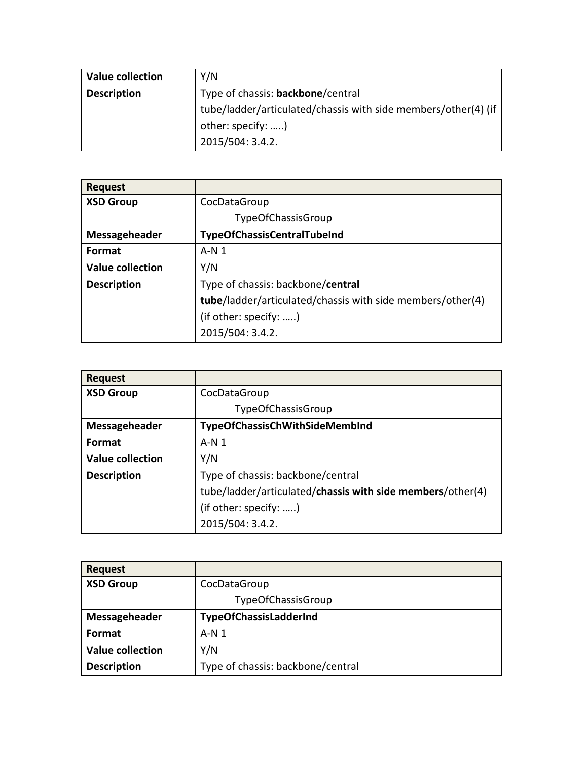| <b>Value collection</b> | Y/N                                                            |
|-------------------------|----------------------------------------------------------------|
| <b>Description</b>      | Type of chassis: backbone/central                              |
|                         | tube/ladder/articulated/chassis with side members/other(4) (if |
|                         | other: specify: )                                              |
|                         | 2015/504: 3.4.2.                                               |

| <b>Request</b>          |                                                            |
|-------------------------|------------------------------------------------------------|
| <b>XSD Group</b>        | CocDataGroup                                               |
|                         | TypeOfChassisGroup                                         |
| Messageheader           | <b>TypeOfChassisCentralTubeInd</b>                         |
| Format                  | $A \cdot N$ 1                                              |
| <b>Value collection</b> | Y/N                                                        |
| <b>Description</b>      | Type of chassis: backbone/central                          |
|                         | tube/ladder/articulated/chassis with side members/other(4) |
|                         |                                                            |
|                         | (if other: specify: )<br>2015/504: 3.4.2.                  |

| <b>Request</b>          |                                                            |
|-------------------------|------------------------------------------------------------|
| <b>XSD Group</b>        | CocDataGroup                                               |
|                         | TypeOfChassisGroup                                         |
| Messageheader           | TypeOfChassisChWithSideMembInd                             |
| Format                  | $A \cdot N$ 1                                              |
| <b>Value collection</b> | Y/N                                                        |
| <b>Description</b>      | Type of chassis: backbone/central                          |
|                         | tube/ladder/articulated/chassis with side members/other(4) |
|                         | (if other: specify: )                                      |
|                         | 2015/504: 3.4.2.                                           |

| <b>Request</b>          |                                   |
|-------------------------|-----------------------------------|
| <b>XSD Group</b>        | CocDataGroup                      |
|                         | TypeOfChassisGroup                |
| Messageheader           | TypeOfChassisLadderInd            |
| Format                  | $A-N1$                            |
| <b>Value collection</b> | Y/N                               |
| <b>Description</b>      | Type of chassis: backbone/central |